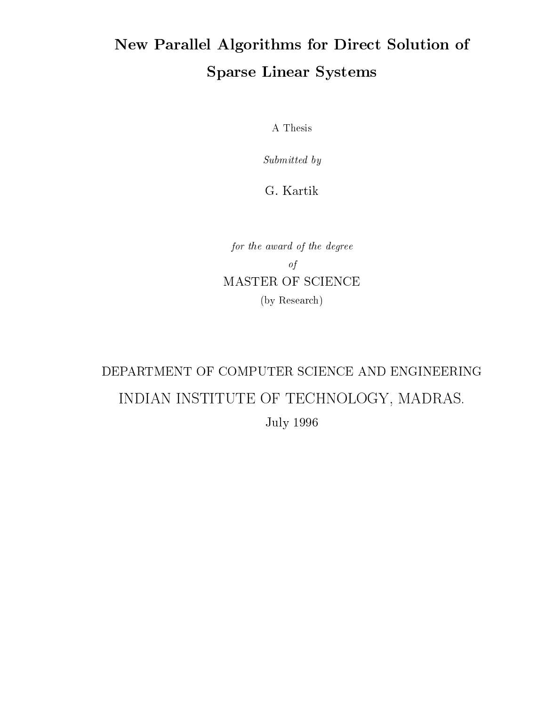# New Parallel Algorithms for Dire
t Solution of Sparse Linear Systems

A Thesis

Submitted by

G. Kartik

for the award of the degree of MASTER OF SCIENCE (by Resear
h)

# DEPARTMENT OF COMPUTER SCIENCE AND ENGINEERING INDIAN INSTITUTE OF TECHNOLOGY, MADRAS. July 1996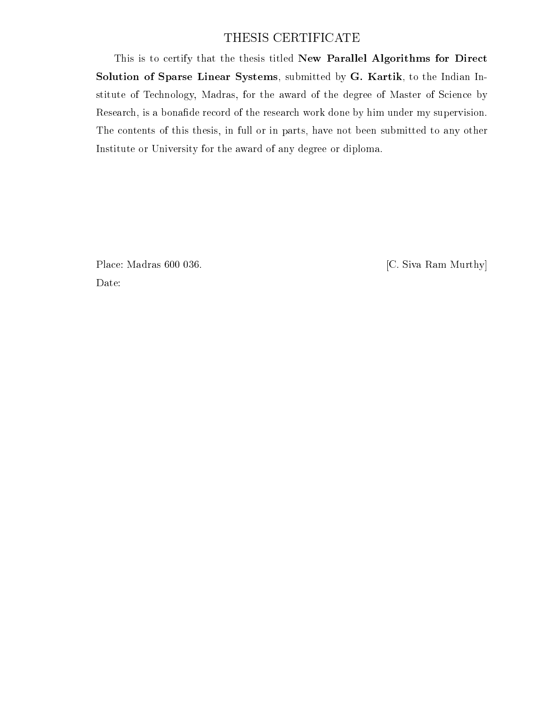### THESIS CERTIFICATE

This is to certify that the thesis titled New Parallel Algorithms for Direct Solution of Sparse Linear Systems, submitted by G. Kartik, to the Indian Institute of Technology, Madras, for the award of the degree of Master of Science by Research, is a bonafide record of the research work done by him under my supervision. The ontents of this thesis, in full or in parts, have not been submitted to any other Institute or University for the award of any degree or diploma.

Place: Madras 600 036. [C. Siva Ram Murthy] Date: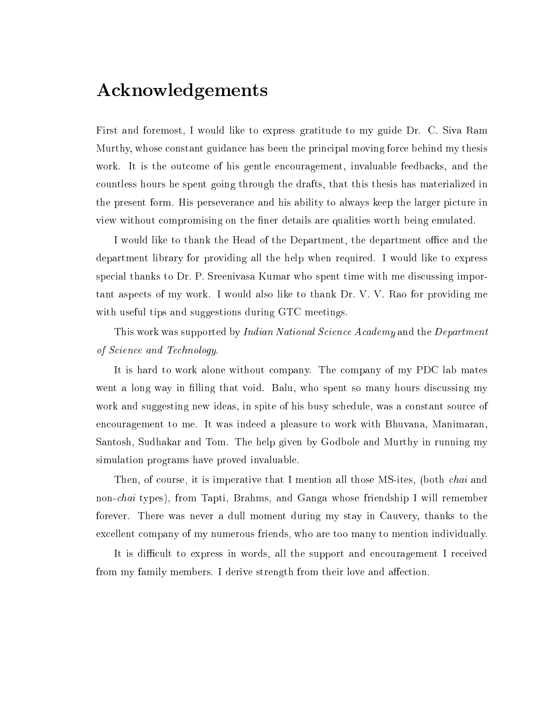## **Acknowledgements**

First and foremost, I would like to express gratitude to my guide Dr. C. Siva Ram Murthy, whose onstant guidan
e has been the prin
ipal moving for
e behind my thesis work. It is the outcome of his gentle encouragement, invaluable feedbacks, and the ountless hours he spent going through the drafts, that this thesis has materialized in the present form. His perseveran
e and his ability to always keep the larger pi
ture in view without ompromising on the ner details are qualities worth being emulated.

I would like to thank the Head of the Department, the department office and the department library for providing all the help when required. I would like to express special thanks to Dr. P. Sreenivasa Kumar who spent time with me discussing important aspe
ts of my work. I would also like to thank Dr. V. V. Rao for providing me with useful tips and suggestions during GTC meetings.

This work was supported by *Indian National Science Academy* and the *Department* of S
ien
e and Te
hnology.

It is hard to work alone without ompany. The ompany of my PDC lab mates went a long way in filling that void. Balu, who spent so many hours discussing my work and suggesting new ideas, in spite of his busy s
hedule, was a onstant sour
e of en
ouragement to me. It was indeed a pleasure to work with Bhuvana, Manimaran, Santosh, Sudhakar and Tom. The help given by Godbole and Murthy in running my simulation programs have proved invaluable.

Then, of course, it is imperative that I mention all those MS-ites, (both *chai* and nonhai types), from Tapti, Brahms, and Ganga whose friendship I will remember forever. There was never a dull moment during my stay in Cauvery, thanks to the ex
ellent ompany of my numerous friends, who are too many to mention individually.

It is difficult to express in words, all the support and encouragement I received from my family members. I derive strength from their love and affection.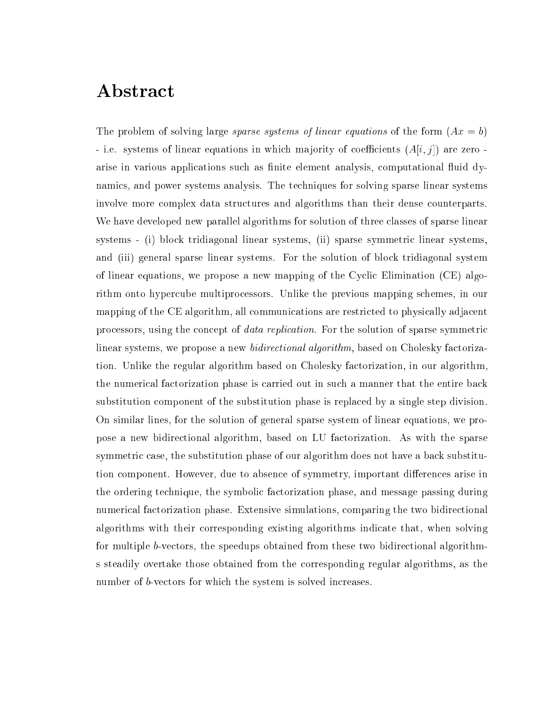### **Abstract**

The problem of solving large sparse systems of linear equations of the form  $(Ax = b)$ - i.e. systems of linear equations in which majority of coefficients  $(A[i, j])$  are zero arise in various applications such as finite element analysis, computational fluid dynami
s, and power systems analysis. The te
hniques for solving sparse linear systems involve more complex data structures and algorithms than their dense counterparts. We have developed new parallel algorithms for solution of three classes of sparse linear systems - (i) blo
k tridiagonal linear systems, (ii) sparse symmetri linear systems, and (iii) general sparse linear systems. For the solution of blo
k tridiagonal system of linear equations, we propose a new mapping of the Cy
li Elimination (CE) algorithm onto hypercube multiprocessors. Unlike the previous mapping schemes, in our mapping of the CE algorithm, all communications are restricted to physically adjacent processors, using the concept of *data replication*. For the solution of sparse symmetric linear systems, we propose a new *bidirectional algorithm*, based on Cholesky factorization. Unlike the regular algorithm based on Cholesky fa
torization, in our algorithm, the numerical factorization phase is carried out in such a manner that the entire back substitution omponent of the substitution phase is repla
ed by a single step division. On similar lines, for the solution of general sparse system of linear equations, we propose a new bidire
tional algorithm, based on LU fa
torization. As with the sparse symmetric case, the substitution phase of our algorithm does not have a back substitution component. However, due to absence of symmetry, important differences arise in the ordering te
hnique, the symboli fa
torization phase, and message passing during numerical factorization phase. Extensive simulations, comparing the two bidirectional algorithms with their orresponding existing algorithms indi
ate that, when solving for multiple *b*-vectors, the speedups obtained from these two bidirectional algorithms steadily overtake those obtained from the orresponding regular algorithms, as the number of *b*-vectors for which the system is solved increases.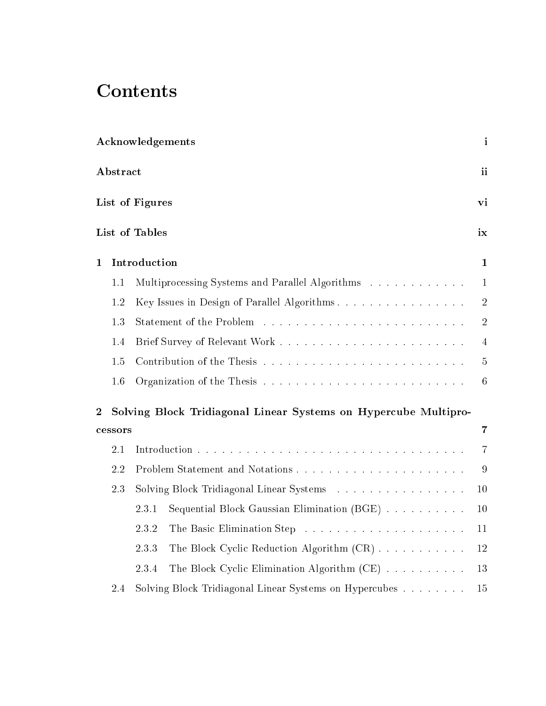# **Contents**

|                |                      |                 | <b>Acknowledgements</b>                                         | $\mathbf{i}$    |  |  |
|----------------|----------------------|-----------------|-----------------------------------------------------------------|-----------------|--|--|
|                | ${\bf Abstract}$     |                 |                                                                 | ii              |  |  |
|                |                      | List of Figures |                                                                 | vi              |  |  |
|                | List of Tables<br>ix |                 |                                                                 |                 |  |  |
| $\mathbf{1}$   |                      | Introduction    |                                                                 | $\mathbf{1}$    |  |  |
|                | 1.1                  |                 | Multiprocessing Systems and Parallel Algorithms                 | $\mathbf{1}$    |  |  |
|                | 1.2                  |                 | Key Issues in Design of Parallel Algorithms                     | $\sqrt{2}$      |  |  |
|                | 1.3                  |                 |                                                                 | $\sqrt{2}$      |  |  |
|                | 1.4                  |                 |                                                                 | $\overline{4}$  |  |  |
|                | 1.5                  |                 |                                                                 | $\overline{5}$  |  |  |
|                | 1.6                  |                 |                                                                 | $6\phantom{.}6$ |  |  |
| $\overline{2}$ |                      |                 | Solving Block Tridiagonal Linear Systems on Hypercube Multipro- |                 |  |  |
|                | cessors              |                 |                                                                 | $\overline{7}$  |  |  |
|                | 2.1                  |                 |                                                                 | $\overline{7}$  |  |  |
|                | 2.2                  |                 |                                                                 | $\overline{9}$  |  |  |
|                | 2.3                  |                 | Solving Block Tridiagonal Linear Systems                        | 10              |  |  |
|                |                      | 2.3.1           | Sequential Block Gaussian Elimination (BGE)                     | 10              |  |  |
|                |                      | 2.3.2           |                                                                 | 11              |  |  |
|                |                      | 2.3.3           | The Block Cyclic Reduction Algorithm $(CR)$                     | 12              |  |  |
|                |                      | 2.3.4           | The Block Cyclic Elimination Algorithm $(CE)$                   | 13              |  |  |
|                | 2.4                  |                 | Solving Block Tridiagonal Linear Systems on Hypercubes          | 15              |  |  |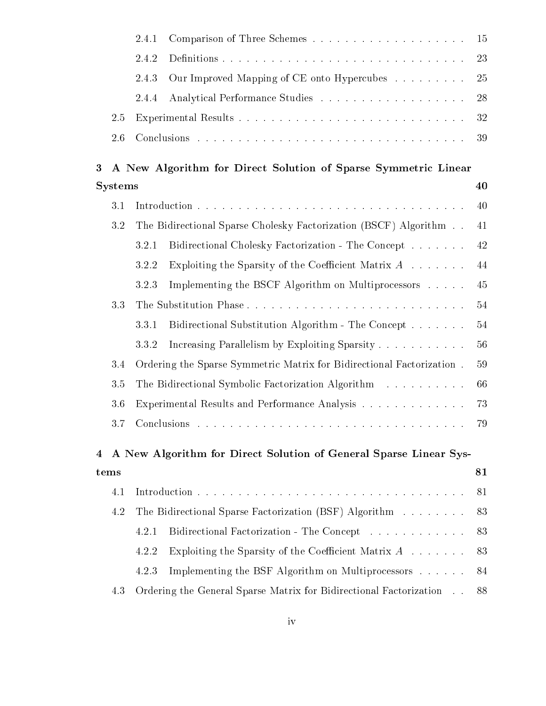|         |                   | 2.4.1 |                                                                       | 15 |
|---------|-------------------|-------|-----------------------------------------------------------------------|----|
|         |                   | 2.4.2 |                                                                       | 23 |
|         |                   | 2.4.3 | Our Improved Mapping of CE onto Hypercubes                            | 25 |
|         |                   | 2.4.4 |                                                                       | 28 |
|         | 2.5               |       |                                                                       | 32 |
|         | 2.6               |       |                                                                       | 39 |
| 3       |                   |       | A New Algorithm for Direct Solution of Sparse Symmetric Linear        |    |
|         | <b>Systems</b>    |       |                                                                       | 40 |
|         | 3.1               |       |                                                                       | 40 |
|         | 3.2               |       | The Bidirectional Sparse Cholesky Factorization (BSCF) Algorithm      | 41 |
|         |                   | 3.2.1 | Bidirectional Cholesky Factorization - The Concept                    | 42 |
|         |                   | 3.2.2 | Exploiting the Sparsity of the Coefficient Matrix $A \dots \dots$     | 44 |
|         |                   | 3.2.3 | Implementing the BSCF Algorithm on Multiprocessors                    | 45 |
|         | 3.3               |       | The Substitution Phase                                                | 54 |
|         |                   | 3.3.1 | Bidirectional Substitution Algorithm - The Concept                    | 54 |
|         |                   | 3.3.2 | Increasing Parallelism by Exploiting Sparsity                         | 56 |
|         | 3.4               |       | Ordering the Sparse Symmetric Matrix for Bidirectional Factorization. | 59 |
|         | $3.5\,$           |       | The Bidirectional Symbolic Factorization Algorithm                    | 66 |
|         | 3.6               |       | Experimental Results and Performance Analysis                         | 73 |
|         | 3.7               |       |                                                                       | 79 |
| $\bf 4$ |                   |       | A New Algorithm for Direct Solution of General Sparse Linear Sys-     |    |
|         | ${\rm \bf terms}$ |       |                                                                       | 81 |
|         | 4.1               |       |                                                                       | 81 |
|         | 4.2               |       | The Bidirectional Sparse Factorization (BSF) Algorithm                | 83 |
|         |                   | 4.2.1 | Bidirectional Factorization - The Concept                             | 83 |
|         |                   | 4.2.2 | Exploiting the Sparsity of the Coefficient Matrix $A \dots \dots$     | 83 |
|         |                   | 4.2.3 | Implementing the BSF Algorithm on Multiprocessors                     | 84 |
|         | 4.3               |       | Ordering the General Sparse Matrix for Bidirectional Factorization    | 88 |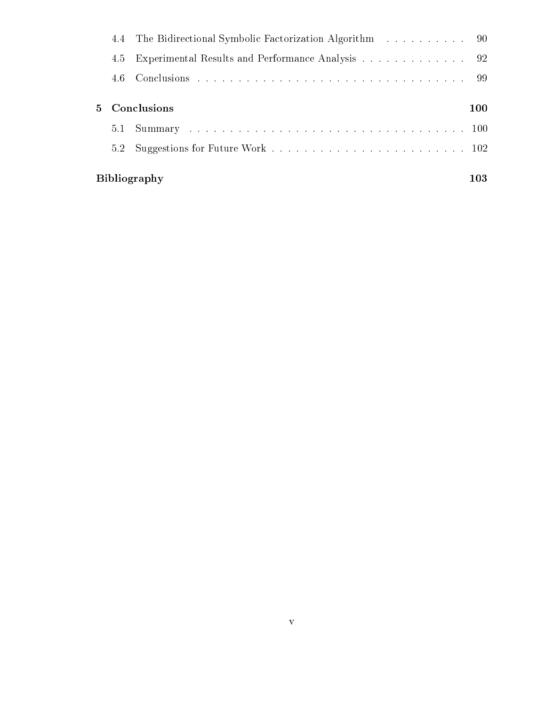|     | 4.4 The Bidirectional Symbolic Factorization Algorithm 90 |     |
|-----|-----------------------------------------------------------|-----|
| 4.5 | Experimental Results and Performance Analysis 92          |     |
| 4.6 |                                                           |     |
|     | 5 Conclusions                                             | 100 |
| 5.1 |                                                           |     |
|     |                                                           |     |
|     | <b>Bibliography</b>                                       | 103 |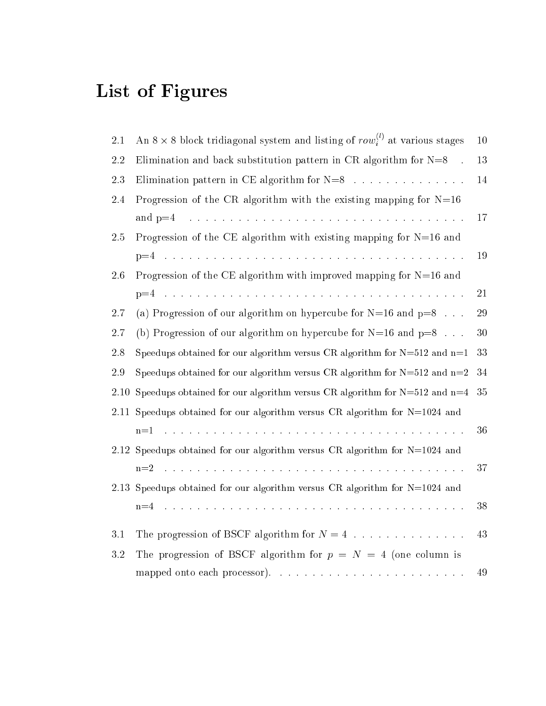# List of Figures

| An 8 $\times$ 8 block tridiagonal system and listing of row <sub>i</sub> <sup>(1)</sup> at various stages                         | 10     |
|-----------------------------------------------------------------------------------------------------------------------------------|--------|
| Elimination and back substitution pattern in CR algorithm for $N=8$ .                                                             | 13     |
| Elimination pattern in CE algorithm for $N=8$                                                                                     | 14     |
| Progression of the CR algorithm with the existing mapping for $N=16$                                                              |        |
| .<br>The contract of the contract of the contract of the contract of the contract of the contract of the contract of<br>and $p=4$ | 17     |
| Progression of the CE algorithm with existing mapping for $N=16$ and                                                              |        |
|                                                                                                                                   | 19     |
| Progression of the CE algorithm with improved mapping for $N=16$ and                                                              |        |
|                                                                                                                                   | 21     |
| (a) Progression of our algorithm on hypercube for $N=16$ and $p=8$                                                                | $29\,$ |
| (b) Progression of our algorithm on hypercube for $N=16$ and $p=8$                                                                | 30     |
| Speedups obtained for our algorithm versus CR algorithm for $N=512$ and $n=1$                                                     | 33     |
| Speedups obtained for our algorithm versus CR algorithm for $N=512$ and $n=2$                                                     | 34     |
| Speedups obtained for our algorithm versus CR algorithm for $N=512$ and $n=4$                                                     | 35     |
| 2.11 Speedups obtained for our algorithm versus CR algorithm for $N=1024$ and                                                     |        |
| والمتعاط والمتعاط والمتعاط والمتعاط والمتعاط والمتعاط والمتعاط والمتعاط والمتعاط والمتعاط والمتعاط والمتعاط والمتعاط<br>$n=1$     | 36     |
| 2.12 Speedups obtained for our algorithm versus CR algorithm for $N=1024$ and                                                     |        |
| والمتعاونة والمتعاونة والمتعاونة والمتعاونة والمتعاونة والمتعاونة والمتعاونة والمتعاونة والمتعاونة والمتعاونة<br>$n=2$            | 37     |
| 2.13 Speedups obtained for our algorithm versus CR algorithm for $N=1024$ and                                                     |        |
| والمتعاون والمتعاون والمتعاون والمتعاون والمتعاون والمتعاون والمتعاون والمتعاون والمتعاون والمتعاون والمتعاون<br>$n=4$            | 38     |
| The progression of BSCF algorithm for $N = 4$                                                                                     | 43     |
| The progression of BSCF algorithm for $p = N = 4$ (one column is                                                                  |        |
|                                                                                                                                   | $49\,$ |
|                                                                                                                                   |        |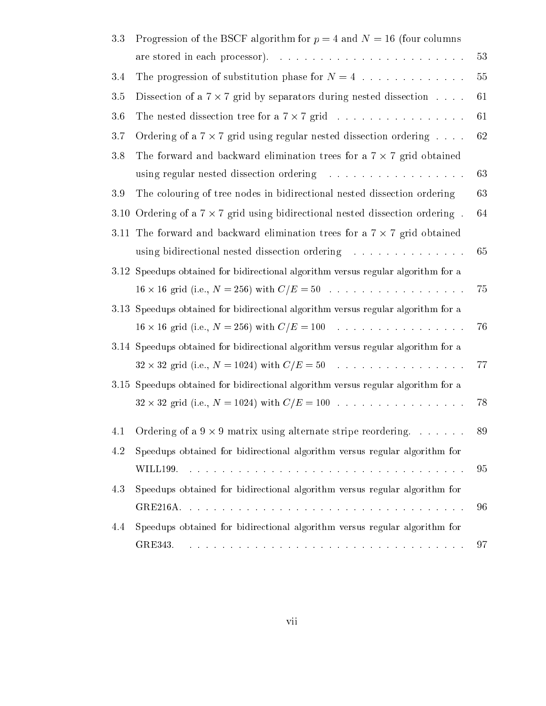| 3.3  | Progression of the BSCF algorithm for $p = 4$ and $N = 16$ (four columns                                                  |    |
|------|---------------------------------------------------------------------------------------------------------------------------|----|
|      |                                                                                                                           | 53 |
| 3.4  | The progression of substitution phase for $N = 4$                                                                         | 55 |
| 3.5  | Dissection of a $7 \times 7$ grid by separators during nested dissection                                                  | 61 |
| 3.6  | The nested dissection tree for a $7 \times 7$ grid                                                                        | 61 |
| 3.7  | Ordering of a $7 \times 7$ grid using regular nested dissection ordering                                                  | 62 |
| 3.8  | The forward and backward elimination trees for a $7 \times 7$ grid obtained                                               |    |
|      |                                                                                                                           | 63 |
| 3.9  | The colouring of tree nodes in bidirectional nested dissection ordering                                                   | 63 |
| 3.10 | Ordering of a $7 \times 7$ grid using bidirectional nested dissection ordering.                                           | 64 |
| 3.11 | The forward and backward elimination trees for a $7 \times 7$ grid obtained                                               |    |
|      | using bidirectional nested dissection ordering                                                                            | 65 |
|      | 3.12 Speedups obtained for bidirectional algorithm versus regular algorithm for a                                         |    |
|      | $16 \times 16$ grid (i.e., $N = 256$ ) with $C/E = 50$                                                                    | 75 |
|      | 3.13 Speedups obtained for bidirectional algorithm versus regular algorithm for a                                         |    |
|      | $16 \times 16$ grid (i.e., $N = 256$ ) with $C/E = 100$                                                                   | 76 |
|      | 3.14 Speedups obtained for bidirectional algorithm versus regular algorithm for a                                         |    |
|      | $32 \times 32$ grid (i.e., $N = 1024$ ) with $C/E = 50$                                                                   | 77 |
|      | 3.15 Speedups obtained for bidirectional algorithm versus regular algorithm for a                                         |    |
|      | $32\times32$ grid (i.e., $N=1024)$ with $C/E=100$                                                                         | 78 |
|      | 4.1 Ordering of a $9 \times 9$ matrix using alternate stripe reordering.                                                  | 89 |
| 4.2  | Speedups obtained for bidirectional algorithm versus regular algorithm for                                                |    |
|      |                                                                                                                           | 95 |
| 4.3  | Speedups obtained for bidirectional algorithm versus regular algorithm for                                                |    |
|      |                                                                                                                           | 96 |
| 4.4  | Speedups obtained for bidirectional algorithm versus regular algorithm for                                                |    |
|      | GRE343.<br>والمتحاوية والمتحاولة والمتحاولة والمتحاولة والمتحاولة والمتحاولة والمتحاولة والمتحاولة والمتحاولة والمتحاولات | 97 |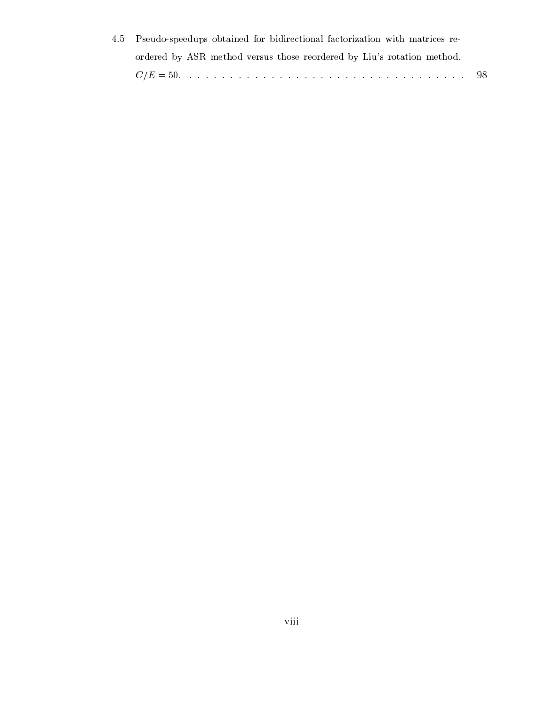| 4.5 Pseudo-speedups obtained for bidirectional factorization with matrices re- |  |
|--------------------------------------------------------------------------------|--|
| ordered by ASR method versus those reordered by Liu's rotation method.         |  |
|                                                                                |  |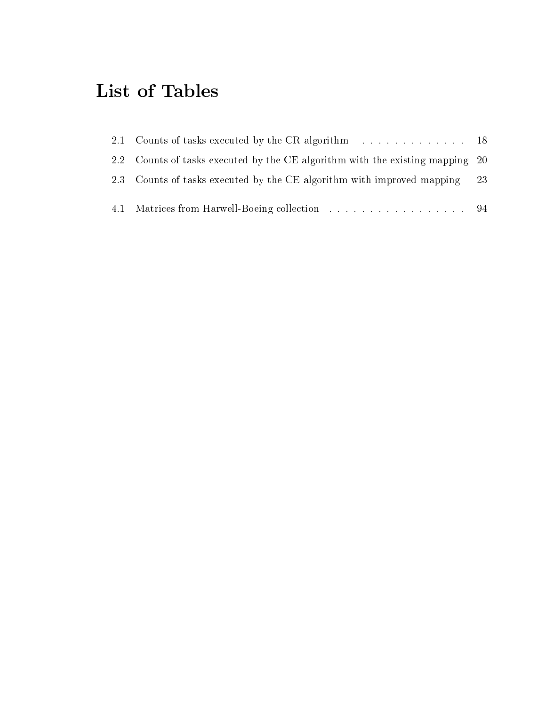# List of Tables

| 2.1 Counts of tasks executed by the CR algorithm  18                          |     |
|-------------------------------------------------------------------------------|-----|
| 2.2 Counts of tasks executed by the CE algorithm with the existing mapping 20 |     |
| 2.3 Counts of tasks executed by the CE algorithm with improved mapping        | -23 |
|                                                                               |     |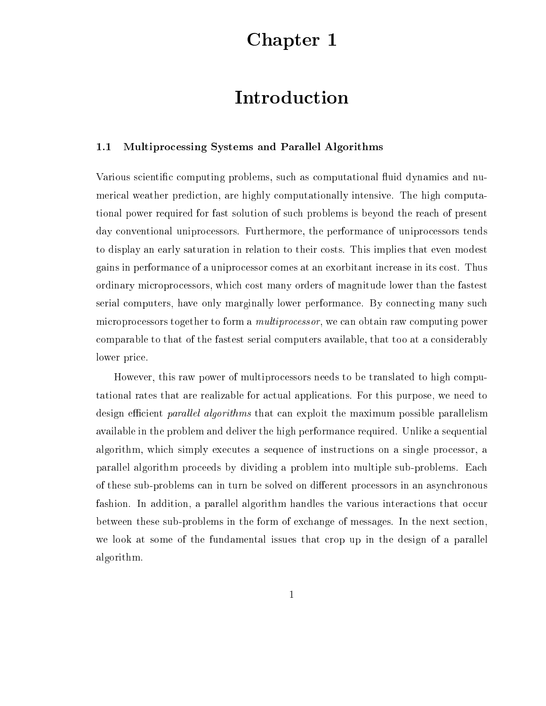## Chapter 1

## Introduction

#### 1.1 Multipro
essing Systems and Parallel Algorithms

Various scientific computing problems, such as computational fluid dynamics and numerical weather prediction, are highly computationally intensive. The high computational power required for fast solution of su
h problems is beyond the rea
h of present day onventional unipro
essors. Furthermore, the performan
e of unipro
essors tends to display an early saturation in relation to their costs. This implies that even modest gains in performan
e of a unipro
essor omes at an exorbitant in
rease in its ost. Thus ordinary mi
ropro
essors, whi
h ost many orders of magnitude lower than the fastest serial computers, have only marginally lower performance. By connecting many such microprocessors together to form a *multiprocessor*, we can obtain raw computing power omparable to that of the fastest serial omputers available, that too at a onsiderably lower pri
e.

However, this raw power of multiprocessors needs to be translated to high computational rates that are realizable for a
tual appli
ations. For this purpose, we need to design efficient *parallel algorithms* that can exploit the maximum possible parallelism available in the problem and deliver the high performan
e required. Unlike a sequential algorithm, whi
h simply exe
utes a sequen
e of instru
tions on a single pro
essor, a parallel algorithm pro
eeds by dividing a problem into multiple sub-problems. Ea
h of these sub-problems can in turn be solved on different processors in an asynchronous fashion. In addition, a parallel algorithm handles the various interactions that occur between these sub-problems in the form of ex
hange of messages. In the next se
tion, we look at some of the fundamental issues that crop up in the design of a parallel algorithm.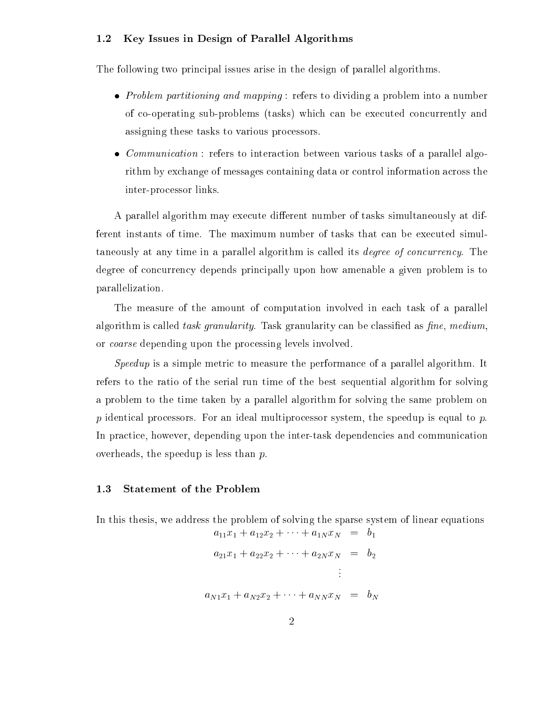#### 1.2 Key Issues in Design of Parallel Algorithms

The following two principal issues arise in the design of parallel algorithms.

- Problem partitioning and mapping : refers to dividing a problem into a number of co-operating sub-problems (tasks) which can be executed concurrently and assigning these tasks to various pro
essors.
- Communi
ation : refers to intera
tion between various tasks of a parallel algorithm by exchange of messages containing data or control information across the inter-pro
essor links.

A parallel algorithm may execute different number of tasks simultaneously at different instants of time. The maximum number of tasks that can be executed simultaneously at any time in a parallel algorithm is called its *degree of concurrency*. The degree of concurrency depends principally upon how amenable a given problem is to parallelization.

The measure of the amount of computation involved in each task of a parallel algorithm is called task granularity. Task granularity can be classified as  $\hat{f}$  medium. or *coarse* depending upon the processing levels involved.

Speedup is a simple metric to measure the performance of a parallel algorithm. It refers to the ratio of the serial run time of the best sequential algorithm for solving a problem to the time taken by a parallel algorithm for solving the same problem on p identical processors. For an ideal multiprocessor system, the speedup is equal to p. In practice, however, depending upon the inter-task dependencies and communication overheads, the speedup is less than p.

#### 1.3 Statement of the Problem

In this thesis, we address the problem of solving the sparse system of linear equations

$$
a_{11}x_1 + a_{12}x_2 + \cdots + a_{1N}x_N = b_1
$$
  
\n
$$
a_{21}x_1 + a_{22}x_2 + \cdots + a_{2N}x_N = b_2
$$
  
\n
$$
\vdots
$$
  
\n
$$
a_{N1}x_1 + a_{N2}x_2 + \cdots + a_{NN}x_N = b_N
$$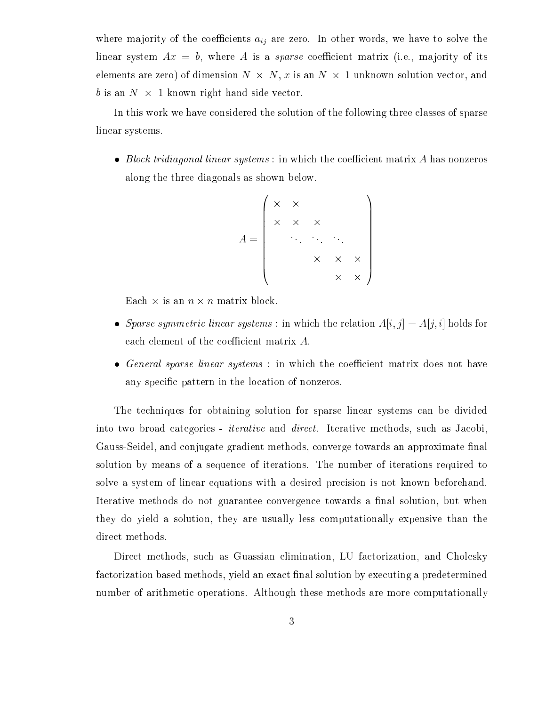where majority of the majority of the majority of the solve the solve the solve the solve the solve the solve t linear system  $Ax = b$ , where A is a *sparse* coefficient matrix (i.e., majority of its elements are zero) of dimension N - N, x is an N - 1 unknown solution ve
tor, and b is an N - 1 known right hand side ve
tor.

In this work we have considered the solution of the following three classes of sparse linear systems.

e tridi in the system systems : in which is a has non-the system of the second contract to a has nonzeros in along the three diagonals as shown below.

$$
A = \left(\begin{array}{cccc} \times & \times & & & \\ \times & \times & \times & & & \\ & & \ddots & \ddots & \ddots & \\ & & \times & \times & \times \\ & & & \times & \times \end{array}\right)
$$

- sparse symmetric museum systems : in which the relation Afinity it is a figure and the each element of the coefficient matrix A.
- General sparse linear systems : in whi
h the oeÆ
ient matrix does not have any specific pattern in the location of nonzeros.

The te
hniques for obtaining solution for sparse linear systems an be divided into two broad categories - *iterative* and *direct*. Iterative methods, such as Jacobi, Gauss-Seidel, and conjugate gradient methods, converge towards an approximate final solution by means of a sequen
e of iterations. The number of iterations required to solve a system of linear equations with a desired pre
ision is not known beforehand. Iterative methods do not guarantee convergence towards a final solution, but when they do yield a solution, they are usually less omputationally expensive than the direct methods.

Direct methods, such as Guassian elimination, LU factorization, and Cholesky factorization based methods, yield an exact final solution by executing a predetermined number of arithmetic operations. Although these methods are more computationally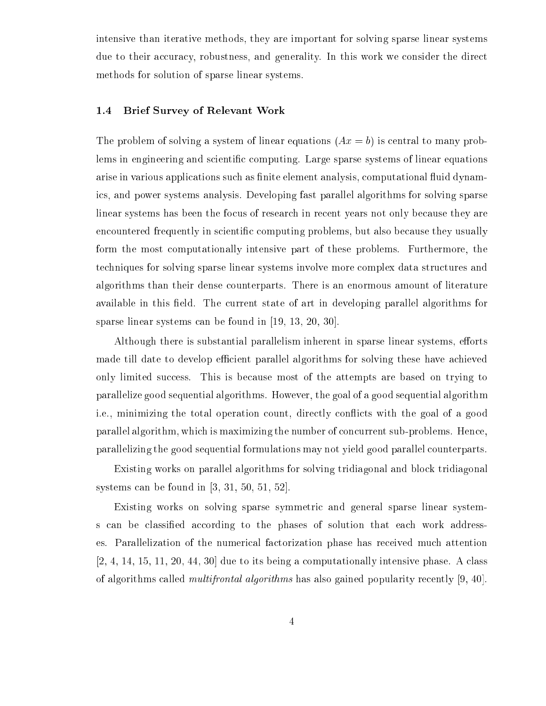intensive than iterative methods, they are important for solving sparse linear systems due to their accuracy, robustness, and generality. In this work we consider the direct methods for solution of sparse linear systems.

#### 1.4 Brief Survey of Relevant Work

The problem of solving a system of linear equations  $(Ax = b)$  is central to many problems in engineering and scientific computing. Large sparse systems of linear equations arise in various applications such as finite element analysis, computational fluid dynamics, and power systems analysis. Developing fast parallel algorithms for solving sparse linear systems has been the focus of research in recent years not only because they are encountered frequently in scientific computing problems, but also because they usually form the most omputationally intensive part of these problems. Furthermore, the techniques for solving sparse linear systems involve more complex data structures and algorithms than their dense ounterparts. There is an enormous amount of literature available in this field. The current state of art in developing parallel algorithms for sparse linear systems can be found in  $[19, 13, 20, 30]$ .

Although there is substantial parallelism inherent in sparse linear systems, efforts made till date to develop efficient parallel algorithms for solving these have achieved only limited success. This is because most of the attempts are based on trying to parallelize good sequential algorithms. However, the goal of a good sequential algorithm i.e., minimizing the total operation count, directly conflicts with the goal of a good parallel algorithm, which is maximizing the number of concurrent sub-problems. Hence, parallelizing the good sequential formulations may not yield good parallel ounterparts.

Existing works on parallel algorithms for solving tridiagonal and blo
k tridiagonal systems can be found in  $[3, 31, 50, 51, 52]$ .

Existing works on solving sparse symmetri and general sparse linear systems can be classified according to the phases of solution that each work addresses. Parallelization of the numerical factorization phase has received much attention  $[2, 4, 14, 15, 11, 20, 44, 30]$  due to its being a computationally intensive phase. A class of algorithms called *multifrontal algorithms* has also gained popularity recently [9, 40].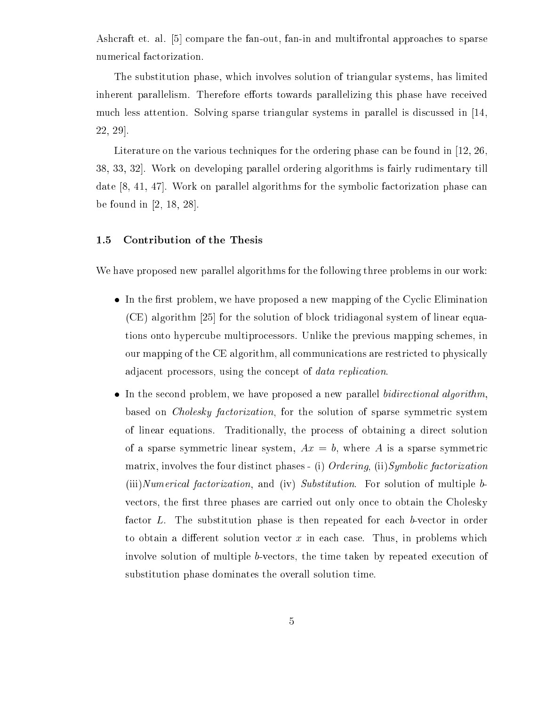Ashcraft et. al. [5] compare the fan-out, fan-in and multifrontal approaches to sparse numerical factorization.

The substitution phase, whi
h involves solution of triangular systems, has limited inherent parallelism. Therefore efforts towards parallelizing this phase have received much less attention. Solving sparse triangular systems in parallel is discussed in [14,  $22, 29$ .

Literature on the various techniques for the ordering phase can be found in [12, 26, 38, 33, 32. Work on developing parallel ordering algorithms is fairly rudimentary till date  $[8, 41, 47]$ . Work on parallel algorithms for the symbolic factorization phase can be found in  $[2, 18, 28]$ .

#### 1.5 Contribution of the Thesis

We have proposed new parallel algorithms for the following three problems in our work:

- In the rst problem, we have proposed a new mapping of the Cy
li Elimination  $(CE)$  algorithm [25] for the solution of block tridiagonal system of linear equations onto hyper
ube multipro
essors. Unlike the previous mapping s
hemes, in our mapping of the CE algorithm, all communications are restricted to physically adjacent processors, using the concept of *data replication*.
- In the se
ond problem, we have proposed a new parallel bidire
tional algorithm, based on *Cholesky factorization*, for the solution of sparse symmetric system of linear equations. Traditionally, the pro
ess of obtaining a dire
t solution of a sparse symmetric linear system,  $Ax = b$ , where A is a sparse symmetric matrix, involves the four distinct phases  $-$  (i) Ordering, (ii) Symbolic factorization  $(iii) Numerical factorization$ , and  $(iv) Substitution$ . For solution of multiple bvectors, the first three phases are carried out only once to obtain the Cholesky factor L. The substitution phase is then repeated for each b-vector in order to obtain a different solution vector x in each case. Thus, in problems which involve solution of multiple b-vectors, the time taken by repeated execution of substitution phase dominates the overall solution time.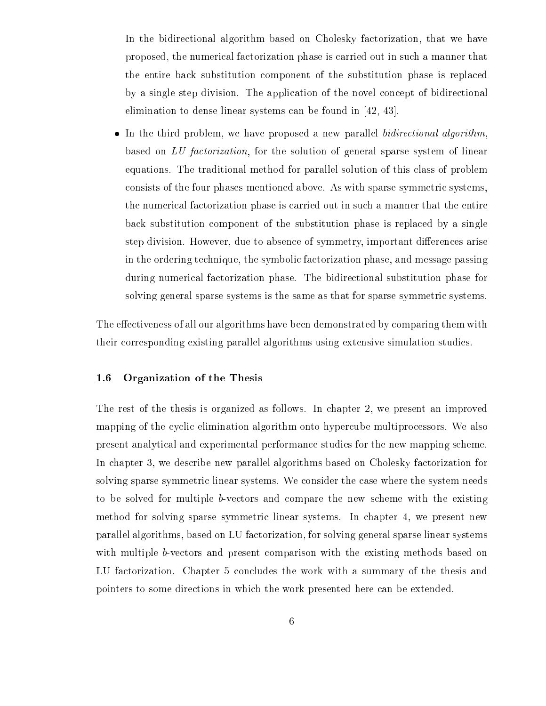In the bidirectional algorithm based on Cholesky factorization, that we have proposed, the numeri
al fa
torization phase is arried out in su
h a manner that the entire ba
k substitution omponent of the substitution phase is repla
ed by a single step division. The application of the novel concept of bidirectional elimination to dense linear systems can be found in  $[42, 43]$ .

 In the third problem, we have proposed a new parallel bidire
tional algorithm, based on LU factorization, for the solution of general sparse system of linear equations. The traditional method for parallel solution of this lass of problem consists of the four phases mentioned above. As with sparse symmetric systems, the numerical factorization phase is carried out in such a manner that the entire ba
k substitution omponent of the substitution phase is repla
ed by a single step division. However, due to absence of symmetry, important differences arise in the ordering technique, the symbolic factorization phase, and message passing during numeri
al fa
torization phase. The bidire
tional substitution phase for solving general sparse systems is the same as that for sparse symmetric systems.

The effectiveness of all our algorithms have been demonstrated by comparing them with their orresponding existing parallel algorithms using extensive simulation studies.

#### 1.6 Organization of the Thesis

The rest of the thesis is organized as follows. In hapter 2, we present an improved mapping of the cyclic elimination algorithm onto hypercube multiprocessors. We also present analyti
al and experimental performan
e studies for the new mapping s
heme. In chapter 3, we describe new parallel algorithms based on Cholesky factorization for solving sparse symmetric linear systems. We consider the case where the system needs to be solved for multiple b-ve
tors and ompare the new s
heme with the existing method for solving sparse symmetri linear systems. In hapter 4, we present new parallel algorithms, based on LU fa
torization, for solving general sparse linear systems with multiple *b*-vectors and present comparison with the existing methods based on LU factorization. Chapter 5 concludes the work with a summary of the thesis and pointers to some dire
tions in whi
h the work presented here an be extended.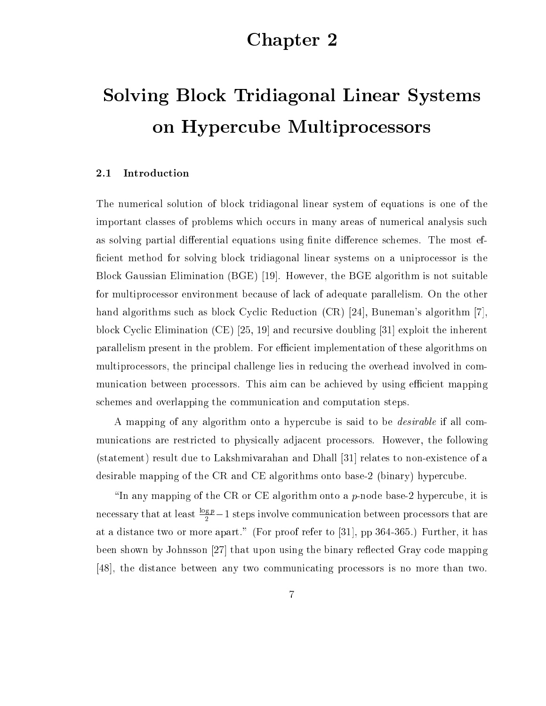## Chapter 2

# Solving Blo
k Tridiagonal Linear Systems on Hyper
ube Multipro
essors

#### 2.1 Introduction

The numerical solution of block tridiagonal linear system of equations is one of the important classes of problems which occurs in many areas of numerical analysis such as solving partial differential equations using finite difference schemes. The most efficient method for solving block tridiagonal linear systems on a uniprocessor is the Block Gaussian Elimination (BGE) [19]. However, the BGE algorithm is not suitable for multiprocessor environment because of lack of adequate parallelism. On the other hand algorithms such as block Cyclic Reduction  $(CR)$  [24], Buneman's algorithm [7]. block Cyclic Elimination (CE) [25, 19] and recursive doubling [31] exploit the inherent parallelism present in the problem. For efficient implementation of these algorithms on multiprocessors, the principal challenge lies in reducing the overhead involved in communication between processors. This aim can be achieved by using efficient mapping s
hemes and overlapping the ommuni
ation and omputation steps.

A mapping of any algorithm onto a hypercube is said to be *desirable* if all communi
ations are restri
ted to physi
ally adja
ent pro
essors. However, the following  $(\text{statement})$  result due to Lakshmivarahan and Dhall [31] relates to non-existence of a desirable mapping of the CR and CE algorithms onto base-2 (binary) hypercube.

"In any mapping of the CR or CE algorithm onto a  $p$ -node base-2 hypercube, it is necessary that at least  $\frac{p-2}{2} - 1$  steps involve communication between processors that are at a distance two or more apart." (For proof refer to [31], pp 364-365.) Further, it has been shown by Johnsson  $[27]$  that upon using the binary reflected Gray code mapping [48], the distance between any two communicating processors is no more than two.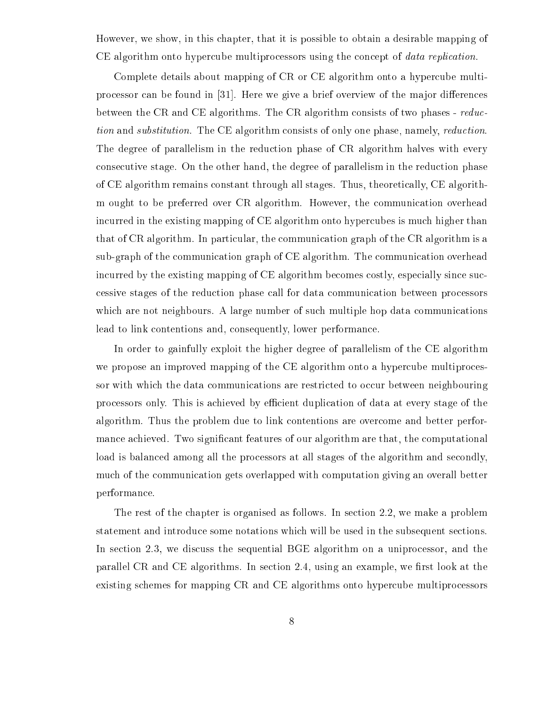However, we show, in this chapter, that it is possible to obtain a desirable mapping of CE algorithm onto hypercube multiprocessors using the concept of *data replication*.

Complete details about mapping of CR or CE algorithm onto a hypercube multiprocessor can be found in [31]. Here we give a brief overview of the major differences between the CR and CE algorithms. The CR algorithm consists of two phases - reduction and *substitution*. The CE algorithm consists of only one phase, namely, *reduction*. The degree of parallelism in the reduction phase of CR algorithm halves with every consecutive stage. On the other hand, the degree of parallelism in the reduction phase of CE algorithm remains onstant through all stages. Thus, theoreti
ally, CE algorithm ought to be preferred over CR algorithm. However, the communication overhead incurred in the existing mapping of CE algorithm onto hypercubes is much higher than that of CR algorithm. In particular, the communication graph of the CR algorithm is a sub-graph of the communication graph of CE algorithm. The communication overhead incurred by the existing mapping of CE algorithm becomes costly, especially since sucessive stages of the redu
tion phase all for data ommuni
ation between pro
essors which are not neighbours. A large number of such multiple hop data communications lead to link ontentions and, onsequently, lower performan
e.

In order to gainfully exploit the higher degree of parallelism of the CE algorithm we propose an improved mapping of the CE algorithm onto a hypercube multiprocessor with which the data communications are restricted to occur between neighbouring pro
essors only. This is a
hieved by eÆ
ient dupli
ation of data at every stage of the algorithm. Thus the problem due to link ontentions are over
ome and better performance achieved. Two significant features of our algorithm are that, the computational load is balanced among all the processors at all stages of the algorithm and secondly, mu
h of the ommuni
ation gets overlapped with omputation giving an overall better performan
e.

The rest of the chapter is organised as follows. In section 2.2, we make a problem statement and introdu
e some notations whi
h will be used in the subsequent se
tions. In section 2.3, we discuss the sequential BGE algorithm on a uniprocessor, and the parallel CR and CE algorithms. In section 2.4, using an example, we first look at the existing schemes for mapping CR and CE algorithms onto hypercube multiprocessors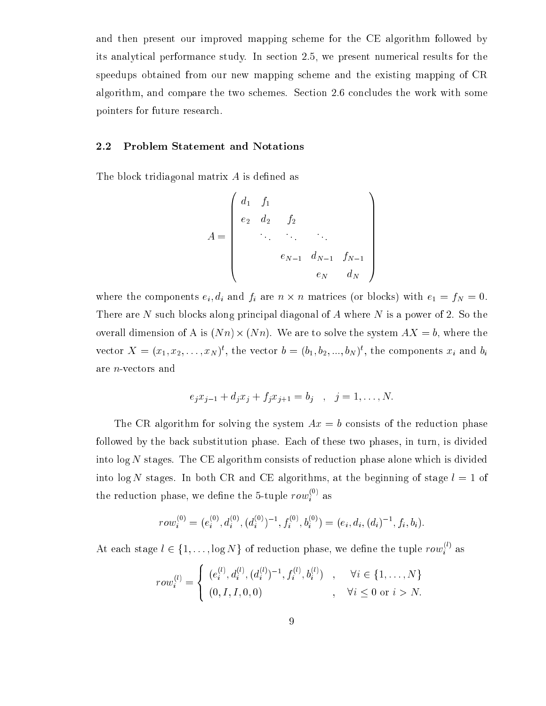and then present our improved mapping s
heme for the CE algorithm followed by its analyti
al performan
e study. In se
tion 2.5, we present numeri
al results for the speedups obtained from our new mapping s
heme and the existing mapping of CR algorithm, and ompare the two s
hemes. Se
tion 2.6 on
ludes the work with some pointers for future resear
h.

#### 2.2 Problem Statement and Notations

The block tridiagonal matrix  $A$  is defined as

 $\overline{\phantom{a}}$ 

$$
A = \begin{pmatrix} d_1 & f_1 & & & \\ e_2 & d_2 & f_2 & & \\ & \ddots & \ddots & \ddots & \\ & & e_{N-1} & d_{N-1} & f_{N-1} \\ & & & & e_N & d_N \end{pmatrix}
$$

 $\sim$ 

where the components  $\{0,1\}$  are n  $\{0,1\}$  and for the following the following  $\{1,2,3\}$  with end  $\{1,2,3\}$ There are N such blocks along principal diagonal of A where N is a power of 2. So the overall dimension of A is (N n) -  $N$  are to solve the system AX  $\mu$  are to solve the system AX  $\mu$ vector  $A = (x_1, x_2, \ldots, x_N)$ , the vector  $b = (b_1, b_2, \ldots, b_N)$ , the components  $x_i$  and  $b_i$ are n-ve
tors and

$$
e_j x_{j-1} + d_j x_j + f_j x_{j+1} = b_j \quad , \quad j = 1, \dots, N.
$$

The CR algorithm for solving the system  $Ax = b$  consists of the reduction phase followed by the back substitution phase. Each of these two phases, in turn, is divided into  $\log N$  stages. The CE algorithm consists of reduction phase alone which is divided into  $\log N$  stages. In both CR and CE algorithms, at the beginning of stage  $l = 1$  of the reduction phase, we define the 5-tuple  $row_i^{\leftrightarrow}$  as

$$
row_i^{(0)} = (e_i^{(0)}, d_i^{(0)}, (d_i^{(0)})^{-1}, f_i^{(0)}, b_i^{(0)}) = (e_i, d_i, (d_i)^{-1}, f_i, b_i).
$$

At each stage  $l \in \{1, \ldots, \log N\}$  of reduction phase, we define the tuple  $row_i^{\vee\vee}$  as

$$
row_i^{(l)} = \begin{cases} (e_i^{(l)}, d_i^{(l)}, (d_i^{(l)})^{-1}, f_i^{(l)}, b_i^{(l)}) & , & \forall i \in \{1, ..., N\} \\ (0, I, I, 0, 0) & , & \forall i \leq 0 \text{ or } i > N. \end{cases}
$$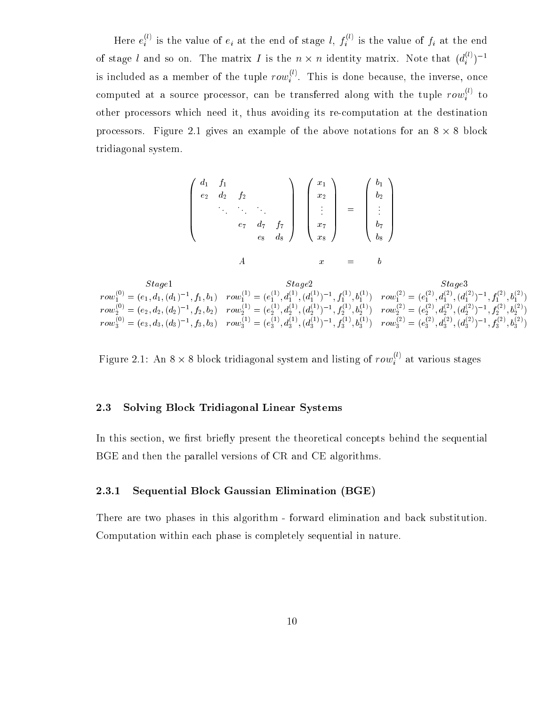Here  $e_i^{\gamma}$  is the value of  $e_i$  at the end of stage l,  $f_i^{\gamma}$  is the value of  $f_i$  at the end iiof stage l and so on. The matrix I is the  $n \times n$  identity matrix. Note that  $(d_i^{\gamma})$  $i$  ) – is included as a member of the tuple  $row_i^{\vee}$ . This is done because, the inverse, once icomputed at a source processor, can be transferred along with the tuple  $row_i^{\times}$  to other pro
essors whi
h need it, thus avoiding its reomputation at the destination produced an example of the above notations for an above notations for any  $\alpha$  and an  $\alpha$ tridiagonal system.

$$
\begin{pmatrix}\n d_1 & f_1 \\
 e_2 & d_2 & f_2 \\
 & \ddots & \ddots & \ddots \\
 & & e_7 & d_7 & f_7 \\
 & & & e_8 & d_8\n\end{pmatrix}\n\begin{pmatrix}\n x_1 \\
 x_2 \\
 \vdots \\
 x_7 \\
 x_8\n\end{pmatrix}\n=\n\begin{pmatrix}\n b_1 \\
 b_2 \\
 \vdots \\
 b_7 \\
 b_8\n\end{pmatrix}
$$
\n
$$
A \qquad x = b
$$

Stage1 Stage2 Stage3  $row_1^{(1)} = (e_1, d_1, (d_1)^{-1}, f_1, b_1)$   $row_1^{(1)} = (e_1^{(1)}, d_1^{(1)}, (d_1^{(1)})^{-1}, f_1^{(1)}, b_1^{(1)})$   $row_1^{(1)} = (e_1^{(1)}, d_1^{(1)}, (d_1^{(1)})^{-1}, f_1^{(1)}, b_1^{(1)})$  $row_2^{*} = (e_2, d_2, (d_2)^{-1}, f_2, b_2)*$   $row_2^{*} = (e_2^{*'} , d_2^{*} , (d_2^{*'} )^{-1}, f_2^{*'} , b_2^{*} )******$   $row_2^{*} = (e_2^{} , (d_2^{*'} )^{-1}, f_2^{*} , b_2^{*} )****$  $row_3^{*}=(e_3,d_3,(d_3)^{-1},f_3,b_3)*$   $row_3^{*}=(e_3^{*'} ,d_3^{*'} , (d_3^{*'} )^{-1},f_3^{*'} ,b_3^{*} )******$   $row_3^{*}=(e_3^{*'} ,d_3^{*'} , (d_3^{*'} )^{-1},f_3^{*'} ,b_3^{*} )******$ 

Figure 2.1: An  $8 \times 8$  block tridiagonal system and listing of  $row_i^{\sim}$  at various stages

#### 2.3 Solving Blo
k Tridiagonal Linear Systems

In this section, we first briefly present the theoretical concepts behind the sequential BGE and then the parallel versions of CR and CE algorithms.

#### 2.3.1 Sequential Blo
k Gaussian Elimination (BGE)

There are two phases in this algorithm - forward elimination and ba
k substitution. Computation within each phase is completely sequential in nature.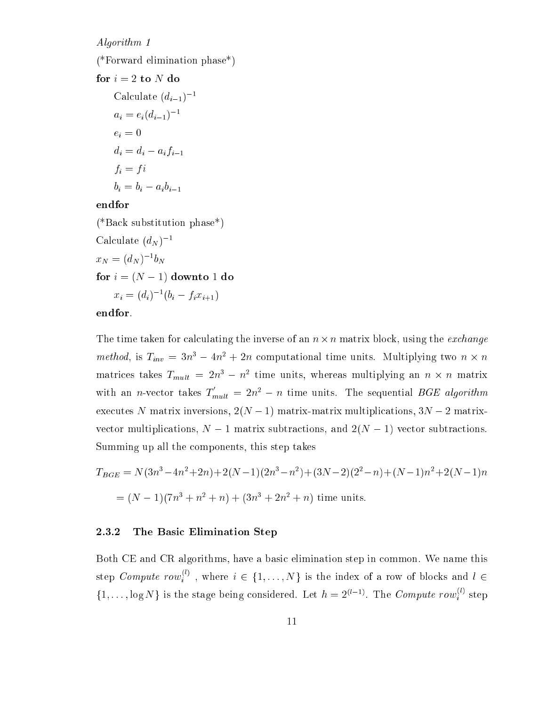Algorithm 1 (\*Forward elimination phase\*) for  $i = 2$  to  $N$  do Calculate  $(d_{i-1})^{-1}$  $a_i = e_i(a_{i-1})$ ei  $\mathbf{r}$  $\cdots$  dividends  $\cdots$  dividends  $\cdots$  $\mathbf{f}$  is a function of  $\mathbf{f}$  $\begin{array}{ccc} - & i & -i & -i \end{array}$ 

### endfor

(\*Ba
k substitution phase\*)

Calculate  $(a_N)$  –  $x_N = (a_N)^{-1}$ for  $i = (N - 1)$  downto 1 do  $x_i = (a_i)$   $(o_i - j_i x_{i+1})$ 

#### endfor.

the time the international contracts the international contracts of an international contracts  $\mu$  . *method*, is  $T_{inv} = 3n^2 - 4n^2 + 2n$  computational time units. Multiplying two  $n \times n$ matrices takes  $I_{mult} = Zn^{2} - n^{2}$  time units, whereas multiplying an  $n \times n$  matrix with an *n*-vector takes  $T_n$  $_{mult}$  =  $2n - n$  time units. The sequential BGE algorithm executes N matrix inversions,  $2(N-1)$  matrix-matrix multiplications,  $3N-2$  matrixvector multiplications,  $N-1$  matrix subtractions, and  $2(N-1)$  vector subtractions. Summing up all the omponents, this step takes

$$
T_{BGE} = N(3n^3 - 4n^2 + 2n) + 2(N-1)(2n^3 - n^2) + (3N-2)(2^2 - n) + (N-1)n^2 + 2(N-1)n
$$
  
=  $(N-1)(7n^3 + n^2 + n) + (3n^3 + 2n^2 + n)$  time units.

#### 2.3.2 The Basi Elimination Step

Both CE and CR algorithms, have a basi elimination step in ommon. We name this step *Compute row*, where  $i \in \{1, \ldots, N\}$  is the index of a row of blocks and  $l \in$  $\{1,\ldots,\log N\}$  is the stage being considered. Let  $h=2^{(i-1)}$ . The Compute row, step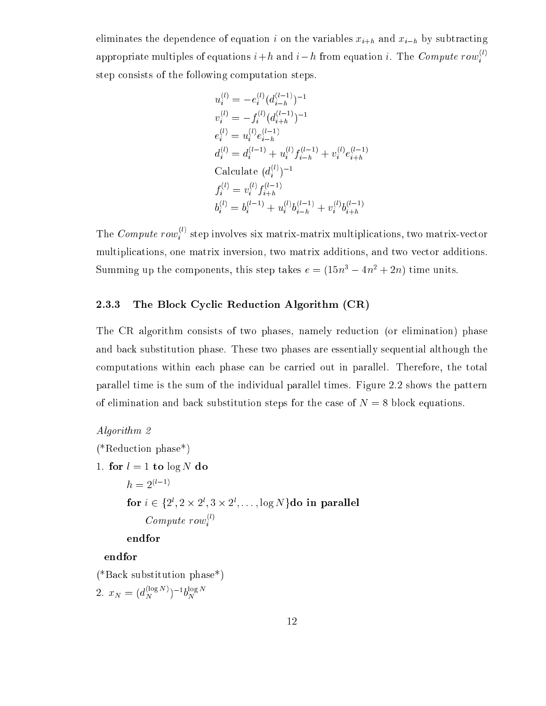eliminates the dependen
e of equation i on the variables xi+h and xih by subtra
ting appropriate multiples of equations  $i+h$  and  $i-h$  from equation  $i$ . The  $\emph{Compute row}^{i'}_i$ step onsists of the following omputation steps.

$$
u_i^{(l)} = -e_i^{(l)} (d_{i-h}^{(l-1)})^{-1}
$$
  
\n
$$
v_i^{(l)} = -f_i^{(l)} (d_{i+h}^{(l-1)})^{-1}
$$
  
\n
$$
e_i^{(l)} = u_i^{(l)} e_{i-h}^{(l-1)}
$$
  
\n
$$
d_i^{(l)} = d_i^{(l-1)} + u_i^{(l)} f_{i-h}^{(l-1)} + v_i^{(l)} e_{i+h}^{(l-1)}
$$
  
\nCalculate 
$$
(d_i^{(l)})^{-1}
$$
  
\n
$$
f_i^{(l)} = v_i^{(l)} f_{i+h}^{(l-1)}
$$
  
\n
$$
b_i^{(l)} = b_i^{(l-1)} + u_i^{(l)} b_{i-h}^{(l-1)} + v_i^{(l)} b_{i+h}^{(l-1)}
$$

The *Compute row*<sub>i</sub>' step involves six matrix-matrix multiplications, two matrix-vector multiplications, one matrix inversion, two matrix additions, and two vector additions. Summing up the components, this step takes  $e = (15n^3 - 4n^2 + 2n)$  time units.

### 2.3.3 The Block Cyclic Reduction Algorithm (CR)

The CR algorithm onsists of two phases, namely redu
tion (or elimination) phase and ba
k substitution phase. These two phases are essentially sequential although the computations within each phase can be carried out in parallel. Therefore, the total parallel time is the sum of the individual parallel times. Figure 2.2 shows the pattern of elimination and back substitution steps for the case of  $N = 8$  block equations.

### Algorithm 2 (\*Redu
tion phase\*) 1. for  $l = 1$  to  $\log N$  do  $\sqrt{1}$ for  $i \in \{2, 2 \times 2, 3 \times 2, \ldots, \log N\}$  are in parallel Compute  $row_i^{(l)}$ endfor

### endfor

(\*Ba
k substitution phase\*)

2.  $x_N = (d_N^{\vee})$  $N$  )<sup>1</sup> $b_N$ <sup>o</sup>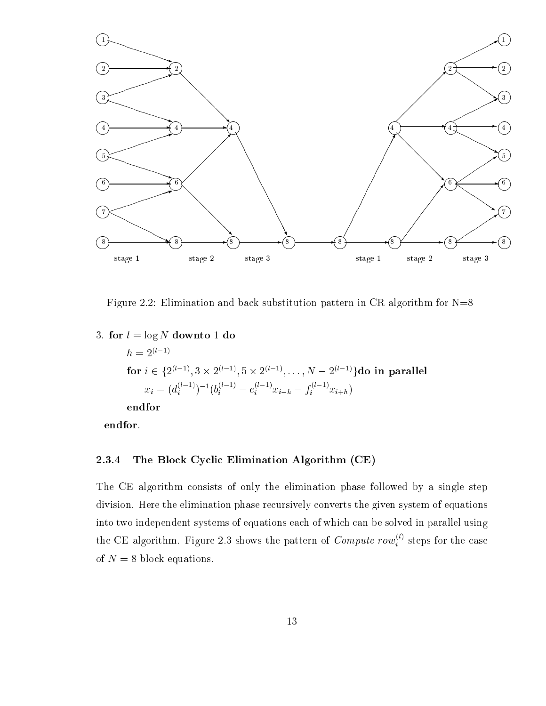

Figure 2.2: Elimination and back substitution pattern in CR algorithm for  $N=8$ 

3. for 
$$
l = \log N
$$
 downto 1 do  
\n
$$
h = 2^{(l-1)}
$$
\nfor  $i \in \{2^{(l-1)}, 3 \times 2^{(l-1)}, 5 \times 2^{(l-1)}, \dots, N - 2^{(l-1)}\}$ do in parallel  
\n
$$
x_i = (d_i^{(l-1)})^{-1} (b_i^{(l-1)} - e_i^{(l-1)} x_{i-h} - f_i^{(l-1)} x_{i+h})
$$
\nendfor

endfor.

#### 2.3.4 The Blo
k Cy
li Elimination Algorithm (CE)

The CE algorithm onsists of only the elimination phase followed by a single step division. Here the elimination phase recursively converts the given system of equations into two independent systems of equations ea
h of whi
h an be solved in parallel using the CE algorithm. Figure 2.3 shows the pattern of  $Compute\ row_i^{\sim}$  steps for the case of  $N = 8$  block equations.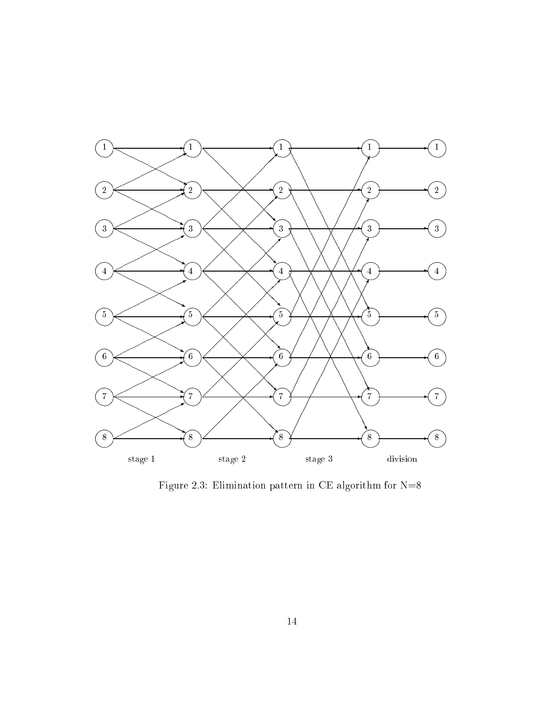

Figure 2.3: Elimination pattern in CE algorithm for  ${{\cal N}{=}}8$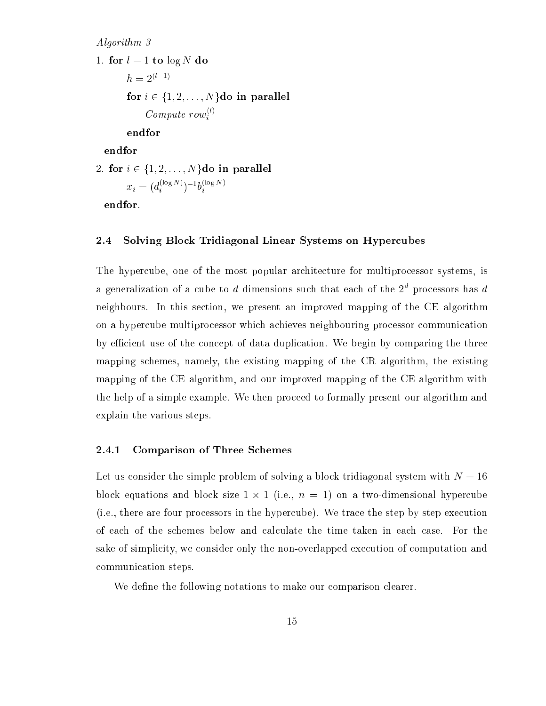Algorithm 3

1. for  $l = 1$  to  $\log N$  do  $h = 2^{(l-1)}$ for  $i \in \{1, 2, ..., N\}$ do in parallel Compute  $row_i^{(l)}$ endfor

endfor

2. for 
$$
i \in \{1, 2, \ldots, N\}
$$
 do in parallel  $x_i = (d_i^{(\log N)})^{-1} b_i^{(\log N)}$ 

endfor.

#### 2.4 Solving Blo
k Tridiagonal Linear Systems on Hyper
ubes

The hypercube, one of the most popular architecture for multiprocessor systems, is a generalization of a cube to  $a$  dimensions such that each of the  $\mathcal{Z}^+$  processors has  $a$ neighbours. In this se
tion, we present an improved mapping of the CE algorithm on a hyper
ube multipro
essor whi
h a
hieves neighbouring pro
essor ommuni
ation by efficient use of the concept of data duplication. We begin by comparing the three mapping s
hemes, namely, the existing mapping of the CR algorithm, the existing mapping of the CE algorithm, and our improved mapping of the CE algorithm with the help of a simple example. We then pro
eed to formally present our algorithm and explain the various steps.

#### 2.4.1 Comparison of Three S
hemes

Let us consider the simple problem of solving a block tridiagonal system with  $N = 16$ block and block size in the block of the street in the size of the contract of the two-dimensional hyperbolic (i.e., there are four processors in the hypercube). We trace the step by step execution of ea
h of the s
hemes below and al
ulate the time taken in ea
h ase. For the sake of simplicity, we consider only the non-overlapped execution of computation and ommuni
ation steps.

We define the following notations to make our comparison clearer.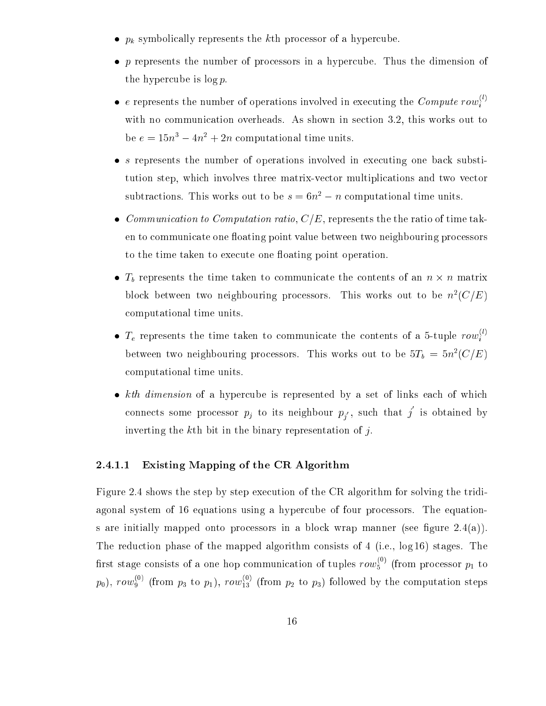- pk symbolis the the kind of production is the contract of a hyperator and any production is the first of a hyp
- p represents the number of pro
essors in a hyper
ube. Thus the dimension of the hypercube is  $\log p$ .
- e represents the number of operations involved in executing the *Compute row*.<sup>11</sup> with no communication overheads. As shown in section 3.2, this works out to be  $e = 15n^3 - 4n^2 + 2n$  computational time units.
- s represents the number of operations involved in exe
uting one ba
k substitution step, whi
h involves three matrix-ve
tor multipli
ations and two ve
tor subtractions. This works out to be  $s = 6n^2 - n$  computational time units.
- community computation ratio of the computation ratio of the representation ratio of the ratio of time takeen to communicate one floating point value between two neighbouring processors to the time taken to execute one floating point operation.
- Tb represents the time taken to ommuni
ate the ontents of an <sup>n</sup> n matrix block between two heighbouring processors. This works out to be  $n^{\circ}$  (C/E) omputational time units.
- $T_e$  represents the time taken to communicate the contents of a 5-tuple  $row_i$ between two neighbouring processors. This works out to be  $5T_b \equiv 5n$  (C/E) omputational time units.
- kth dimension of a hyper
ube is represented by a set of links ea
h of whi
h connects some processor  $p_i$  to its neighbour  $p_{i'}$ , such that j is obtained by jinverting the kth bit in the binary representation of  $j$ .

#### 2.4.1.1 Existing Mapping of the CR Algorithm

Figure 2.4 shows the step by step execution of the CR algorithm for solving the tridiagonal system of 16 equations using a hyper
ube of four pro
essors. The equations are initially mapped onto processors in a block wrap manner (see figure 2.4(a)). The reduction phase of the mapped algorithm consists of 4 (i.e.,  $log 16$ ) stages. The first stage consists of a one hop communication of tuples  $row_5^{27}$  (from processor  $p_1$  to  $p_0$ ),  $row_9^{\sim}$  (from  $p_3$  to  $p_1$ ),  $row_{13}^{\sim}$  (from  $p_2$  to  $p_3$ ) followed by the computation steps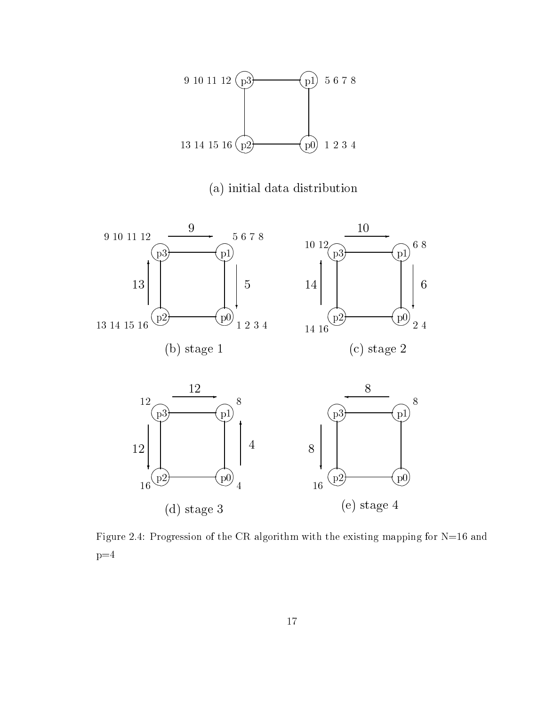

(a) initial data distribution



Figure 2.4: Progression of the CR algorithm with the existing mapping for N=16 and  $p=4$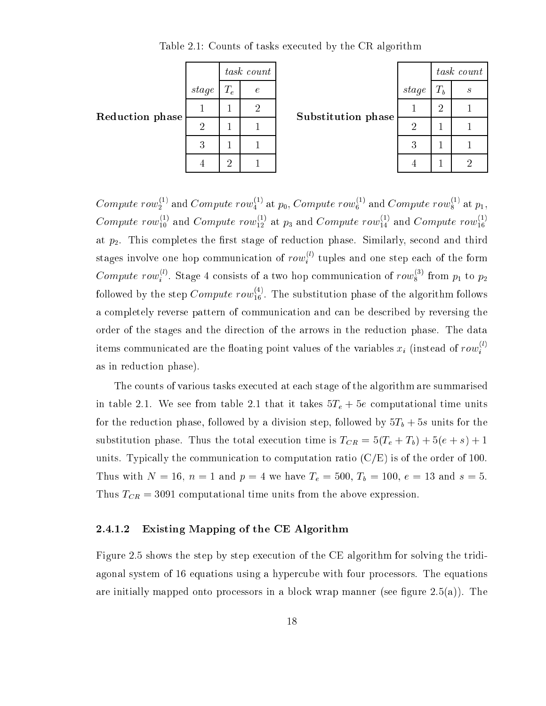Table 2.1: Counts of tasks executed by the CR algorithm

|                        |                |         | task count     |                    |       |                | task count       |
|------------------------|----------------|---------|----------------|--------------------|-------|----------------|------------------|
| <b>Reduction phase</b> | stage          | $T_e\,$ | $\epsilon$     |                    | stage | $T_{b}$        | $\boldsymbol{s}$ |
|                        |                |         | $\overline{2}$ | Substitution phase |       | $\overline{2}$ |                  |
|                        | $\overline{2}$ |         |                |                    | റ     |                |                  |
|                        | 3              |         |                |                    | 3     |                |                  |
|                        |                | റ       |                |                    |       |                |                  |

Compute row<sub>2</sub><sup>-</sup> and Compute row<sub>4</sub><sup>-</sup> at  $p_0$ , Compute row<sub>6</sub><sup>-</sup> and Compute row<sub>8</sub><sup>-</sup> at  $p_1$ , Compute row $_{10}^{10}$  and Compute row $_{12}^{12}$  at  $p_3$  and Compute row $_{14}^{12}$  and Compute row $_{16}^{16}$ at  $p_2$ . This completes the first stage of reduction phase. Similarly, second and third stages involve one hop communication of  $row_i^\vee$  tuples and one step each of the form *Compute row*;" Stage 4 consists of a two hop communication of  $row_8^{\times}$  from  $p_1$  to  $p_2$ followed by the step  $Compute\ row_{16}^\circ$  . The substitution phase of the algorithm follows - a ompletely reverse pattern of ommuni
ation and an be des
ribed by reversing the order of the stages and the dire
tion of the arrows in the redu
tion phase. The data items communicated are the floating point values of the variables  $x_i$  (instead of  $row_i^{\cdot\cdot}$ ) ias in redu
tion phase).

The ounts of various tasks exe
uted at ea
h stage of the algorithm are summarised in table 2.1. We see from table 2.1 that it takes 5Te <sup>+</sup> 5e omputational time units for the redu
tion phase, followed by a division step, followed by 5Tb <sup>+</sup> 5s units for the substitution phase. Thus the total execution phase. Thus the time is the time is TCR  $\sim$  1. The system of the time is the time is the time is the time in the time is the time in the time is the time in the time in the ti units. Typically the communication to computation ratio  $(C/E)$  is of the order of 100. Thus with Transaction in the 16, noted provided that the second provided the second terms of the second second Thus TCR <sup>=</sup> <sup>3091</sup> omputational time units from the above expression.

#### 2.4.1.2 Existing Mapping of the CE Algorithm

Figure 2.5 shows the step by step execution of the CE algorithm for solving the tridiagonal system of 16 equations using a hypercube with four processors. The equations are initially mapped onto processors in a block wrap manner (see figure  $2.5(a)$ ). The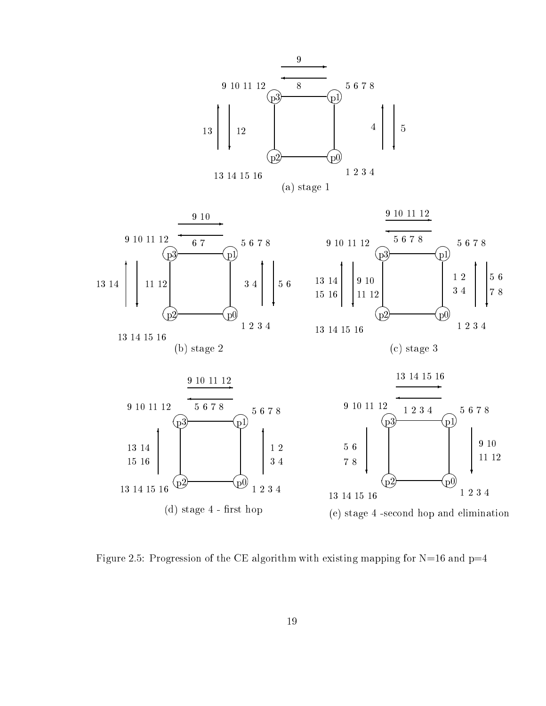

Figure 2.5: Progression of the CE algorithm with existing mapping for  $N=16$  and  $p=4$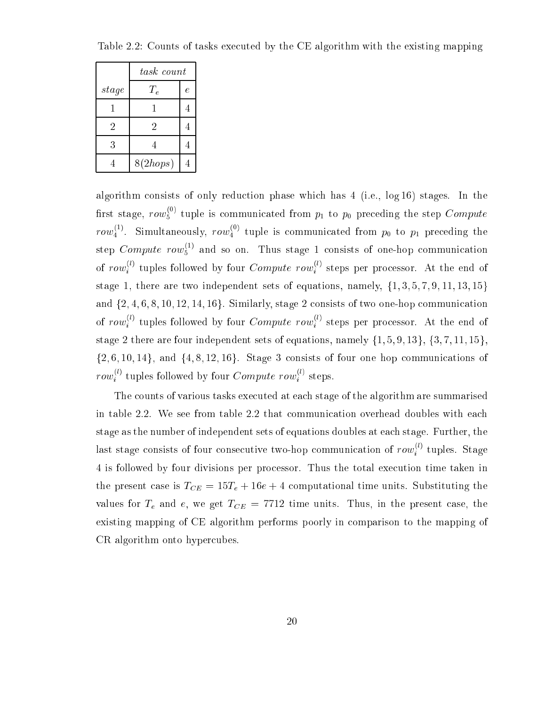|       | task count |                |  |
|-------|------------|----------------|--|
| stage | $T_e\,$    | $\overline{e}$ |  |
|       |            |                |  |
| 2     | 2          |                |  |
| 3     |            |                |  |
|       | 8(2hops)   |                |  |

Table 2.2: Counts of tasks exe
uted by the CE algorithm with the existing mapping

algorithm onsists of only redu
tion phase whi
h has 4 (i.e., log 16) stages. In the first stage,  $row_{\delta}$  tuple is communicated from  $p_1$  to  $p_0$  preceding the step  $Compute$  $row_4^{\epsilon_1}$ . Simultaneously,  $row_4^{\epsilon_2}$  tuple is communicated from  $p_0$  to  $p_1$  preceding the step  $Compute\ row_5^{2\gamma}$  and so on. Thus stage 1 consists of one-hop communication of  $row_i^{\sim}$  tuples followed by four  $Compute\ row_i^{\sim}$  steps per processor. At the end of stage 1, there are two independent sets of equations, namely,  $\{1, 3, 5, 7, 9, 11, 13, 15\}$ and  $\{2, 4, 6, 8, 10, 12, 14, 16\}$ . Similarly, stage 2 consists of two one-hop communication of  $row_i^{\sim}$  tuples followed by four  $Compute\ row_i^{\sim}$  steps per processor. At the end of stage 2 there are four independent sets of equations, namely  $\{1, 5, 9, 13\}, \{3, 7, 11, 15\}$  $\{2, 6, 10, 14\}$ , and  $\{4, 8, 12, 16\}$ . Stage 3 consists of four one hop communications of  $row_i^{\sim}$  tuples followed by four  $Compute\ row_i^{\sim}$  steps.

The ounts of various tasks exe
uted at ea
h stage of the algorithm are summarised in table 2.2. We see from table 2.2 that communication overhead doubles with each stage as the number of independent sets of equations doubles at ea
h stage. Further, the last stage consists of four consecutive two-hop communication of  $row_i^{\sim}$  tuples. Stage 4 is followed by four divisions per pro
essor. Thus the total exe
ution time taken in the present time is TCE  $\alpha$  is the first time units. Substituting the substituting the substitution of the substitution of the substitution of the substitution of the substitution of the substitution of the substitution o values for Te and e, we get TCE = 772 time units. Thus, in the present present the present  $\sim$ existing mapping of CE algorithm performs poorly in omparison to the mapping of CR algorithm onto hypercubes.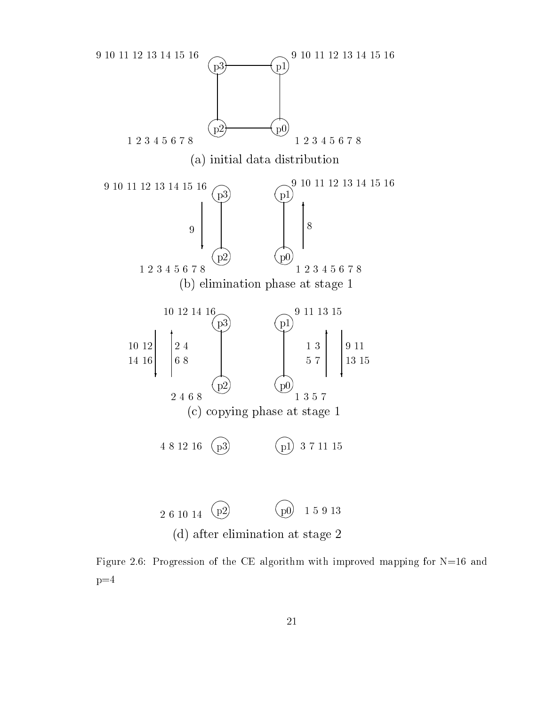

Figure 2.6: Progression of the CE algorithm with improved mapping for N=16 and  $p=4$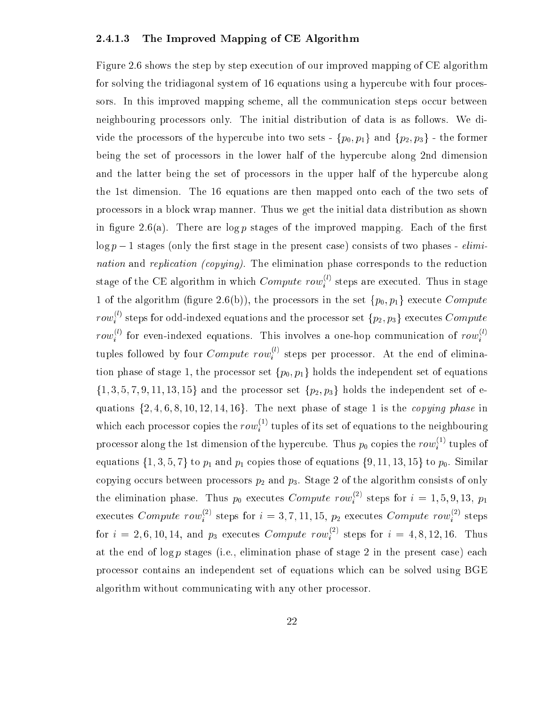#### 2.4.1.3 The Improved Mapping of CE Algorithm

Figure 2.6 shows the step by step exe
ution of our improved mapping of CE algorithm for solving the tridiagonal system of 16 equations using a hypercube with four processors. In this improved mapping scheme, all the communication steps occur between neighbouring pro
essors only. The initial distribution of data is as follows. We divide the processors of the hypercube into two sets -  $\{p_0, p_1\}$  and  $\{p_2, p_3\}$  - the former being the set of processors in the lower half of the hypercube along 2nd dimension and the latter being the set of processors in the upper half of the hypercube along the 1st dimension. The 16 equations are then mapped onto ea
h of the two sets of pro
essors in a blo
k wrap manner. Thus we get the initial data distribution as shown in figure 2.6(a). There are  $\log p$  stages of the improved mapping. Each of the first  $\log p - 1$  stages (only the first stage in the present case) consists of two phases - *elimi*nation and replication (copying). The elimination phase corresponds to the reduction stage of the CE algorithm in which  $Compute\ row_i^\vee$  steps are executed. Thus in stage 1 of the algorithm (figure 2.6(b)), the processors in the set  $\{p_0, p_1\}$  execute Compute  $row_i^{\sim}$  steps for odd-indexed equations and the processor set  $\{p_2, p_3\}$  executes  $Compute$  $row_i^{\{c\}}$  for even-indexed equations. This involves a one-hop communication of  $row_i^{\{c\}}$ tuples followed by four  $Compute\ row_i^{\vee}$  steps per processor. At the end of elimination phase of stage 1, the processor set  $\{p_0, p_1\}$  holds the independent set of equations  $\{1, 3, 5, 7, 9, 11, 13, 15\}$  and the processor set  $\{p_2, p_3\}$  holds the independent set of equations  $\{2, 4, 6, 8, 10, 12, 14, 16\}$ . The next phase of stage 1 is the *copying phase* in which each processor copies the  $row_i^{(+)}$  tuples of its set of equations to the neighbouring processor along the 1st dimension of the hypercube. Thus  $p_0$  copies the  $row_i^{z}$  tuples of equations for pickets that participate of equations for example, and property in the political contracts of the opying o

urs between pro
essors p2 and p3. Stage <sup>2</sup> of the algorithm onsists of only the elimination phase. Thus  $p_0$  executes Compute row<sub>i</sub><sup>-</sup> steps for  $i = 1, 5, 9, 13, p_1$ executes Compute row<sub>i</sub><sup>-1</sup> steps for  $i = 3, 7, 11, 15, p_2$  executes Compute row<sub>i</sub><sup>-1</sup> steps for  $i = 2, 6, 10, 14,$  and  $p_3$  executes Compute row<sub>i</sub><sup>-</sup> steps for  $i = 4, 8, 12, 16$ . Thus at the end of  $\log p$  stages (i.e., elimination phase of stage 2 in the present case) each pro
essor ontains an independent set of equations whi
h an be solved using BGE algorithm without ommuni
ating with any other pro
essor.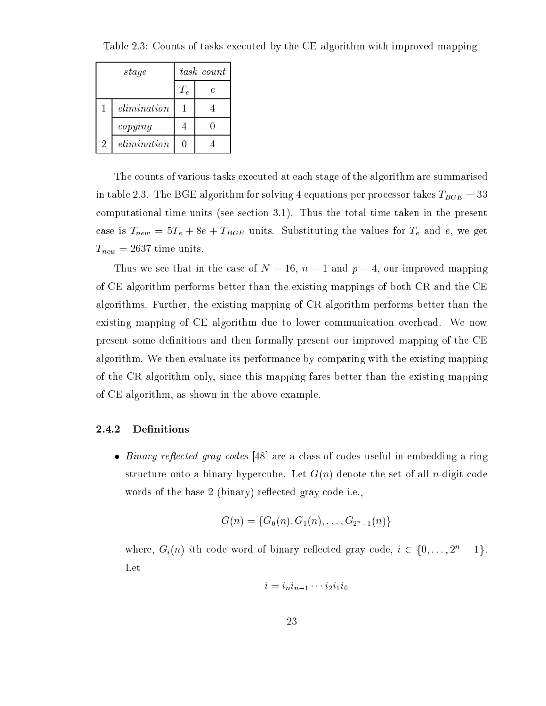Table 2.3: Counts of tasks exe
uted by the CE algorithm with improved mapping

|                | stage       | task count |                     |  |
|----------------|-------------|------------|---------------------|--|
|                |             | $T_e$      | $\boldsymbol{\rho}$ |  |
| 1              | elimination |            |                     |  |
|                | copying     |            |                     |  |
| $\overline{2}$ | elimination |            |                     |  |

The ounts of various tasks exe
uted at ea
h stage of the algorithm are summarised in the BGE algorithm for solving  $\Omega$  and  $\Omega$  equations per proportions per proportions per proportions  $\Omega$ omputational time units (see se
tion 3.1). Thus the total time taken in the present as in the substitution of the values for the values for Te and  $\alpha$  and  $\alpha$  and  $\alpha$  $\sim$  2637 time units. The units of  $\sim$  2637 time units. The units of  $\sim$  2637 time units. The units of  $\sim$  2637 time units of  $\sim$  2637 time units of  $\sim$  2637 time units of  $\sim$  2637 time units of  $\sim$  2637 time units

Thus we see that in the case of  $N = 16$ ,  $n = 1$  and  $p = 4$ , our improved mapping of CE algorithm performs better than the existing mappings of both CR and the CE algorithms. Further, the existing mapping of CR algorithm performs better than the existing mapping of CE algorithm due to lower communication overhead. We now present some definitions and then formally present our improved mapping of the CE algorithm. We then evaluate its performan
e by omparing with the existing mapping of the CR algorithm only, sin
e this mapping fares better than the existing mapping of CE algorithm, as shown in the above example.

#### 2.4.2 Definitions

odes lass are a ring to see the contract of the contract of the ring  $\alpha$  -ring structure onto a binary hypercube. Let  $G(n)$  denote the set of all n-digit code words of the base-2 (binary) reflected gray code i.e.,

$$
G(n) = \{G_0(n), G_1(n), \ldots, G_{2^n-1}(n)\}
$$

where,  $G_i(n)$  ith code word of binary reflected gray code,  $i \in \{0, \ldots, 2^n - 1\}$ . Let

$$
i = i_n i_{n-1} \cdots i_2 i_1 i_0
$$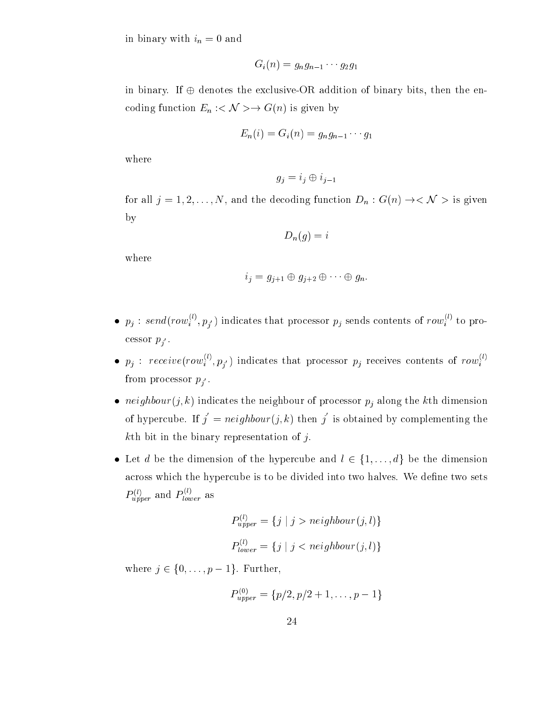in binary with indicate  $\mathbf{h}$  and  $\mathbf{h}$  and  $\mathbf{h}$  and  $\mathbf{h}$  and  $\mathbf{h}$  and  $\mathbf{h}$ 

$$
G_i(n)=g_ng_{n-1}\cdots g_2g_1
$$

in binary. If  $\oplus$  denotes the exclusive-OR addition of binary bits, then the enthe function  $\alpha$  is given by  $\alpha$  ,  $\alpha$  ,  $\alpha$  ,  $\alpha$  ,  $\alpha$  is given by  $\alpha$ 

$$
E_n(i) = G_i(n) = g_n g_{n-1} \cdots g_1
$$

where

$$
g_j = i_j \oplus i_{j-1}
$$

for all  $\alpha$  is the definition of the definition of  $\alpha$  is given by  $\alpha$ by

$$
D_n(g)=i
$$

where

$$
i_j = g_{j+1} \oplus g_{j+2} \oplus \cdots \oplus g_n.
$$

- $\bullet$   $p_j$  : send(row;',  $p_{j'}$ ) indicates that processor  $p_j$  sends contents of row;' to pro- $\cdots$   $\cdots$   $\cdots$   $\cdots$
- $p_j$  : receive(row, n, n) indicates that processor  $p_j$  receives contents of row,  $_{r_{j}}$ .
- neighbour(j; k) indicates the neighbourger of produces in pj along the kind the kind the the of hypercube. If  $j = \text{neighbor}(j, k)$  then j is obtained by complementing the kth bit in the binary representation of  $j$ .
- Let d be the dimension of the hyper
ube and l <sup>2</sup> f1; : : : ; dg be the dimension across which the hypercube is to be divided into two halves. We define two sets  $P_{upper}^{(v)}$  and  $P_{low}^{(v)}$  $\iota$ owe $r$  ---

$$
P_{upper}^{(l)} = \{j \mid j > neighbor(j, l)\}
$$
  

$$
P_{lower}^{(l)} = \{j \mid j < neighbor(j, l)\}
$$

where  $j \in \{0, \ldots, p-1\}$ . Further,

$$
P_{upper}^{(0)} = \{p/2, p/2+1, \ldots, p-1\}
$$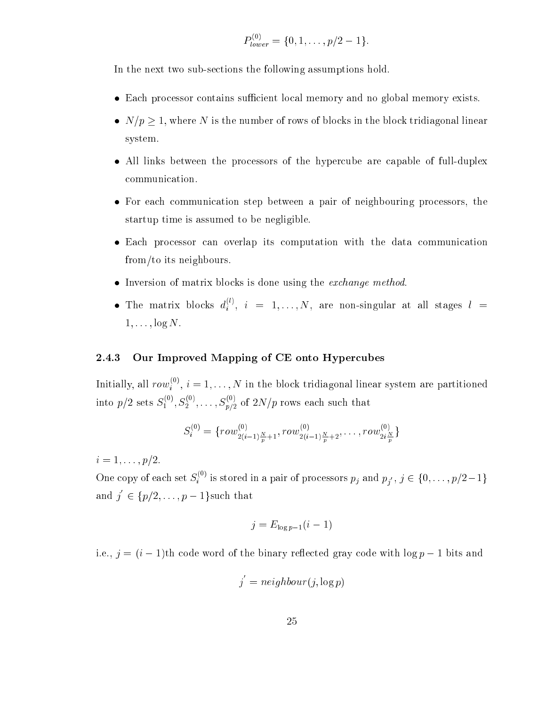$$
P_{lower}^{(0)} = \{0, 1, \ldots, p/2 - 1\}.
$$

In the next two sub-sections the following assumptions hold.

- Ea
h pro
essor ontains suÆ
ient lo
al memory and no global memory exists.
- N=p 1, where N is the number of rows of blo
ks in the blo
k tridiagonal linear system.
- all links between the production of the property of production of the full-duplex of the second completion ommuni
ation.
- For ea
h ommuni
ation step between a pair of neighbouring pro
essors, the startup time is assumed to be negligible.
- Ea
h pro
essor an overlap its omputation with the data ommuni
ation from/to its neighbours.
- Inversion of matrix blo
ks is done using the ex
hange method.
- The matrix blocks  $d_i^{\gamma\gamma}$  $\mathbf{u}$ , i e  $\mathbf{u}$ , i  $\mathbf{v}$ , i are non-singular at all stages l  $\mathbf{u}$  $1, \ldots, \log N$ .

#### 2.4.3 Our Improved Mapping of CE onto Hyper
ubes

Initially, all  $row_i^{\sim}, i = 1, \ldots, N$  in the block tridiagonal linear system are partitioned into  $p/2$  sets  $S_1^{<\gamma}$  $_1^{\cdots}$ ,  $S_2^{\cdots}$  $S_{p/2}^{(1)}$ ,  $\ldots$ ,  $S_{p/2}^{(1)}$  $p_{\ell}$  2 of 2N=p rows each substitute  $p_{\ell}$ 

$$
S_i^{(0)} = \{row_{2(i-1)\frac{N}{p}+1}^{(0)}, row_{2(i-1)\frac{N}{p}+2}^{(0)}, \dots, row_{2i\frac{N}{p}}^{(0)}\}
$$

 $i = 1, \ldots, p/2.$ 

One copy of each set  $S_i$ .  $\sum_{i=1}^{n}$  is stored in a pair of processors  $p_j$  and  $p_j$  ;  $j \in \{0, \ldots, p\}$  = 1 and  $j \in \{p/2, \ldots, p-1\}$  such that

$$
j = E_{\log p-1}(i-1)
$$

i.e.,  $j = (i - 1)$ th code word of the binary reflected gray code with  $\log p - 1$  bits and

$$
j' = \text{neighbor}(j, \log p)
$$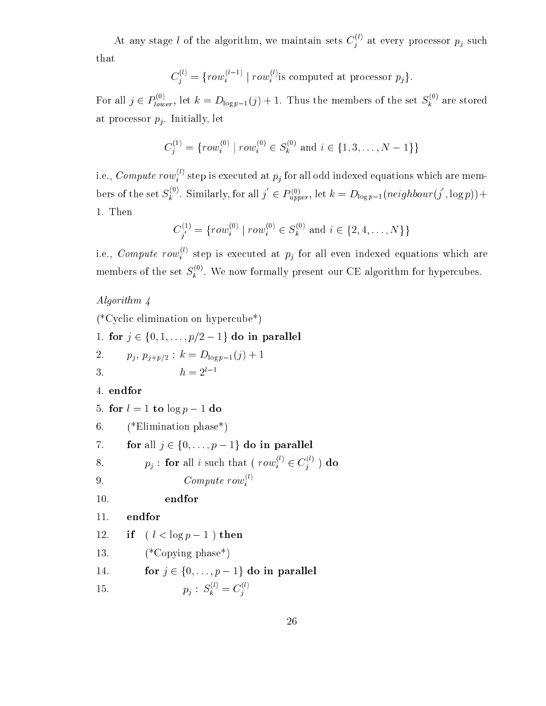At any stage l of the algorithm, we maintain sets  $C_j^{\gamma\gamma}$  at every processor  $p_j$  such that

$$
C_j^{(l)} = \{row_i^{(l-1)} \mid row_i^{(l)} \text{is computed at processor } p_j \}.
$$

For all  $j \in P_{lower}$ , let  $k = D_{\log p-1}(j) + 1$ . Thus the members of the set  $S_k^{\gamma}$ .  $k$  are stored stored stored states  $k$ at the property of the property of the state of the property of the state of the state of the state of the sta

$$
C_j^{(1)} = \{row_i^{(0)} \mid row_i^{(0)} \in S_k^{(0)} \text{ and } i \in \{1, 3, ..., N - 1\}\}
$$

1.e.,  $\emph{Compute row}^{\sim}_{i}$  step is executed at  $p_{j}$  for all odd indexed equations which are members of the set  $S_k^{\gamma\gamma}$  $k^{\circ}$ . Similarly, for all  $j \in P_{upper}^{(0)}$ , let  $k = D_{\log p-1}(neighbor(j), \log p)) +$ 1. Then

$$
C_j^{(1)} = \{row_i^{(0)} \mid row_i^{(0)} \in S_k^{(0)} \text{ and } i \in \{2, 4, ..., N\}\}\
$$

i.e., *Compute*  $row_i^\vee$  step is executed at  $p_j$  for all even indexed equations which are members of the set  $S_k^{\gamma\gamma}$  $\kappa$  . We now for the centre of the  $\sigma$  algorithm for  $\sigma$  is the set of the set of the set of the set of the set of the set of the set of the set of the set of the set of the set of the set of the set of the set of the

#### Algorithm 4

(\*Cy
li elimination on hyper
ube\*) 1. for  $j \in \{0, 1, ..., p/2 - 1\}$  do in parallel 2. pj , pj+p=2 : <sup>k</sup> <sup>=</sup> Dlog p1(j) <sup>+</sup> <sup>1</sup> 3.  $h = 2^{l-1}$ 4. endfor 5. for  $l = 1$  to  $\log p - 1$  do 6. (\*Elimination phase\*) 7. for all  $j \in \{0, \ldots, p-1\}$  do in parallel 8.  $p_j$ : for all i such that (row<sub>i</sub>  $\in C_j^{\infty}$ ) do 9.  $Compute\ row_i^{(l)}$ 10. endfor 11. endfor 12. if  $(l < \log p - 1)$  then 13. (\*Copying phase\*) 14. for  $j \in \{0, \ldots, p-1\}$  do in parallel 15. p*j* pjesma iz pjesma iz pjesma iz pjesma iz pjesma iz pjesma iz pjesma iz pjesma iz pjesma iz pjesma iz p  $S_k^{\vee\vee} = C_i^{\vee\vee}$ j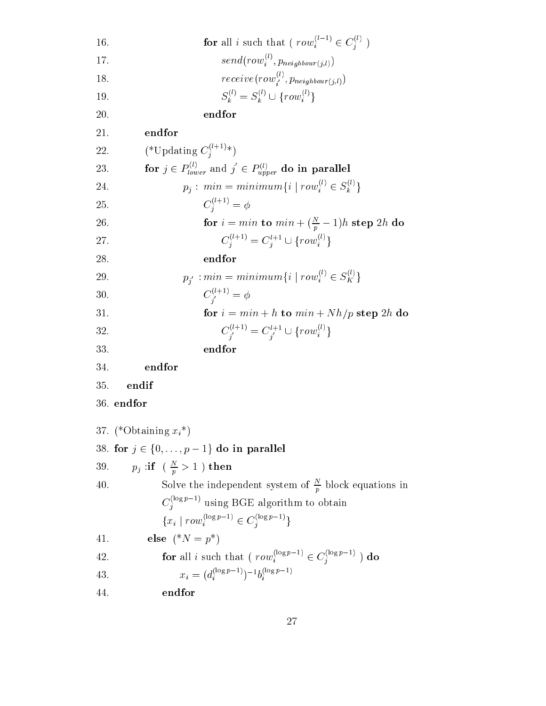16. **for all** *i* such that 
$$
(row_i^{(l-1)} \in C_j^{(l)})
$$
  
\n17. *send(row\_i^{(l)}, p\_{neighbor(j,i)})*  
\n18. *receive(row\_i^{(l)}, p\_{neighbor(j,i)})*  
\n19.  $S_k^{(l)} = S_k^{(l)} \cup \{row_i^{(l)}\}$   
\n20. **endfor**  
\n21. **endfor**  
\n22.  $(*Updating C_j^{(l+1)*})$   
\n23. **for**  $j \in P_{lower}^{(l)}$  and  $j' \in P_{upper}^{(l)}$  **do in parallel**  
\n24.  $p_j : min = minimum\{i \mid row_i^{(l)} \in S_k^{(l)}\}$   
\n25.  $C_j^{(l+1)} = \phi$   
\n26. **for**  $i = min$  **to**  $min + (\frac{\alpha}{p} - 1)h$  **step**  $2h$  **do**  
\n27.  $C_j^{(l+1)} = C_j^{l+1} \cup \{row_i^{(l)}\}$   
\n28. **endfor**  
\n29.  $p_j : min = minimum\{i \mid row_i^{(l)} \in S_K^{(l)}\}$   
\n30.  $C_j^{(l+1)} = \phi$   
\n31. **for**  $i = min + h$  **to**  $min + Nh/p$  **step**  $2h$  **do**  
\n $C_j^{(l+1)} = C_j^{l+1} \cup \{row_i^{(l)}\}$   
\n33. **endfor**  
\n34. **endfor**  
\n35. **endif**  
\n36. **endfor**  
\n37.  $(*0){{\bf t}_{\text{atning } x_i^*}}$   
\n38. **for**  $j \in \{0, ..., p - 1\}$  **do in parallel**  
\n39.  $p_j$  **if**  $(\frac{\alpha}{p} > 1)$  **then**  
\n40. **Solve the independent system of**  $\frac{\alpha}{p$ 

í

l,

Î.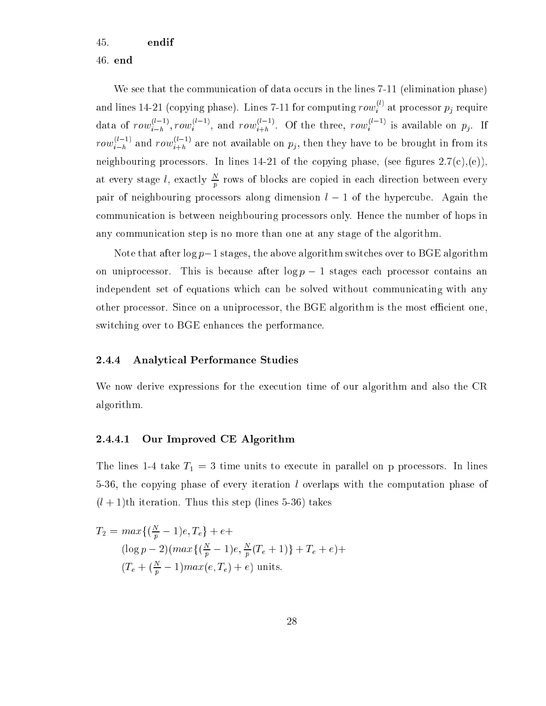#### 45. endif

#### 46. end

We see that the communication of data occurs in the lines 7-11 (elimination phase) and lines 14-21 (copying phase). Lines 7-11 for computing  $row_i^{\sim}$  at processor  $p_j$  require data of  $row_{i-h}^{\cdots}$ ,  $row_i^{\cdots}$ , and  $row_{i+h}^{\cdots}$ . Of the three,  $row_i^{\cdots}$  is available on  $p_j$ . If  $row_{i-h}^{\infty}$  and  $row_{i+h}^{\infty}$  are not available on  $p_j,$  then they have to be brought in from its neighbouring processors. In lines 14-21 of the copying phase, (see figures  $2.7(c)$ , (e)), at every stage  $\iota,$  exactly  $\div$  rows of blocks are copied in each direction between every  $\mathbf r$ pair of neighbouring processors along dimension  $l-1$  of the hypercube. Again the ommuni
ation is between neighbouring pro
essors only. Hen
e the number of hops in any ommuni
ation step is no more than one at any stage of the algorithm.

Note that after  $\log p-1$  stages, the above algorithm switches over to BGE algorithm on uniprocessor. This is because after  $\log p - 1$  stages each processor contains an independent set of equations which can be solved without communicating with any other processor. Since on a uniprocessor, the BGE algorithm is the most efficient one, switching over to BGE enhances the performance.

#### 2.4.4 Analyti
al Performan
e Studies

We now derive expressions for the execution time of our algorithm and also the CR algorithm.

#### 2.4.4.1 Our Improved CE Algorithm

The lines 1-4 take T1 <sup>=</sup> <sup>3</sup> time units to exe
ute in parallel on <sup>p</sup> pro
essors. In lines 5-36, the opying phase of every iteration l overlaps with the omputation phase of  $(l + 1)$ th iteration. Thus this step (lines 5-36) takes

$$
T_2 = \max\{(\frac{N}{p} - 1)e, T_e\} + e +
$$
  
\n
$$
(\log p - 2)(\max\{(\frac{N}{p} - 1)e, \frac{N}{p}(T_e + 1)\} + T_e + e) +
$$
  
\n
$$
(T_e + (\frac{N}{p} - 1)\max(e, T_e) + e) \text{ units.}
$$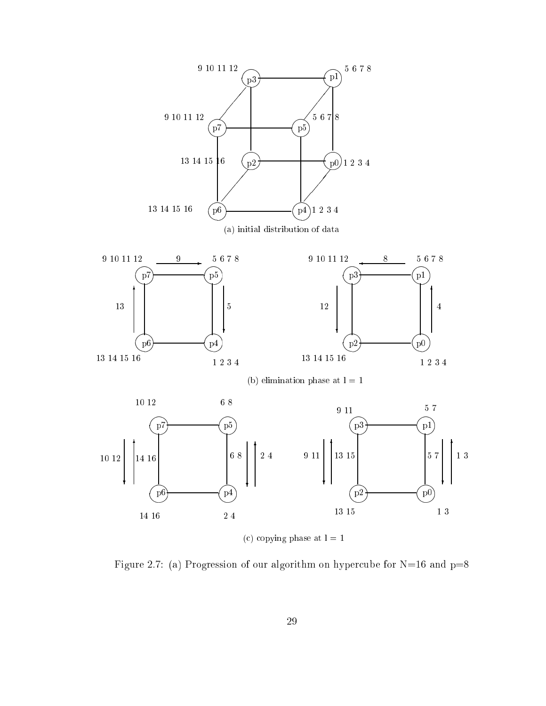

Figure 2.7: (a) Progression of our algorithm on hypercube for  $N=16$  and  $p=8$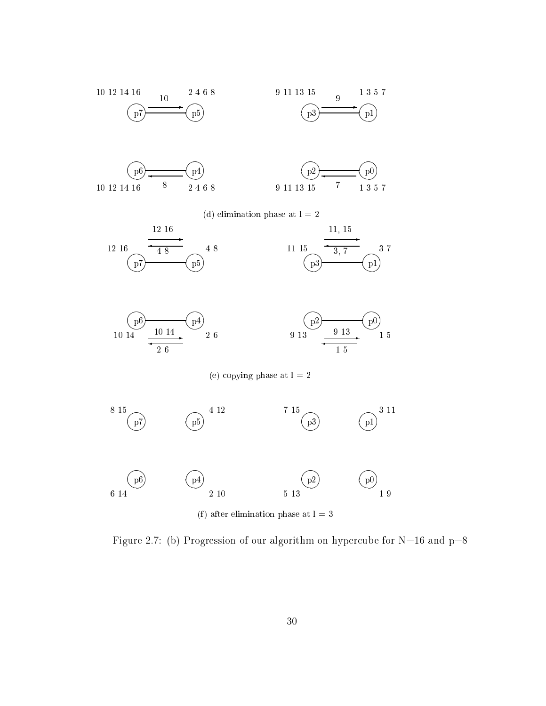

Figure 2.7: (b) Progression of our algorithm on hypercube for  $N=16$  and  $p=8$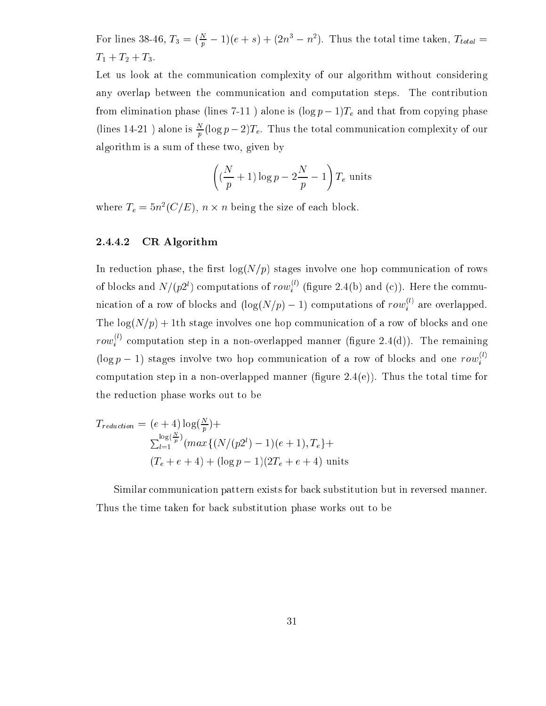For lines 38-46,  $T_3 = (\frac{b}{p} - 1)(e + s) + (2n^2 - n^2)$ . Thus the total time taken,  $T_{total} =$ T1 <sup>+</sup> T2 <sup>+</sup> T3.

Let us look at the communication complexity of our algorithm without considering any overlap between the ommuni
ation and omputation steps. The ontribution from elimination phase (lines 7-11 ) alone is (log p 1)Te and that from the that from the that for the from that from the term of the term of the term of the term of the term of the term of the term of the term of the term (lines 14-21) alone is  $\frac{1}{p}(\log p - z)I_e$ . Thus the total communication complexity of our algorithm is a sum of these two, given by

$$
\left( \left( \frac{N}{p} + 1 \right) \log p - 2 \frac{N}{p} - 1 \right) T_e \text{ units}
$$

where  $T_e \equiv 5\pi^2(C/E)$ ,  $n \times n$  being the size of each block.

#### 2.4.4.2 2.4.4.2 CR Algorithm

In reduction phase, the first  $log(N/p)$  stages involve one hop communication of rows of blocks and  $N/(p2^e)$  computations of  $row_i^{\{e\}}$  (figure 2.4(b) and (c)). Here the communication of a row of blocks and  $(\log(N/p)-1)$  computations of  $row_i^{\sim}$  are overlapped. The  $\log(N/p) + 1$ th stage involves one hop communication of a row of blocks and one  $row_i^{\times}$  computation step in a non-overlapped manner (figure 2.4(d)). The remaining ( $\log p - 1$ ) stages involve two hop communication of a row of blocks and one  $row_i^{\cdots}$ computation step in a non-overlapped manner (figure  $2.4(e)$ ). Thus the total time for the redu
tion phase works out to be

$$
T_{reduction} = (e+4)\log(\frac{N}{p}) +
$$
  
\n
$$
\sum_{l=1}^{\log(\frac{N}{p})} (max\{(N/(p2^l) - 1)(e+1), T_e\} +
$$
  
\n
$$
(T_e + e + 4) + (\log p - 1)(2T_e + e + 4)
$$
 units

Similar communication pattern exists for back substitution but in reversed manner. Thus the time taken for back substitution phase works out to be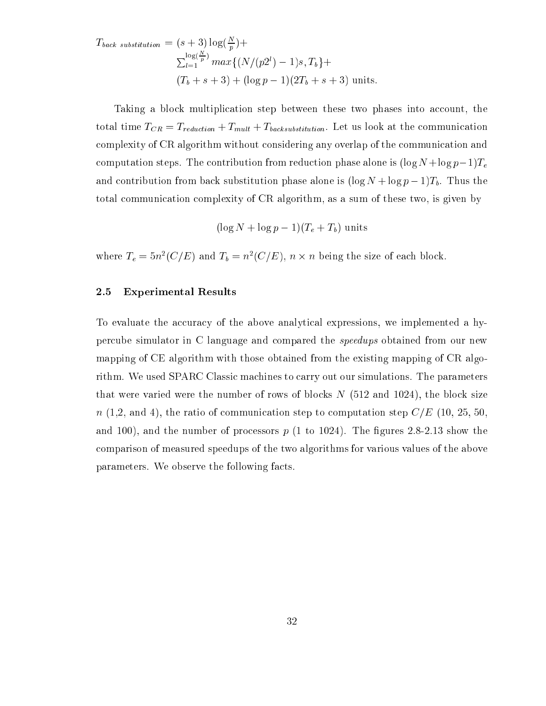$$
T_{back\; substitution} = (s+3)\log(\frac{N}{p}) +
$$
  

$$
\sum_{l=1}^{\log(\frac{N}{p})} \max\{(N/(p2^l) - 1)s, T_b\} +
$$
  

$$
(T_b + s + 3) + (\log p - 1)(2T_b + s + 3) \text{ units.}
$$

Taking a block multiplication step between these two phases into account, the  $\Delta$  is the transition of the the transition. Let us at the community of the community of the community of the community of the community of the community of the community of the community of the community of the communit complexity of CR algorithm without considering any overlap of the communication and computation steps. The contribution from reduction phase alone is  $(\log N + \log p - 1)T_e$ and contribution from back substitution phase alone is  $(\log N + \log p - 1)T_b$ . Thus the total ommuni
ation omplexity of CR algorithm, as a sum of these two, is given by

$$
(\log N + \log p - 1)(T_e + T_b)
$$
 units

where  $I_e \equiv 5n\Gamma(U/E)$  and  $I_b \equiv n\Gamma(U/E)$ ,  $n \times n$  being the size of each block.

#### 2.5 Experimental Results

To evaluate the accuracy of the above analytical expressions, we implemented a hyper
ube simulator in C language and ompared the speedups obtained from our new mapping of CE algorithm with those obtained from the existing mapping of CR algorithm. We used SPARC Classi ma
hines to arry out our simulations. The parameters that were varied were the number of rows of blocks  $N$  (512 and 1024), the block size  $n(1,2, \text{ and } 4)$ , the ratio of communication step to computation step  $C/E(10, 25, 50,$ and 100), and the number of processors  $p$  (1 to 1024). The figures 2.8-2.13 show the omparison of measured speedups of the two algorithms for various values of the above parameters. We observe the following facts.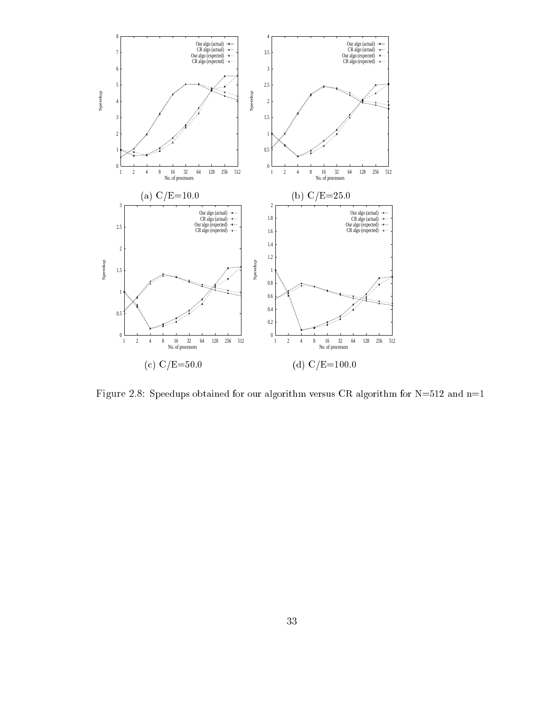

Figure 2.8: Speedups obtained for our algorithm versus CR algorithm for N=512 and n=1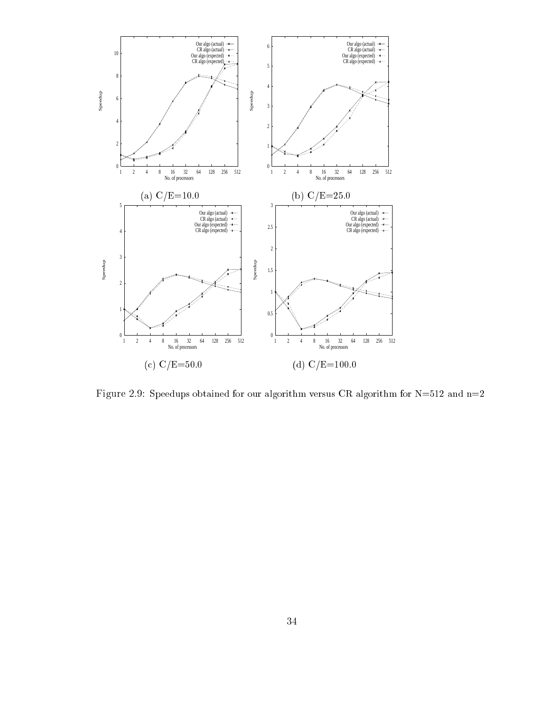

Figure 2.9: Speedups obtained for our algorithm versus CR algorithm for  $N=512$  and  $n=2$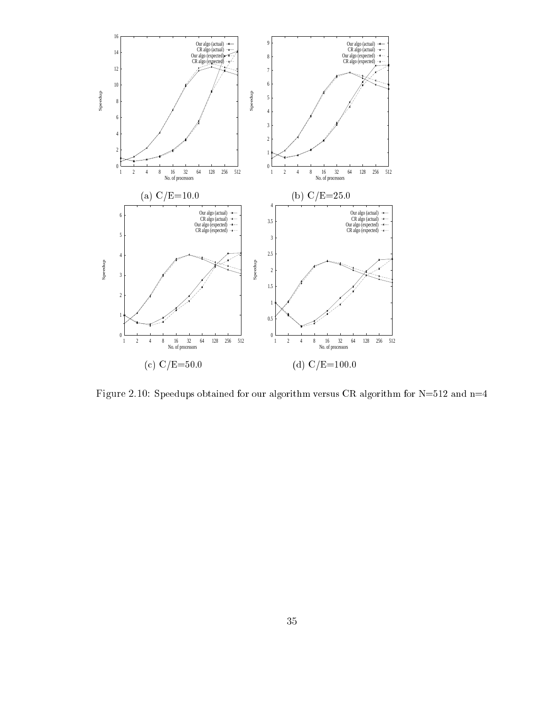

Figure 2.10: Speedups obtained for our algorithm versus CR algorithm for  $N=512$  and  $n=4$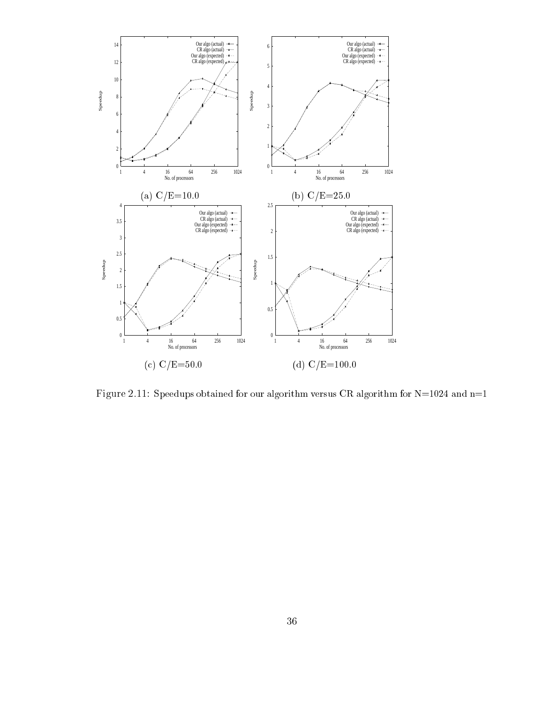

Figure 2.11: Speedups obtained for our algorithm versus CR algorithm for  $N=1024$  and  $n=1$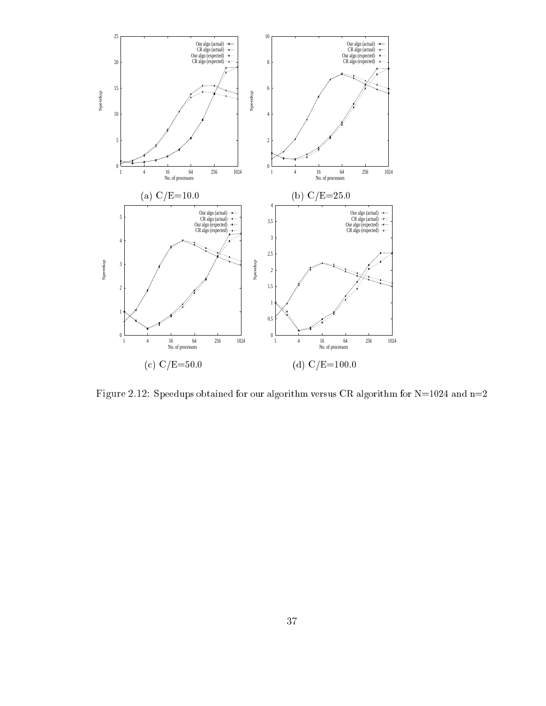

Figure 2.12: Speedups obtained for our algorithm versus CR algorithm for  $N=1024$  and  $n=2$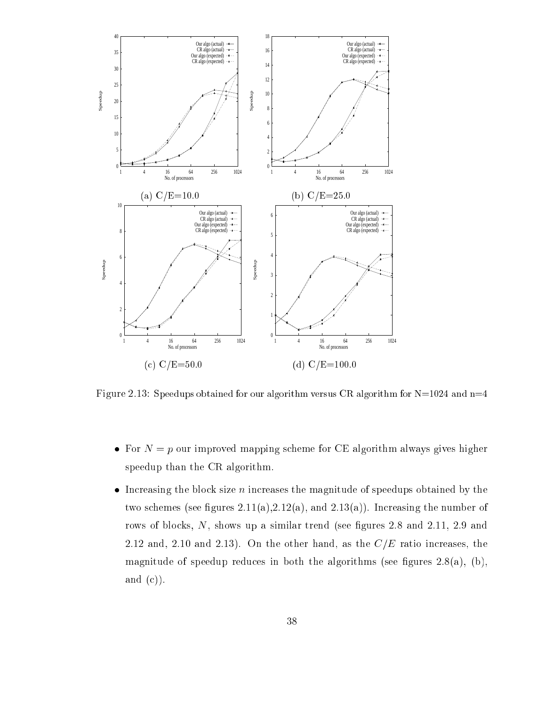

Figure 2.13: Speedups obtained for our algorithm versus CR algorithm for  $N=1024$  and  $n=4$ 

- $\mathbf{r}$  and  $\mathbf{r}$  are for  $\mathbf{r}$  algorithm always gives higher for  $\mathbf{r}$  always always always always always and speedup than the CR algorithm.
- reases the block size needs the magnitude of speedups of speedups of speedups of the magnitude of speedups of two schemes (see figures  $2.11(a), 2.12(a),$  and  $2.13(a)$ ). Increasing the number of rows of blocks, N, shows up a similar trend (see figures 2.8 and 2.11, 2.9 and 2.12 and, 2.10 and 2.13). On the other hand, as the  $C/E$  ratio increases, the magnitude of speedup reduces in both the algorithms (see figures  $2.8(a)$ , (b), and  $(c)$ ).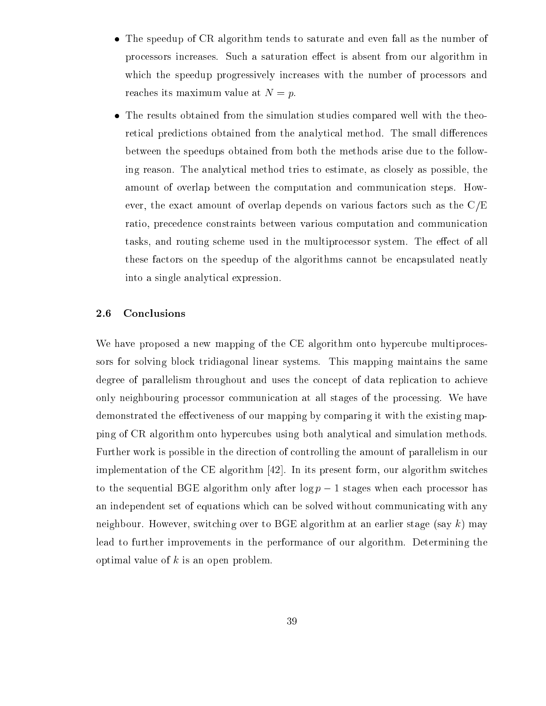- The speedup of CR algorithm tends to saturate and even fall as the number of processors increases. Such a saturation effect is absent from our algorithm in which the speedup progressively increases with the number of processors and reaches its maximum value at  $N = p$ .
- The results obtained from the simulation studies ompared well with the theoretical predictions obtained from the analytical method. The small differences between the speedups obtained from both the methods arise due to the following reason. The analyti
al method tries to estimate, as losely as possible, the amount of overlap between the omputation and ommuni
ation steps. However, the exact amount of overlap depends on various factors such as the  $C/E$ ratio, pre
eden
e onstraints between various omputation and ommuni
ation tasks, and routing scheme used in the multiprocessor system. The effect of all these factors on the speedup of the algorithms cannot be encapsulated neatly into a single analyti
al expression.

#### 2.6 Con
lusions

We have proposed a new mapping of the CE algorithm onto hypercube multiprocessors for solving blo
k tridiagonal linear systems. This mapping maintains the same degree of parallelism throughout and uses the concept of data replication to achieve only neighbouring pro
essor ommuni
ation at all stages of the pro
essing. We have demonstrated the effectiveness of our mapping by comparing it with the existing mapping of CR algorithm onto hyper
ubes using both analyti
al and simulation methods. Further work is possible in the direction of controlling the amount of parallelism in our implementation of the CE algorithm  $[42]$ . In its present form, our algorithm switches to the sequential BGE algorithm only after  $\log p - 1$  stages when each processor has an independent set of equations which can be solved without communicating with any neighbour. However, switching over to BGE algorithm at an earlier stage (say  $k$ ) may lead to further improvements in the performan
e of our algorithm. Determining the optimal value of k is an open problem.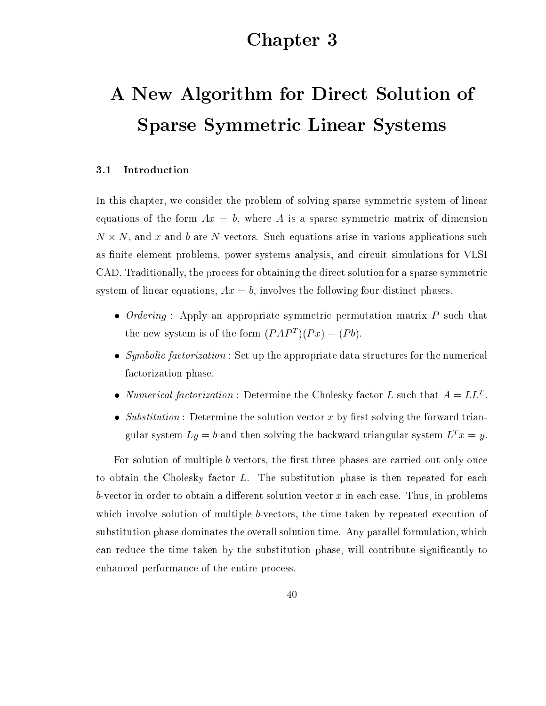## Chapter 3

# A New Algorithm for Dire
t Solution of Sparse Symmetri Linear Systems

#### 3.1 Introdu
tion

In this chapter, we consider the problem of solving sparse symmetric system of linear equations of the form  $Ax = b$ , where A is a sparse symmetric matrix of dimension N - N, and x and b are N-ve
tors. Su
h equations arise in various appli
ations su
h as finite element problems, power systems analysis, and circuit simulations for VLSI CAD. Traditionally, the process for obtaining the direct solution for a sparse symmetric system of linear equations,  $Ax = b$ , involves the following four distinct phases.

- Ordering : Apply an appropriate symmetri permutation matrix P su
h that the new system is of the form  $(PAT^+)$   $(Px) = (P\theta)$ .
- symbolities in the structure data structure in the structure structure and the numerical structure continues. fa
torization phase.
- *Numerical factorization*: Determine the Cholesky factor L such that  $A = LL^*$ .
- substitution is the solution of the solution of the solution  $\mathcal{A}$  , the form  $\mathcal{A}$  the form  $\mathcal{A}$ gular system  $Ly = v$  and then solving the backward triangular system  $L^+ x = y$ .

For solution of multiple b-vectors, the first three phases are carried out only once to obtain the Cholesky factor  $L$ . The substitution phase is then repeated for each b-vector in order to obtain a different solution vector x in each case. Thus, in problems which involve solution of multiple b-vectors, the time taken by repeated execution of substitution phase dominates the overall solution time. Any parallel formulation, whi
h can reduce the time taken by the substitution phase, will contribute significantly to enhan
ed performan
e of the entire pro
ess.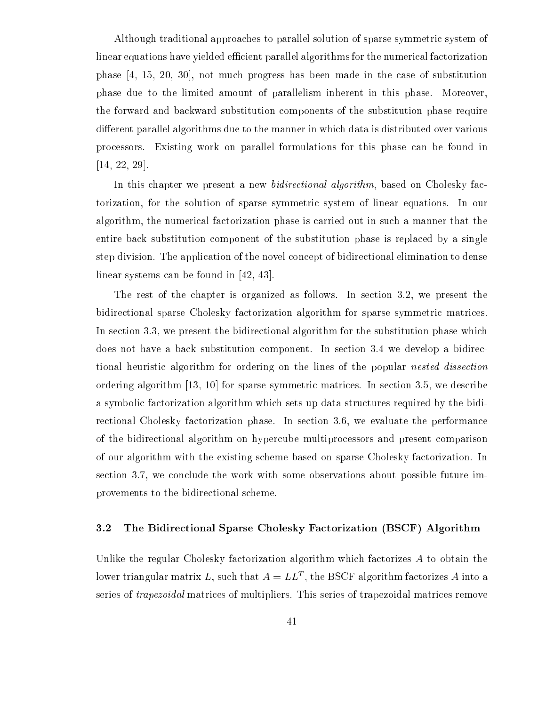Although traditional approaches to parallel solution of sparse symmetric system of linear equations have yielded efficient parallel algorithms for the numerical factorization phase  $[4, 15, 20, 30]$ , not much progress has been made in the case of substitution phase due to the limited amount of parallelism inherent in this phase. Moreover, the forward and ba
kward substitution omponents of the substitution phase require different parallel algorithms due to the manner in which data is distributed over various pro
essors. Existing work on parallel formulations for this phase an be found in  $[14, 22, 29].$ 

In this chapter we present a new *bidirectional algorithm*, based on Cholesky factorization, for the solution of sparse symmetric system of linear equations. In our algorithm, the numerical factorization phase is carried out in such a manner that the entire ba
k substitution omponent of the substitution phase is repla
ed by a single step division. The appli
ation of the novel on
ept of bidire
tional elimination to dense linear systems can be found in  $[42, 43]$ .

The rest of the chapter is organized as follows. In section 3.2, we present the bidirectional sparse Cholesky factorization algorithm for sparse symmetric matrices. In section 3.3, we present the bidirectional algorithm for the substitution phase which does not have a back substitution component. In section 3.4 we develop a bidirectional heuristic algorithm for ordering on the lines of the popular *nested dissection* ordering algorithm  $[13, 10]$  for sparse symmetric matrices. In section 3.5, we describe a symbolic factorization algorithm which sets up data structures required by the bidirectional Cholesky factorization phase. In section 3.6, we evaluate the performance of the bidire
tional algorithm on hyper
ube multipro
essors and present omparison of our algorithm with the existing s
heme based on sparse Cholesky fa
torization. In section 3.7, we conclude the work with some observations about possible future improvements to the bidire
tional s
heme.

#### 3.2 The Bidire
tional Sparse Cholesky Fa
torization (BSCF) Algorithm

Unlike the regular Cholesky factorization algorithm which factorizes  $A$  to obtain the fower triangular matrix  $L$ , such that  $A = LL^*$ , the BSCF algorithm factorizes A into a series of *trapezoidal* matrices of multipliers. This series of trapezoidal matrices remove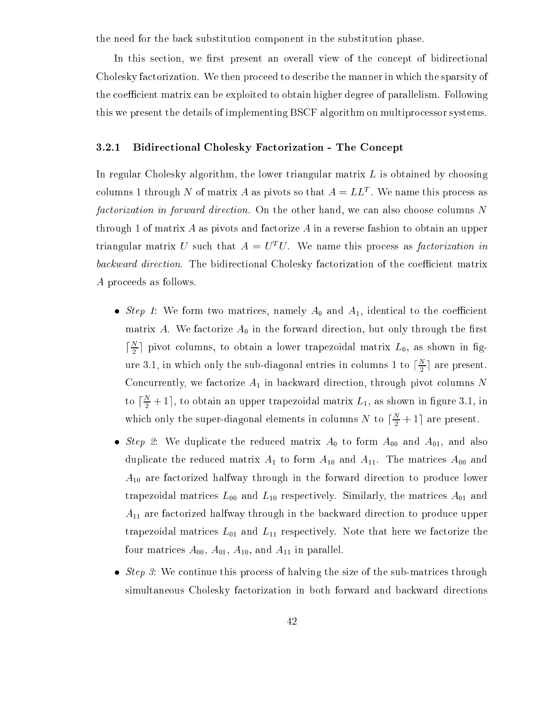the need for the ba
k substitution omponent in the substitution phase.

In this section, we first present an overall view of the concept of bidirectional Cholesky factorization. We then proceed to describe the manner in which the sparsity of the coefficient matrix can be exploited to obtain higher degree of parallelism. Following this we present the details of implementing BSCF algorithm on multipro
essor systems.

#### 3.2.1 Bidire
tional Cholesky Fa
torization - The Con
ept

In regular Cholesky algorithm, the lower triangular matrix  $L$  is obtained by choosing columns 1 through *N* of matrix A as pivots so that  $A = LL^*$  . We hame this process as factorization in forward direction. On the other hand, we can also choose columns N through 1 of matrix A as pivots and factorize A in a reverse fashion to obtain an upper triangular matrix  $U$  such that  $A = U^{\top} U$ . We hame this process as *factorization in* backward direction. The bidirectional Cholesky factorization of the coefficient matrix A proceeds as follows.

- step 1: We form two matrices, namely also to the form and all to the contract the and all to the form of the s matrix A. We family also a strongly the formulation  $\mathcal{O}$  in the formulation,  $\mathcal{O}$  $\lceil \frac{2}{2} \rceil$  pivot columns, to obtain a lower trapezoidal matrix  $L_0$ , as shown in fig- $\overline{\phantom{a}}$ ure  $3.1$ , in which only the sub-diagonal entries in columns 1 to  $\left[\frac{1}{2}\right]$  are present.  $$ contract and the fantacters of the ward direction of the second pixot and the contract of the members of to  $|\frac{\pi}{2}+1|,$  to obtain an upper trapezoidal matrix  $L_1,$  as shown in ngure 3.1, in which only the super-diagonal elements in columns *N* to  $\frac{1}{2} + 1$  are present.
- Step 2: We dupli
ate the redu
ed matrix A0 to form A00 and A01, and also dupli
ate the redu
ed matrix A1 to form A10 and A11. The matri
es A00 and  $\mathbf{u} = \mathbf{u}$ trapezoidal matricella matricella localis completed trapezoidal and the matricella complete matricella the ma torii are fan to produce through in the bandles for the base was a week through in the base of which co trapezoidal matricella longi matricelli essepti that here we family matricelli that here we family that four matri
es A00, A01, A10, and A11 in parallel.
- Step 3: We ontinue this pro
ess of halving the size of the sub-matri
es through simultaneous Cholesky factorization in both forward and backward directions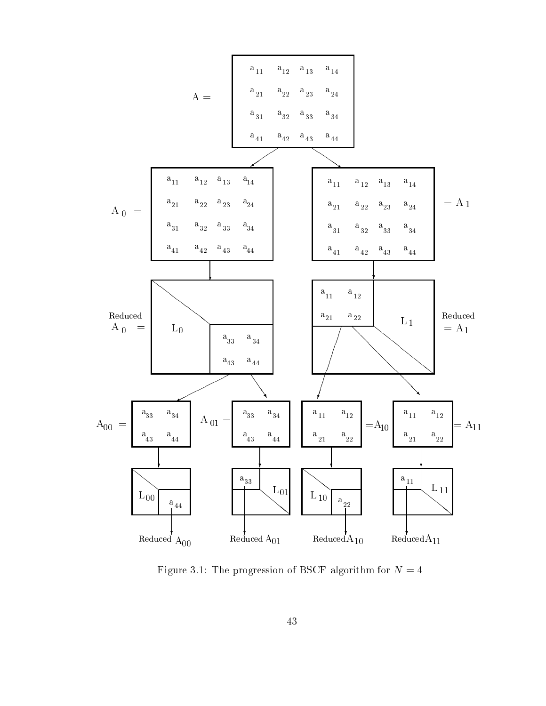

Figure 3.1: The progression of BSCF algorithm for  $N = 4$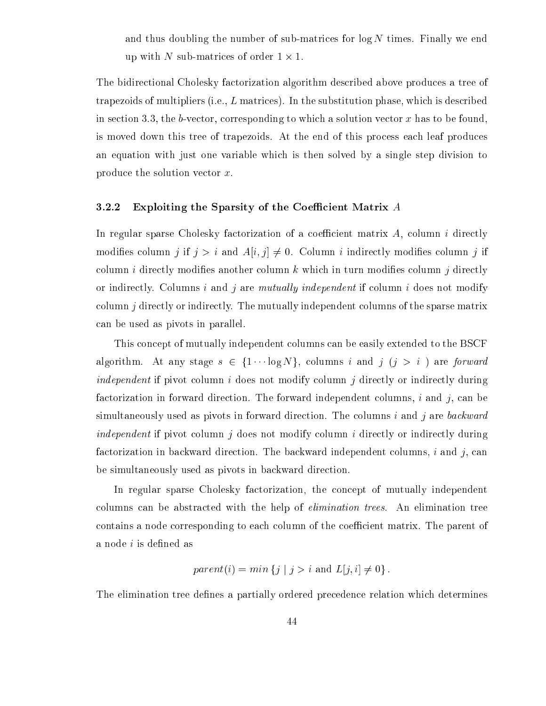and thus doubling the number of sub-matrices for  $\log N$  times. Finally we end up with N sub-matri
es of order 1 - 1.

The bidirectional Cholesky factorization algorithm described above produces a tree of trapezoids of multipliers (i.e.,  $L$  matrices). In the substitution phase, which is described in section 3.3, the b-vector, corresponding to which a solution vector x has to be found, is moved down this tree of trapezoids. At the end of this process each leaf produces an equation with just one variable whi
h is then solved by a single step division to produce the solution vector x.

#### 3.2.2 Exploiting the Sparsity of the Coefficient Matrix  $A$

In regular sparse Cholesky factorization of a coefficient matrix  $A$ , column i directly modifies column j if  $j > i$  and  $A[i, j] \neq 0$ . Column i indirectly modifies column j if column *i* directly modifies another column  $k$  which in turn modifies column  $j$  directly or indirectly. Columns i and j are *mutually independent* if column i does not modify  $\alpha$  column *j* directly or indirectly. The mutually independent columns of the sparse matrix an be used as pivots in parallel.

This on
ept of mutually independent olumns an be easily extended to the BSCF algorithm. At any stage  $s \in \{1 \cdots \log N\}$ , columns i and j  $(j > i)$  are forward  $independent$  if pivot column i does not modify column j directly or indirectly during factorization in forward direction. The forward independent columns, i and j, can be simultaneously used as pivots in forward direction. The columns  $i$  and  $j$  are backward  $independent$  if pivot column j does not modify column i directly or indirectly during factorization in backward direction. The backward independent columns, i and j, can be simultaneously used as pivots in backward direction.

In regular sparse Cholesky factorization, the concept of mutually independent columns can be abstracted with the help of *elimination trees*. An elimination tree contains a node corresponding to each column of the coefficient matrix. The parent of a node  $i$  is defined as

$$
parent(i) = min \{ j \mid j > i \text{ and } L[j, i] \neq 0 \} .
$$

The elimination tree defines a partially ordered precedence relation which determines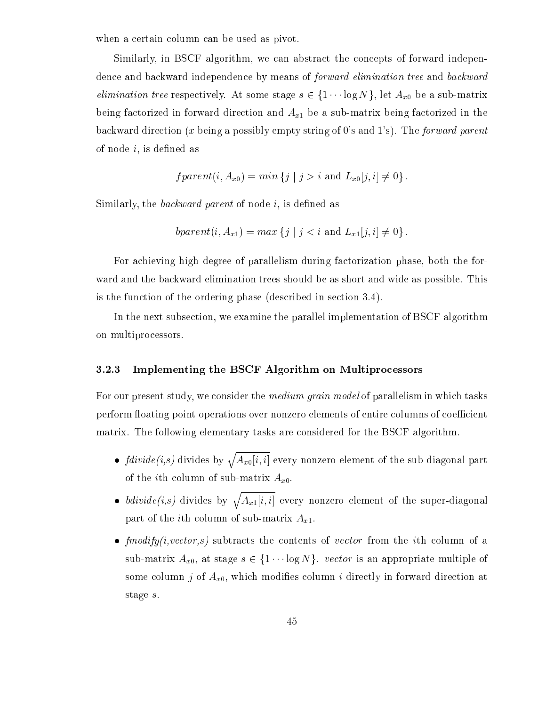when a certain column can be used as pivot.

Similarly, in BSCF algorithm, we can abstract the concepts of forward independence and backward independence by means of *forward elimination tree* and *backward* tively. At some stage state stage s 2 f1 in the angle Ax0 be a sub-matrix stage s 2 f1 in the and the sub-matrix to the form and  $\mu_1$  be a sub-matrix being factorized in the and Ax1 being factorized in the sub-matrix being factorized in the sub-matrix being factorized in the sub-matrix being factorized in the sub-matrix being fact backward direction (x being a possibly empty string of 0's and 1's). The *forward parent* of node  $i$ , is defined as

$$
fparent(i, A_{x0}) = min \{j \mid j > i \text{ and } L_{x0}[j, i] \neq 0 \}.
$$

Similarly, the *backward parent* of node  $i$ , is defined as

$$
bparent(i, A_{x1}) = max \{j \mid j < i \text{ and } L_{x1}[j, i] \neq 0 \}.
$$

For achieving high degree of parallelism during factorization phase, both the forward and the backward elimination trees should be as short and wide as possible. This is the function of the ordering phase (described in section 3.4).

In the next subse
tion, we examine the parallel implementation of BSCF algorithm on multipro
essors.

#### 3.2.3 Implementing the BSCF Algorithm on Multipro
essors

 $\sim$ 

For our present study, we consider the *medium grain model* of parallelism in which tasks perform floating point operations over nonzero elements of entire columns of coefficient matrix. The following elementary tasks are onsidered for the BSCF algorithm.

- fdivide(i,s) divides by Ax0[i; i℄ every nonzero element of the sub-diagonal part of the *i*th column of sub-matrix  $A_{x0}$ .
- bdivide(i,s) divides by  $\sim$ Ax1[i; i℄ every nonzero element of the super-diagonal part of the *i*th column of sub-matrix  $A_{x1}$ .
- finitely at the ith the ith the items of vertices of a subtraction of the items of a substantial contraction of sub-matrix  $A_{x0}$ , at stage  $s \in \{1 \cdots \log N\}$ . vector is an appropriate multiple of some column j of  $A_{x0}$ , which modifies column i directly in forward direction at stage s.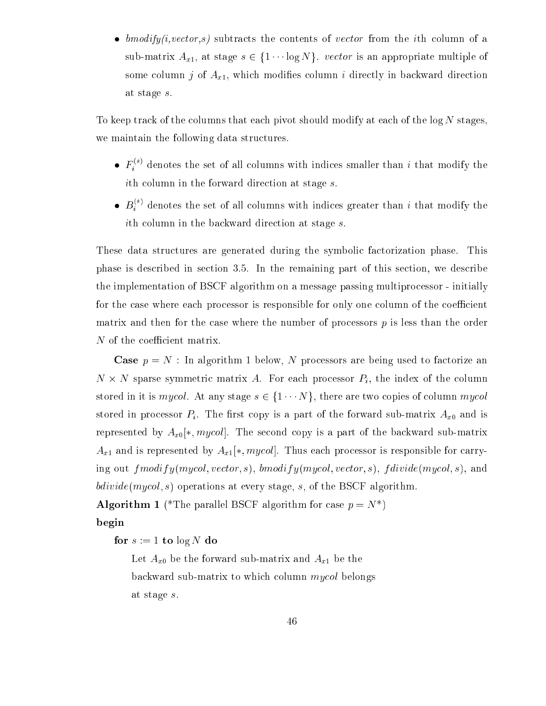tors the ith the ith subtraction of the ith contents of the items of the items of a second sub-matrix  $A_{x1}$ , at stage  $s \in \{1 \cdots \log N\}$ . vector is an appropriate multiple of some column j of  $A_{x_1}$ , which modifies column i directly in backward direction at stage s.

To keep track of the columns that each pivot should modify at each of the log N stages, we maintain the following data structures.

- $\bullet$   $F_i^{++}$  $\mathcal{U}$ ith column in the forward direction at stage s.
- $B_i^{\{\cdot\}}$  denotes the set of all columns with indices greater than i that modify the ith column in the backward direction at stage s.

These data structures are generated during the symbolic factorization phase. This phase is des
ribed in se
tion 3.5. In the remaining part of this se
tion, we des
ribe the implementation of BSCF algorithm on a message passing multipro
essor - initially for the case where each processor is responsible for only one column of the coefficient matrix and then for the case where the number of processors  $p$  is less than the order N of the coefficient matrix.

**Case**  $p = N$ : In algorithm 1 below, N processors are being used to factorize an n die hoofdat symmetrike bekend op die het die het tot tot the index of the index of the index of the index of stored in it is *mycol*. At any stage  $s \in \{1 \cdots N\}$ , there are two copies of column *mycol* store in the process of the first means and play in the formation and indicated means were alleged in the form represented by  $A_{x0}[*, mycol]$ . The second copy is a part of the backward sub-matrix ary arresponsible for it is represented by Axia (and the form is responsible for a complete form is responsibl ing out  ${\it fmodify(mycol, vector, s)}$ , bmodify(mycol, vector, s), fdivide(mycol, s), and  $bdivide(mycol, s)$  operations at every stage, s, of the BSCF algorithm.

**Algorithm 1** (\*The parallel BSCF algorithm for case  $p = N^*$ )

### begin

for  $s := 1$  to  $\log N$  do

 $\omega$  be the forward sub-matrix and Ax1 be the forward sub-matrix and Ax1 be the forward sub-matrix and Ax1 be the forward sub-matrix and Ax1 be the forward sub-matrix and Ax1 be the forward sub-matrix and Ax1 be the forwa backward sub-matrix to which column *mycol* belongs at stage s.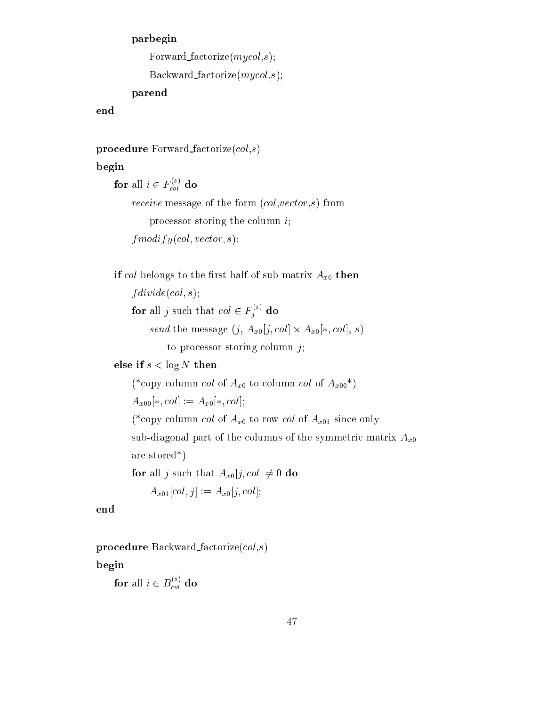#### parbegin

Forward factorize( $mycol,s$ );

 $Backward\_factorize(mycol,s);$ 

parend

end

```
procedure Forward factorize(col,s)
```
begin

for all  $i \in F_{col}^{\sim}$  do receive message of the form  $(col,vector,s)$  from processor storing the column  $i$ ;  $f$ modi $f$ y(col, vector, s);

```
if 
ol belongs to the rst half of sub-matrix Ax0 then
        fdivide(col, s);for all f such that col \in F_i^{\gamma \gamma}\frac{1}{1} do not do not do not do not do not do not do not do not do not do not do not do not do not do not do not do not do not do not do not do not do not do not do not do not do not do not do not do not do not do not d
                  sense the message (j) in two presented that is not presented to
                          to processor storing column j;
```
else if  $s < log N$  then

 $\sqrt{2}$  to  $\sqrt{2}$  and  $\sqrt{2}$  and  $\sqrt{2}$  and  $\sqrt{2}$ 

 $A_{x00}[*, col] := A_{x0}[*, col];$ 

 $\mathcal{N}$  to row and an only at the only of Ax01 since  $\mathcal{N}$ 

sub-diagonal part of the columns of the symmetric matrix  $A_{x0}$ 

are stored\*)

for all j such that  $A_{x0}[j,col] \neq 0$  do

 $A_{x01}[col, j] := A_{x0}[j, col];$ 

end

procedure Backward factorize $\left( col,s\right)$ 

begin

for all  $i \in B_{col}^{\sim}$  do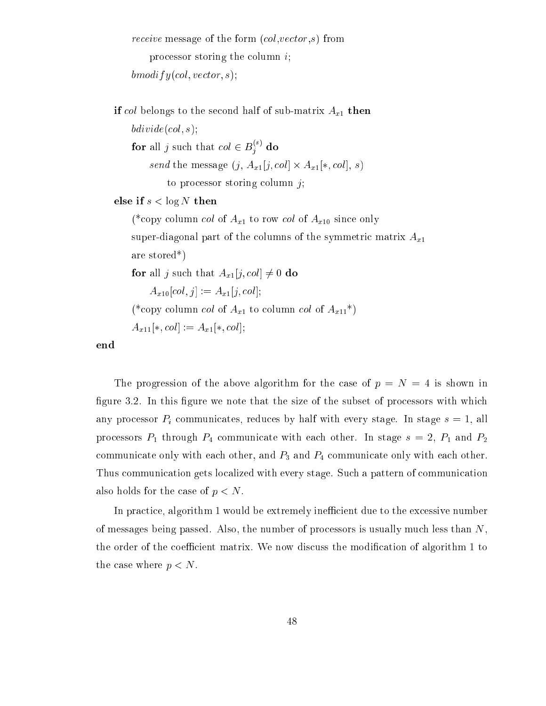receive message of the form  $(col,vector,s)$  from processor storing the column  $i$ ;  $bmodify(col,vector, s);$ 

if ol belongs to the se
ond half of sub-matrix Ax1 then  $bdivide(cd, s);$ for all  $j$  such that  $col \in B_j^{\times}$  do send the message (j, Ax1[j; ol℄ - Ax1[; ol℄, s) to processor storing column  $j$ ; else if  $s < log N$  then  $\lambda$  to row  $\lambda$  to row or  $\lambda$  and  $\lambda$  to row or  $\lambda$  axis of  $\lambda$  axis of  $\lambda$  axis of  $\lambda$ super-diagonal part of the columns of the symmetric matrix  $A_{x1}$ are stored\*) **for** all j such that  $A_{x1}[j,col] \neq 0$  do  $A_{x10}[col, j] := A_{x1}[j, col];$  $\mathcal{N} = \mathcal{N} = \mathcal{N} = \mathcal{N} = \mathcal{N}$  $A_{x11}[*, col] := A_{x1}[*, col];$ 

end

The progression of the above algorithm for the case of  $p = N = 4$  is shown in figure 3.2. In this figure we note that the size of the subset of processors with which any pro
essor Pi ommuni
ates, redu
es by half with every stage. In stage <sup>s</sup> <sup>=</sup> 1, all pro
essors P1 through P4 ommuni
ate with ea
h other. In stage <sup>s</sup> <sup>=</sup> 2, P1 and P2 ommunicate only with each contract power of  $\alpha$  and  $\alpha$  and  $\alpha$  and  $\alpha$  and  $\alpha$  and  $\alpha$  and  $\alpha$  and  $\alpha$  and  $\alpha$ Thus communication gets localized with every stage. Such a pattern of communication also holds for the case of  $p < N$ .

In practice, algorithm 1 would be extremely inefficient due to the excessive number of messages being passed. Also, the number of pro
essors is usually mu
h less than N, the order of the coefficient matrix. We now discuss the modification of algorithm 1 to the case where  $p < N$ .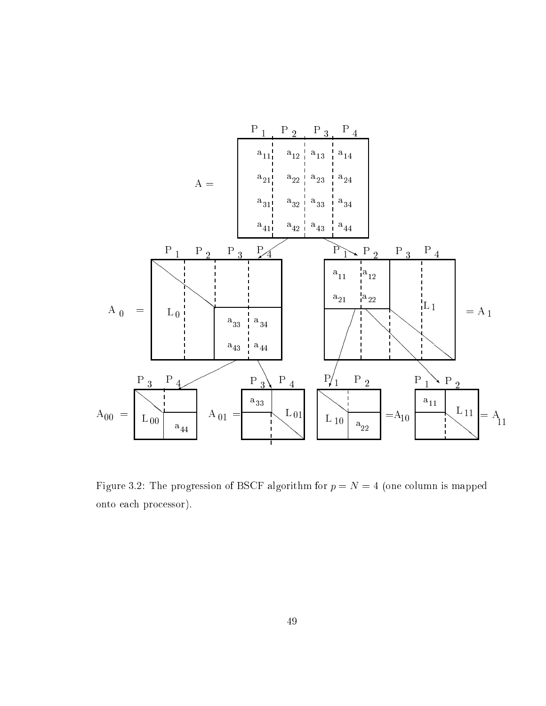

Figure 3.2: The progression of BSCF algorithm for  $p = N = 4$  (one column is mapped onto ea
h pro
essor).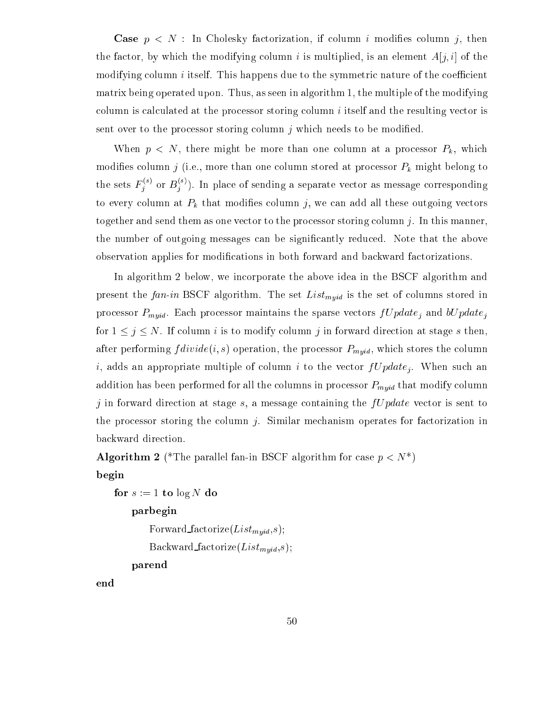Case  $p \leq N$ : In Cholesky factorization, if column i modifies column j, then the factor, by which the modifying column i is multiplied, is an element  $A[j, i]$  of the modifying column  $i$  itself. This happens due to the symmetric nature of the coefficient matrix being operated upon. Thus, as seen in algorithm 1, the multiple of the modifying column is calculated at the processor storing column  $i$  itself and the resulting vector is sent over to the processor storing column  $j$  which needs to be modified.

When  $p \leq N$ , there might be more than one column at a processor  $P_k$ , which modies olumn j (i.e., more than one olumn stored at pro
essor Pk might belong to the sets  $F_s^{\gamma\gamma}$  $\mathcal{F}_i^{\gamma}$  or  $B_i^{\gamma}$ ). In place of sending a separate vector as message corresponding to every  $\mathbb{R}^n$  that modifies  $\mathbb{R}^n$  these outgoing vectors in additionally vectors in a set of  $\mathbb{R}^n$ together and send them as one vector to the processor storing column  $j$ . In this manner, the number of outgoing messages can be significantly reduced. Note that the above observation applies for modifications in both forward and backward factorizations.

In algorithm 2 below, we incorporate the above idea in the BSCF algorithm and present the fance in SSCF algorithme. The set of the fangle is the set of the set of the set of the set processor maintains the sparse version that we have a parties of parties of parties of parties  $\mu$  and bu for  $1 \leq j \leq N$ . If column *i* is to modify column *j* in forward direction at stage *s* then, after performing  $fdivide( i, s)$  operation, the processor  $P_{muid}$ , which stores the column i, additional appropriate multiple of the vertical . To the vertical . We have able . When such a new and addition has been performed for all the core of all the modern in proposition in  $m_{\rm H}$  is the modern core of  $\sim$ j in forward direction at stage s, a message containing the  $fUpdate$  vector is sent to the processor storing the column  $j$ . Similar mechanism operates for factorization in ba
kward dire
tion.

**Algorithm 2** (\*The parallel fan-in BSCF algorithm for case  $p < N^*$ )

begin

```
for s := 1 to \log N do
    parbegin
         Forward_factorize(List_{muid}, s);
         \text{Backward\_factorize}(List_{muid}, s);
```
parend

end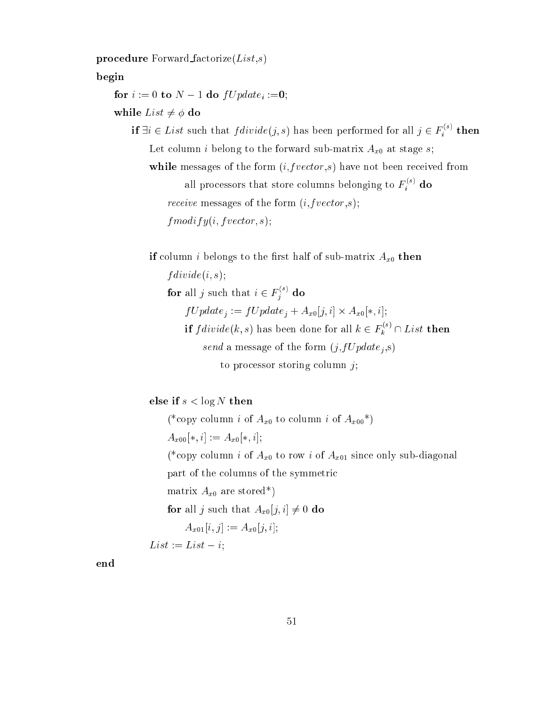pro
edure Forward fa
torize(List,s)

begin

for i :=0 i  $\mathcal{L} = 0$  . The integration is the function of  $\mathcal{L} = 0$ while  $List \neq \phi$  do if  $\exists i \in \text{List}$  such that  $\text{false}(j, s)$  has been performed for all  $j \in F_i^{(s)}$  $i$  then the number of  $i$  $\Omega$  belong to the form in the form in the form in the form in the form in the form in the form in the form in the form in the form in the form in the form in the form in the form in the form in the form in the form in th while messages of the form  $(i, fvector, s)$  have not been received from all processors that store columns belonging to  $F_i^{\gamma\gamma}$  $i$  do  $i$ receive messages of the form  $(i, fvector, s);$  $f modify(i, f vector, s);$ 

if the sub-matrix is defined to the sub-matrix  $\alpha$  and  $\alpha$  then  $\alpha$  then  $\alpha$ 

 $fdivide(i,s);$ 

for all *j* such that  $i \in F_i^{\times \times}$ j do fU pdatej := fU pdatej <sup>+</sup> Ax0[j; i℄ - Ax0[; i℄; if  $fdvvde(k,s)$  has been done for all  $k \in F_k^{\sim} \cap List$  then  $\mathcal{S}$  and the form (j,fU point  $\mathcal{S}$ ) and  $\mathcal{S}$  and  $\mathcal{S}$  ,  $\mathcal{S}$ to processor storing column  $j$ ;

else if  $s < log N$  then

 $\sqrt{ }$  to  $\sqrt{ }$  and  $\sqrt{ }$  and  $\sqrt{ }$  and  $\sqrt{ }$  and  $\sqrt{ }$  and  $\sqrt{ }$  and  $\sqrt{ }$  and  $\sqrt{ }$  and  $\sqrt{ }$  and  $\sqrt{ }$  and  $\sqrt{ }$  and  $\sqrt{ }$  and  $\sqrt{ }$  and  $\sqrt{ }$  and  $\sqrt{ }$  and  $\sqrt{ }$  and  $\sqrt{ }$  and  $\sqrt{ }$  and  $\sqrt{ }$  and  $\$  $A_{x00}[*, i] := A_{x0}[*, i];$ (\*
opy olumn i of Ax0 to row <sup>i</sup> of Ax01 sin
e only sub-diagonal part of the olumns of the symmetri matrix Axon and stored and the store of the store of the store of the store of the store of the store of the s **for** all j such that  $A_{x0}[j, i] \neq 0$  **do**  $A_{x01}[i, j] := A_{x0}[j, i];$  $List := List - i;$ 

end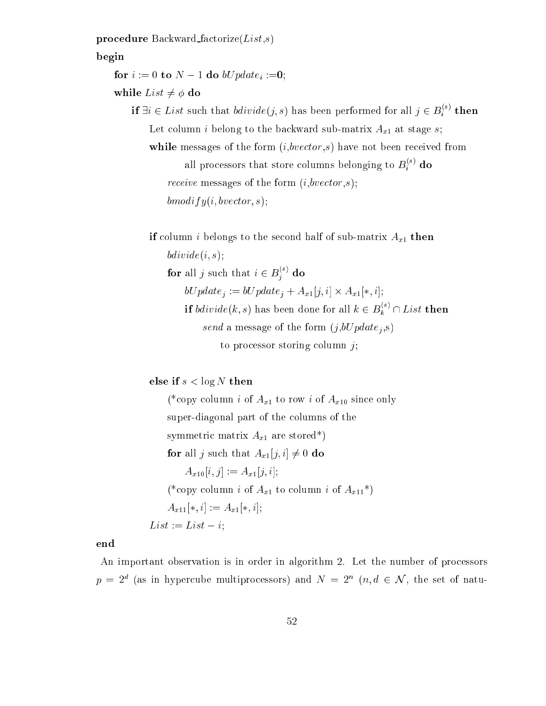pro
edure Ba
kward fa
torize(List,s) begin for i :=0 to  $\mathcal{L}$  . The set of  $\mathcal{L}$  is the  $\mathcal{L}$ while  $List \neq \phi$  do if  $\exists i \in \textit{List}$  such that  $\textit{bdivide}(j, s)$  has been performed for all  $j \in B_i^\times$  then Let olumn i belong to the ba
kward sub-matrix Ax1 at stage s; while messages of the form  $(i, bvector, s)$  have not been received from all processors that store columns belonging to  $B_i^{\times}{}'$  do receive messages of the form  $(i, bvector, s);$  $bmodify(i, bvector, s);$ 

> if the set of sub-matrix  $\omega_1$  then set of sub-matrix  $\omega_2$  $bdivide(i,s);$ for all  $j$  such that  $i \in B_j^{<\sim}$  do bU patei i tutti + Axia - bu patei i ali itu - bu patei itu - bu patei itu - bu p if  $bduvide(k, s)$  has been done for all  $k \in B_k^{<\sim} \cap List$  then send a message of the form (j,bU pdatej ,s) and (j,bU pdatej ,s) and (j,bU pdatej ,s) and (j,bU pdatej ,s) and to processor storing column  $j$ ;

else if  $s < log N$  then

(\*
opy olumn i of Ax1 to row <sup>i</sup> of Ax10 sin
e only super-diagonal part of the olumns of the  $\sim$  , are stored are stored axis and the stored axis and  $\sim$ **for** all j such that  $A_{x1}[j, i] \neq 0$  **do**  $A_{x10}[i, j] := A_{x1}[j, i];$ (\* opp) of Axia to axia to axia to axia to axia to axia  $A_{x11}[*, i] := A_{x1}[*, i];$  $List := List - i;$ 

#### end

An important observation is in order in algorithm 2. Let the number of processors  $p = 2$  (as in hypercube multiprocessors) and  $N = 2$   $(n, a \in N)$ , the set of natu-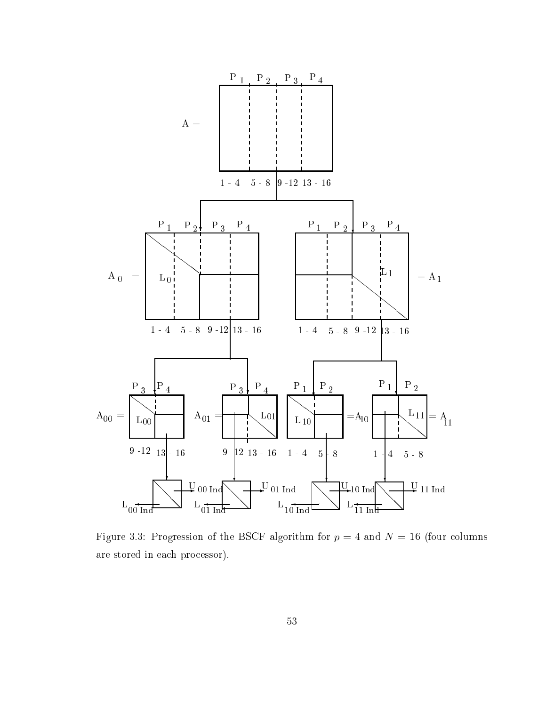

Figure 3.3: Progression of the BSCF algorithm for  $p = 4$  and  $N = 16$  (four columns are stored in ea
h pro
essor).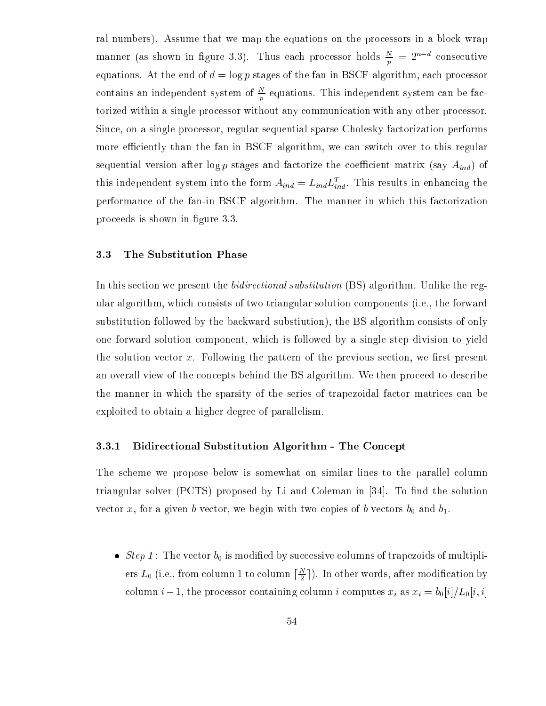ral numbers). Assume that we map the equations on the processors in a block wrap manner (as snown in figure 3.3). Thus each processor holds  $\frac{1}{p} = 2^{n-\alpha}$  consecutive equations. At the end of  $d = \log p$  stages of the fan-in BSCF algorithm, each processor contains an independent system or  $\frac{1}{p}$  equations. This independent system can be factorized within a single pro
essor without any ommuni
ation with any other pro
essor. Sin
e, on a single pro
essor, regular sequential sparse Cholesky fa
torization performs more efficiently than the fan-in BSCF algorithm, we can switch over to this regular sequential version after  $\log p$  stages and factorize the coefficient matrix (say  $A_{ind}$ ) of this independent system into the form  $A_{ind} \equiv L_{ind} L_{ind}^T$ . This results in enhancing the performan
e of the fan-in BSCF algorithm. The manner in whi
h this fa
torization pro
eeds is shown in gure 3.3.

#### 3.3 The Substitution Phase

In this section we present the *bidirectional substitution* (BS) algorithm. Unlike the regular algorithm, which consists of two triangular solution components (i.e., the forward substitution followed by the ba
kward substiution), the BS algorithm onsists of only one forward solution omponent, whi
h is followed by a single step division to yield the solution vector  $x$ . Following the pattern of the previous section, we first present an overall view of the concepts behind the BS algorithm. We then proceed to describe the manner in which the sparsity of the series of trapezoidal factor matrices can be exploited to obtain a higher degree of parallelism.

#### 3.3.1 Bidire
tional Substitution Algorithm - The Con
ept

The scheme we propose below is somewhat on similar lines to the parallel column triangular solver  $(PCTS)$  proposed by Li and Coleman in [34]. To find the solution versee to the body we begin with the street with the street with the begin with t

 $\mathbf{v} = \mathbf{v}$  is modified by subset of multiplication by subset of multiplication of  $\mathbf{v}$ ers  $L_0$  (i.e., from column 1 to column  $|\frac{L_0}{2}|$  ). In other words, after modification by olumn i  $\alpha$  in province the production interest interest  $\alpha$  as  $\alpha$  in the  $\alpha$  it is  $\alpha$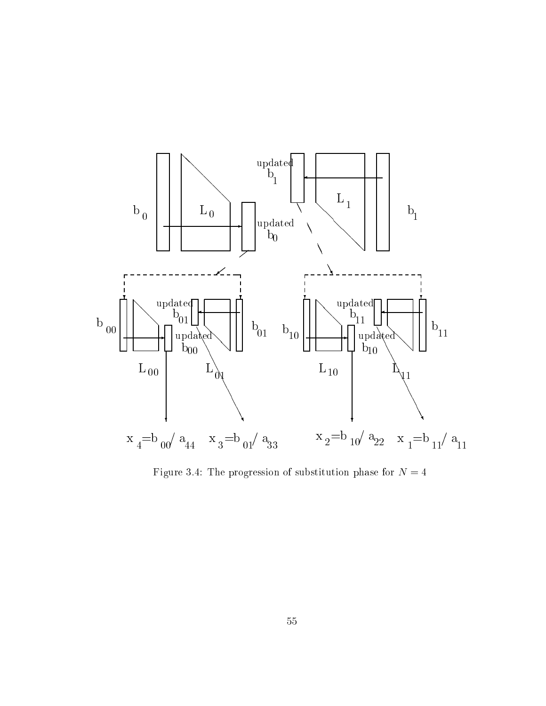

Figure 3.4: The progression of substitution phase for  $N = 4$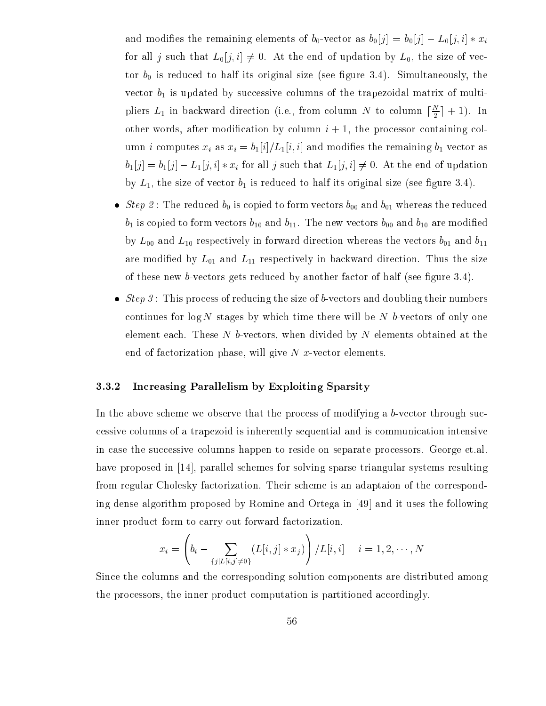and modifies the remaining elements of  $b_0$ -vector as  $b_0[j] = b_0[j] - L_0[j, i] * x_i$ for all j such that  $L_0[j, i] \neq 0$ . At the end of updation by  $L_0$ , the size of vector b0 is reduced to finite the confidence and the film its original size (see the continual). The ve
tor b1 is updated by su

essive olumns of the trapezoidal matrix of multiphers  $L_1$  in backward direction (i.e., from column *I*V to column  $|\frac{1}{2}| + 1$ ). In  $\overline{\phantom{a}}$ other words, after modification by column  $i + 1$ , the processor containing colwhere xis as  $\mu$  as  $\mu$  and  $\mu$   $\mu$  it it is also the remaining binding binding binding binding and  $\mu$  $\mathbb{P} \setminus \{j\} = \{j\}$  if  $j\in\mathbb{N}$  it is that  $\mathbb{P} \setminus \{j\}$  for all  $j\in\mathbb{N}$  for end of updating  $\mathbb{P} \setminus \{j\}$ by L1, the size of ve
tor b1 is redu
ed to half its original size (see gure 3.4).

- Step 2 : The redu
ed b0 is opied to form ve
tors b00 and b01 whereas the redu
ed b1 is opied to form ve
tors b10 and b11. The new ve
tors b00 and b10 are modied by  $\rightarrow$  00 and  $\rightarrow$  10 respectively in formation whereas the version whereas the version  $\sim$  01 and b11 are modied by L01 and L11 respe
tively in ba
kward dire
tion. Thus the size of these new b-ve
tors gets redu
ed by another fa
tor of half (see gure 3.4).
- $\mathcal{S}$  : This product of the size of b-vectors and doubling the size of b-vectors and doubling their numbers and doubling the size of  $\mathcal{S}$ continues for  $\log N$  stages by which time there will be N b-vectors of only one element each. These N b-vectors, when divided by N elements obtained at the end of factorization phase, will give  $N$  x-vector elements.

#### 3.3.2 In
reasing Parallelism by Exploiting Sparsity

In the above scheme we observe that the process of modifying a b-vector through successive columns of a trapezoid is inherently sequential and is communication intensive in case the successive columns happen to reside on separate processors. George et.al. have proposed in  $[14]$ , parallel schemes for solving sparse triangular systems resulting from regular Cholesky factorization. Their scheme is an adaptaion of the corresponding dense algorithm proposed by Romine and Ortega in  $[49]$  and it uses the following inner product form to carry out forward factorization.

$$
x_i = \left(b_i - \sum_{\{j|L[i,j] \neq 0\}} (L[i,j] * x_j) \right) / L[i,i] \quad i = 1, 2, \cdots, N
$$

Sin
e the olumns and the orresponding solution omponents are distributed among the processors, the inner product computation is partitioned accordingly.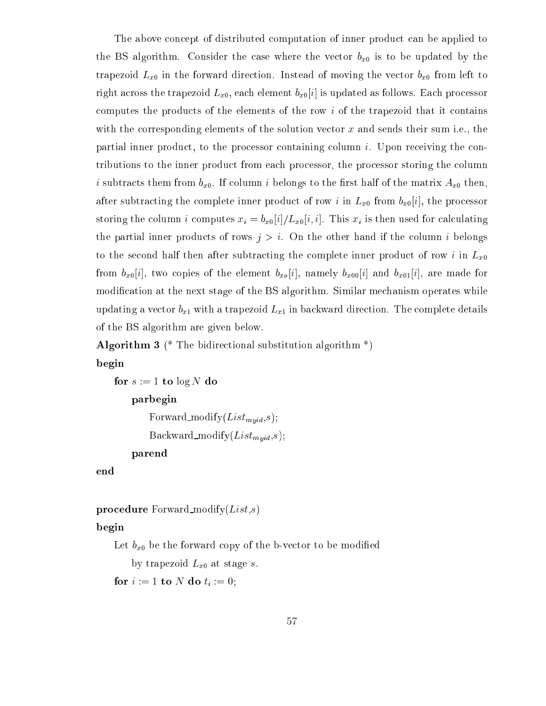The above concept of distributed computation of inner product can be applied to the BS algorithm. Consider the vector  $\omega$  is to be updated by the vector  $\omega$ trapezoid Language tion. In the form of moving the form the form the secondary the vertice in  $\mu_{0}$  from the vertice right across the trapezoid  $L_{x0}$ , each element  $b_{x0}[i]$  is updated as follows. Each processor computes the products of the elements of the row  $i$  of the trapezoid that it contains with the corresponding elements of the solution vector  $x$  and sends their sum i.e., the partial inner product, to the processor containing column  $i$ . Upon receiving the contributions to the inner produ
t from ea
h pro
essor, the pro
essor storing the olumn  $\omega$  views to the matrix and the matrix  $\omega$  views to the matrix  $\omega$  views to the matrix  $\omega$ after subtraction the production in Latin complete in Latin complete in the production of  $x$ storing the olumn i omputes xi <sup>=</sup> bx0[i℄=Lx0[i; i℄. This xi is then used for al
ulating the partial inner products of rows  $j > i$ . On the other hand if the column i belongs to the second half then after subtracting the complete inner product of row i in  $L_{x0}$ from  $b_{x0}[i]$ , two copies of the element  $b_{x0}[i]$ , namely  $b_{x00}[i]$  and  $b_{x01}[i]$ , are made for modification at the next stage of the BS algorithm. Similar mechanism operates while updating a vertex and the transfer a transfer a transfer and the transfer and the transfer and the transfer and of the BS algorithm are given below.

**Algorithm 3** (\* The bidirectional substitution algorithm \*)

#### begin

for  $s := 1$  to  $\log N$  do

#### parbegin

```
Forward_modify(List_{muid}, s);Backward-modify(List_{myid}, s);
```
#### parend

end

#### procedure Forward\_modify $(List,s)$

begin

Let bx0 be the forward opy of the b-ve
tor to be modied by trapezoid Lx0 at stage s.

for interesting the interest  $\iota$  :  $\iota$  :  $\iota$  :  $\iota$  :  $\iota$  :  $\iota$  :  $\iota$  :  $\iota$  :  $\iota$  :  $\iota$  :  $\iota$  :  $\iota$  :  $\iota$  :  $\iota$  :  $\iota$  :  $\iota$  :  $\iota$  :  $\iota$  :  $\iota$  :  $\iota$  :  $\iota$  :  $\iota$  :  $\iota$  :  $\iota$  :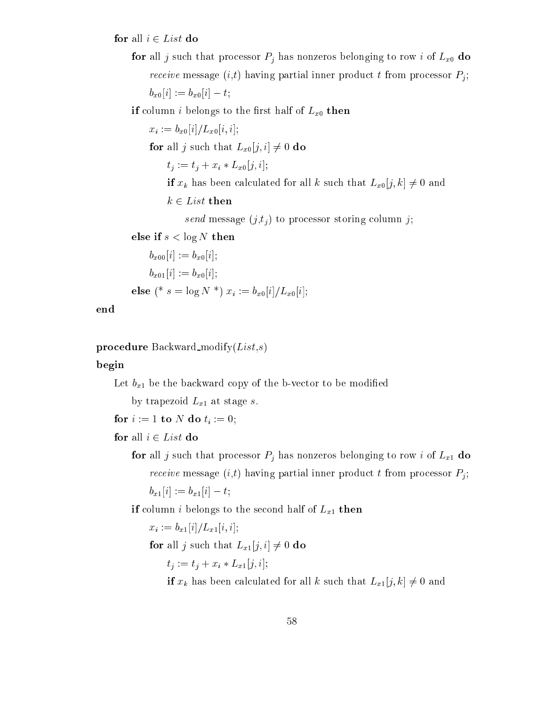for all  $i \in List$  do

for all j su
h that pro
essor Pj has nonzeros belonging to row <sup>i</sup> of Lx0 do recent message (i) having particles produced produced produced produced produced i  $b_{x0}[i] := b_{x0}[i] - t;$ 

if is a constant of the state of  $\alpha$  the theory is the constant of  $\alpha$   $\alpha$   $\beta$  then the constant of  $\alpha$ 

 $\cdots$   $\cdots$   $\cdots$   $\cdots$   $\cdots$   $\cdots$ for all j such that  $L_{x0}[j, i] \neq 0$  do tj := tj <sup>+</sup> xi Lx0[j; i℄; if  $\mathcal{U} \cup \{ \mathcal{Y} \}$  if  $\mathcal{U} = \{ \mathcal{U} \cup \{ \mathcal{Y} \}$  $k \in List$  then send message (j,tj ) to pro
essor storing olumn j; else if  $s < log N$  then  $b_{x00}[i] := b_{x0}[i];$ 

 $b_{x01}[i] := b_{x0}[i];$ 

else (\* s = log N \*) xi := bx0[i℄=Lx0[i℄;

end

**procedure** Backward modify  $List, s$ 

begin

Let bx1 be the ba
kward opy of the b-ve
tor to be modied

by transferred control at state  $\mathbf{O}$  at stars  $\mathbf{O}$ 

for interesting the interest of  $\mathbf{r}$  is  $\mathbf{r}$  in  $\mathbf{r}$  : 0;

- for all  $i \in List$  do
	- for all j su
	h that pro
	essor Pj has nonzeros belonging to row <sup>i</sup> of Lx1 do recent message (i) having particles produced produced produced produced produced i  $b_{x1}[i] := b_{x1}[i] - t;$

if the second to the second the second theoretically in the second theoretical conditions of the second theoretical conditions of the second theoretical conditions of the second terms of the second terms of the second term

 $\cdots$   $\iota$  :  $\cdots$   $\omega$   $\iota$  i  $\cdots$   $\omega$   $\iota$  i  $\cdots$  it is

for all j such that  $L_{x1}[j, i] \neq 0$  do

الناسة له السابق ال

if  $\frac{d\mu}{dt}$  is all known that been all known that  $\frac{d\mu}{dt}$  is all contracts to  $\frac{d\mu}{dt}$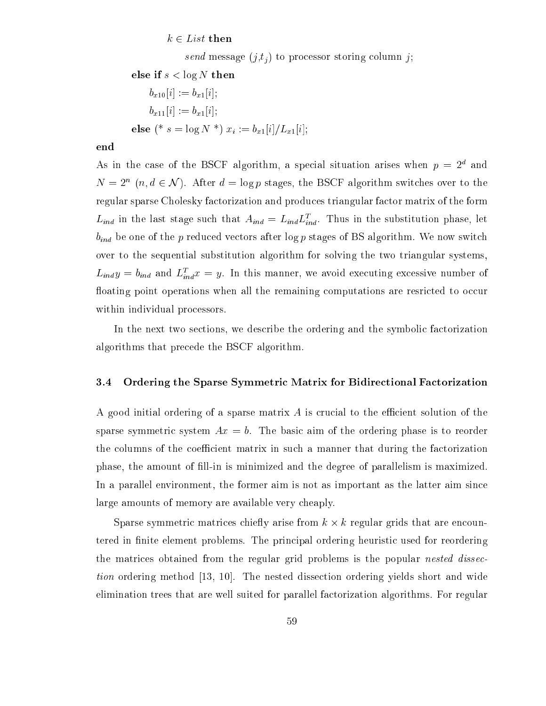#### $k \in List$  then

send message (j,tj i d) to provide the contract of the contract of the contract of the contract of the contract of the contract of the contract of the contract of the contract of the contract of the contract of the contra

```
else if s < log N then
       b_{x10}[i] := b_{x1}[i];b_{x11}[i] := b_{x1}[i];else (* s = log = log n *) or by international substantial problems (* ) or by international problems (* ) or
```
end

As in the case of the BSCF algorithm, a special situation arises when  $p = 2^{\circ}$  and  $N = 2^n$  (*n*,  $a \in N$  ). After  $a = \log p$  stages, the BSCF algorithm switches over to the regular sparse Cholesky factorization and produces triangular factor matrix of the form  $L_{ind}$  in the last stage such that  $A_{ind} \equiv L_{ind} L_{ind}^{\top}$ . Thus in the substitution phase, let bind be one of the p reduced be p reduced by a reduced by  $\Omega$  and  $\Omega$  are p reduced by  $\Omega$ over to the sequential substitution algorithm for solving the two triangular systems,  $L_{ind}y = v_{ind}$  and  $L_{ind}^x x = y$ . In this manner, we avoid executing excessive number of floating point operations when all the remaining computations are resricted to occur within individual pro
essors.

In the next two sections, we describe the ordering and the symbolic factorization algorithms that pre
ede the BSCF algorithm.

#### 3.4 Ordering the Sparse Symmetric Matrix for Bidirectional Factorization

A good initial ordering of a sparse matrix A is crucial to the efficient solution of the sparse symmetric system  $Ax = b$ . The basic aim of the ordering phase is to reorder the columns of the coefficient matrix in such a manner that during the factorization phase, the amount of ll-in is minimized and the degree of parallelism is maximized. In a parallel environment, the former aim is not as important as the latter aim sin
e large amounts of memory are available very heaply.

Sparse symmetri matri
es hie
y arise from k - k regular grids that are en
ountered in finite element problems. The principal ordering heuristic used for reordering the matrices obtained from the regular grid problems is the popular *nested dissec*tion ordering method [13, 10]. The nested dissection ordering yields short and wide elimination trees that are well suited for parallel fa
torization algorithms. For regular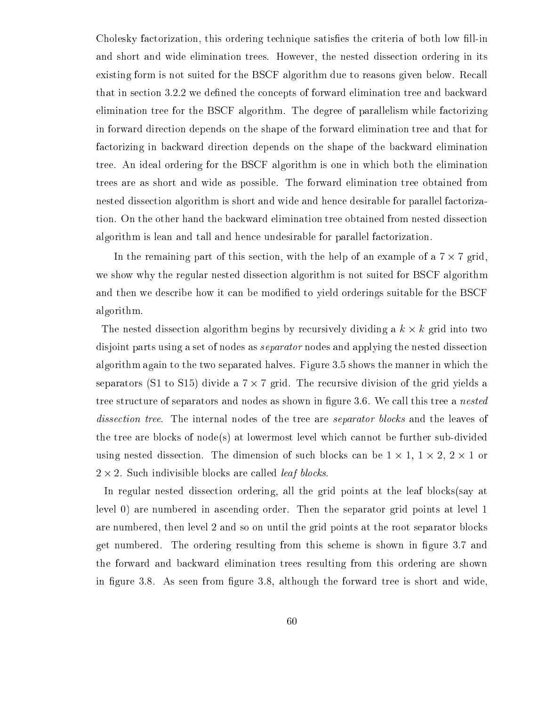Cholesky factorization, this ordering technique satisfies the criteria of both low fill-in and short and wide elimination trees. However, the nested disse
tion ordering in its existing form is not suited for the BSCF algorithm due to reasons given below. Recall that in section 3.2.2 we defined the concepts of forward elimination tree and backward elimination tree for the BSCF algorithm. The degree of parallelism while factorizing in forward dire
tion depends on the shape of the forward elimination tree and that for factorizing in backward direction depends on the shape of the backward elimination tree. An ideal ordering for the BSCF algorithm is one in whi
h both the elimination trees are as short and wide as possible. The forward elimination tree obtained from nested disse
tion algorithm is short and wide and hen
e desirable for parallel fa
torization. On the other hand the ba
kward elimination tree obtained from nested disse
tion algorithm is lean and tall and hen
e undesirable for parallel fa
torization.

In the remaining part of this se
tion, with the help of an example of a 7 - 7 grid, we show why the regular nested dissection algorithm is not suited for BSCF algorithm and then we describe how it can be modified to yield orderings suitable for the BSCF algorithm.

tion algorithm begins by reducing a contract of the contract of the contract of the contract of the contract o disjoint parts using a set of nodes as *separator* nodes and applying the nested dissection algorithm again to the two separated halves. Figure 3.5 shows the manner in whi
h the separators (S1 to S15) divide a 7 - 7 grid. The re
ursive division of the grid yields a tree structure of separators and nodes as shown in figure 3.6. We call this tree a *nested* dissection tree. The internal nodes of the tree are *separator blocks* and the leaves of the tree are blocks of  $node(s)$  at lowermost level which cannot be further sub-divided tion, the distribution of such an and distribution of such an and distribution of the 1, 1 - 1, 1 - 1, 1 - 1, 2 - 2. Su
h indivisible blo
ks are alled leaf blo
ks.

In regular nested dissection ordering, all the grid points at the leaf blocks (say at level 0) are numbered in as
ending order. Then the separator grid points at level 1 are numbered, then level 2 and so on until the grid points at the root separator blo
ks get numbered. The ordering resulting from this scheme is shown in figure 3.7 and the forward and ba
kward elimination trees resulting from this ordering are shown in figure 3.8. As seen from figure 3.8, although the forward tree is short and wide,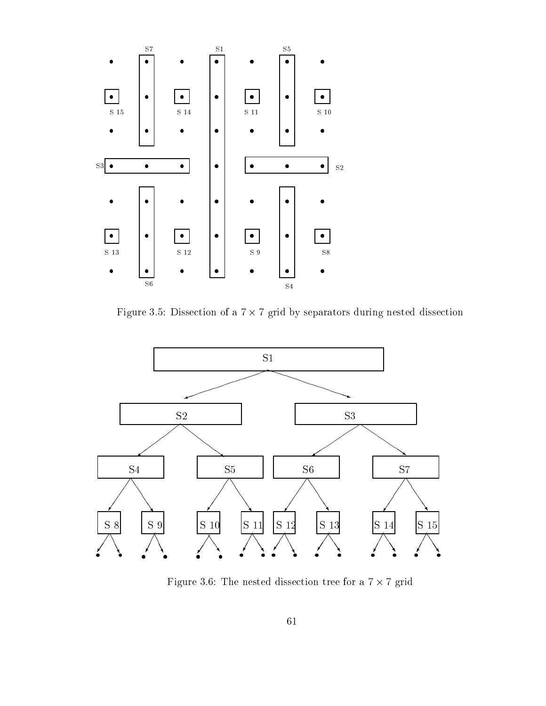

Figure 3.5: Disse
tion of a 7 - 7 grid by separators during nested disse
tion



Figure 3.6: The nested disse
tion tree for a 7 - 7 grid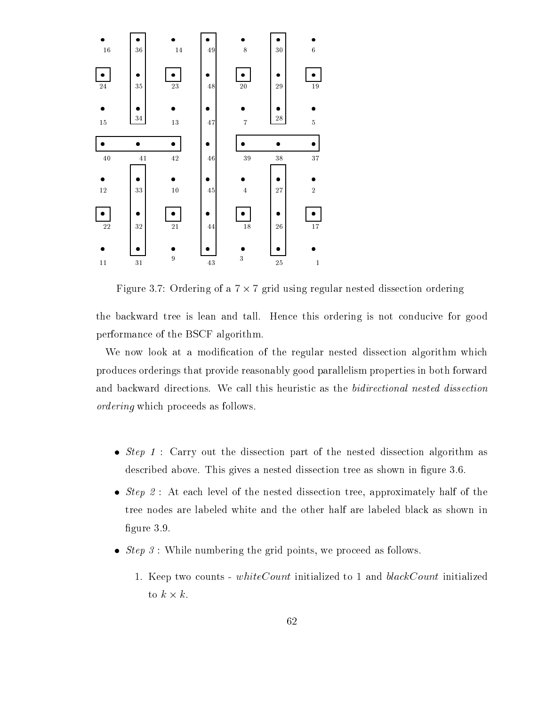

Figure 3.7: Ordering of a 7 - 7 grid using regular nested disse
tion ordering

the ba
kward tree is lean and tall. Hen
e this ordering is not ondu
ive for good performan
e of the BSCF algorithm.

We now look at a modification of the regular nested dissection algorithm which produ
es orderings that provide reasonably good parallelism properties in both forward and backward directions. We call this heuristic as the *bidirectional nested dissection* ordering which proceeds as follows.

- Step 1 : Carry out the disse
tion part of the nested disse
tion algorithm as described above. This gives a nested dissection tree as shown in figure 3.6.
- Step 2 : At ea
h level of the nested disse
tion tree, approximately half of the tree nodes are labeled white and the other half are labeled bla
k as shown in figure 3.9.
- Step 3 : While numbering the grid points, we pro
eed as follows.
	- 1. Keep two counts white Count initialized to 1 and black Count initialized to k - k.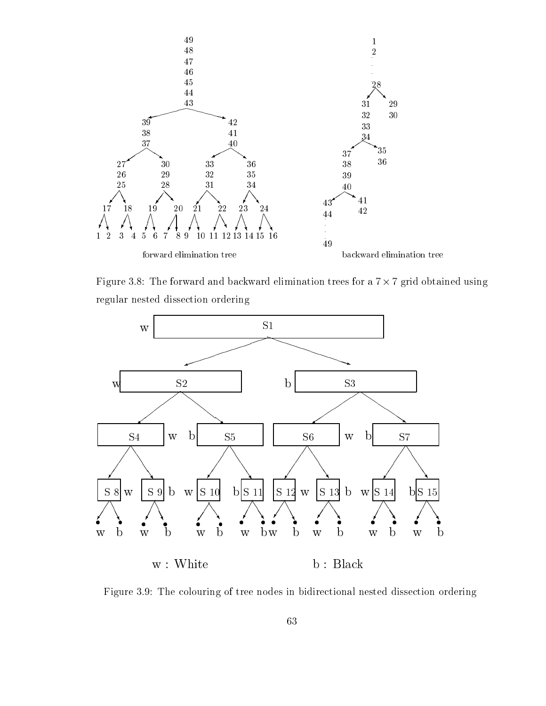

Figure 3.8: The forward and ba
kward elimination trees for a 7 - 7 grid obtained using regular nested disse
tion ordering



Figure 3.9: The colouring of tree nodes in bidirectional nested dissection ordering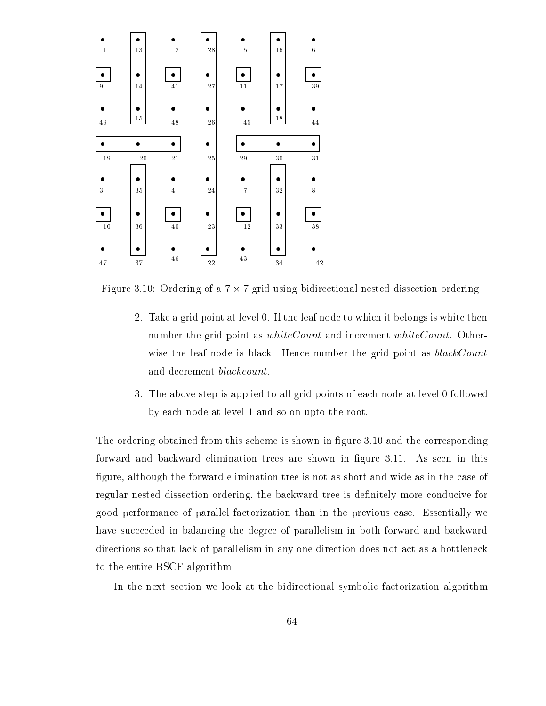

Figure 3.10: Ordering of a 7 - 7 grid using bidire
tional nested disse
tion ordering

- 2. Take a grid point at level 0. If the leaf node to whi
h it belongs is white then number the grid point as *whiteCount* and increment *whiteCount*. Otherwise the leaf node is black. Hence number the grid point as *blackCount* and decrement *blackcount*.
- 3. The above step is applied to all grid points of ea
h node at level 0 followed by ea
h node at level 1 and so on upto the root.

The ordering obtained from this scheme is shown in figure 3.10 and the corresponding forward and backward elimination trees are shown in figure 3.11. As seen in this figure, although the forward elimination tree is not as short and wide as in the case of regular nested dissection ordering, the backward tree is definitely more conducive for good performan
e of parallel fa
torization than in the previous ase. Essentially we have succeeded in balancing the degree of parallelism in both forward and backward directions so that lack of parallelism in any one direction does not act as a bottleneck to the entire BSCF algorithm.

In the next section we look at the bidirectional symbolic factorization algorithm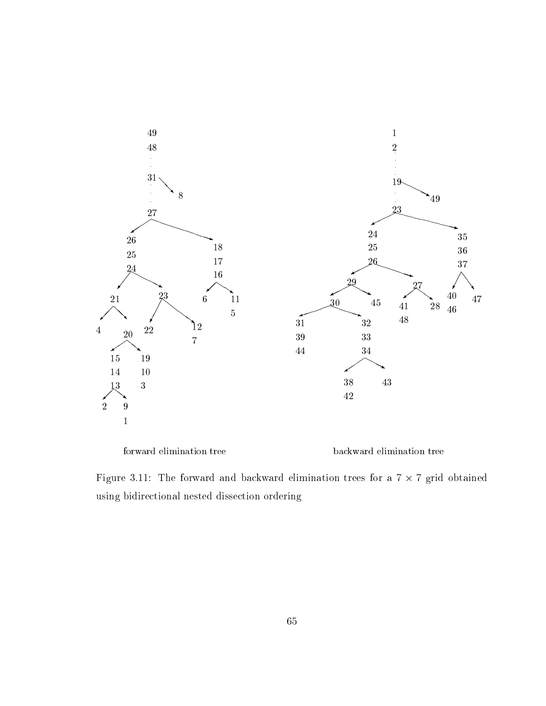

forward elimination tree

ba
kward elimination tree

Figure 3.11: The formation trees for a 7  $\mu$  -formation trees for a 7  $\mu$ using bidire
tional nested disse
tion ordering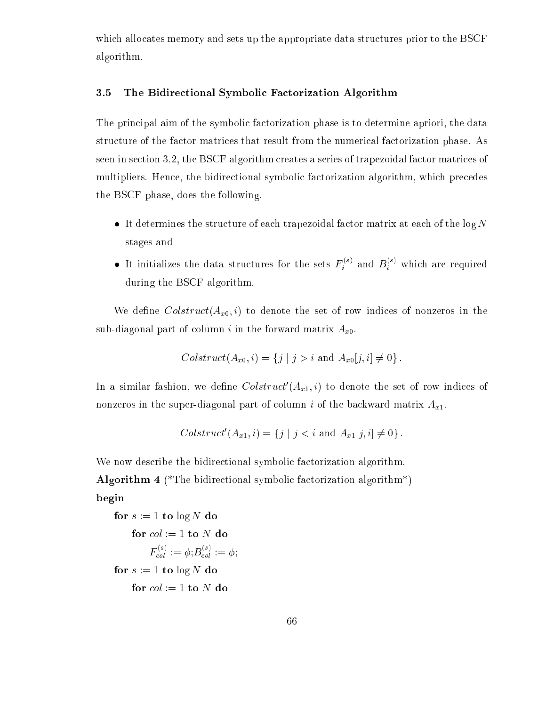which allocates memory and sets up the appropriate data structures prior to the BSCF algorithm.

### 3.5 The Bidirectional Symbolic Factorization Algorithm

The principal aim of the symbolic factorization phase is to determine apriori, the data structure of the factor matrices that result from the numerical factorization phase. As seen in section 3.2, the BSCF algorithm creates a series of trapezoidal factor matrices of multipliers. Hence, the bidirectional symbolic factorization algorithm, which precedes the BSCF phase, does the following.

- tor matrix the structure of the structure of the log number of the log North Control of the log North Control of stages and
- It initializes the data structures for the sets  $F_i^{(s)}$  $i$ , and  $B_i^{(3)}$  which are required during the BSCF algorithm.

We define  $\text{Colstruct}(A_{x0}, i)$  to denote the set of row indices of nonzeros in the sub-diagonal part of column i in the forward matrix  $A_{x0}$ .

$$
Colstruct(A_{x0}, i) = \{j \mid j > i \text{ and } A_{x0}[j, i] \neq 0\}.
$$

In a similar fashion, we define  $\textit{Costruct}\left(A_{x1},\textit{t}\right)$  to denote the set of row indices of nonzeros in the super-diagonal part of column i of the backward matrix  $A_{x1}$ .

$$
Colstruct'(A_{x1}, i) = \{j \mid j < i \text{ and } A_{x1}[j, i] \neq 0\}.
$$

We now describe the bidirectional symbolic factorization algorithm.

Algorithm 4 (\*The bidirectional symbolic factorization algorithm<sup>\*</sup>) begin

for  $s := 1$  to  $\log N$  do for  $col := 1$  to N do  $F_{col}$  $\chi_{col}^{\sim i} := \phi; B_{col}^{\sim i} := \phi;$ for  $s := 1$  to  $\log N$  do for  $col := 1$  to N do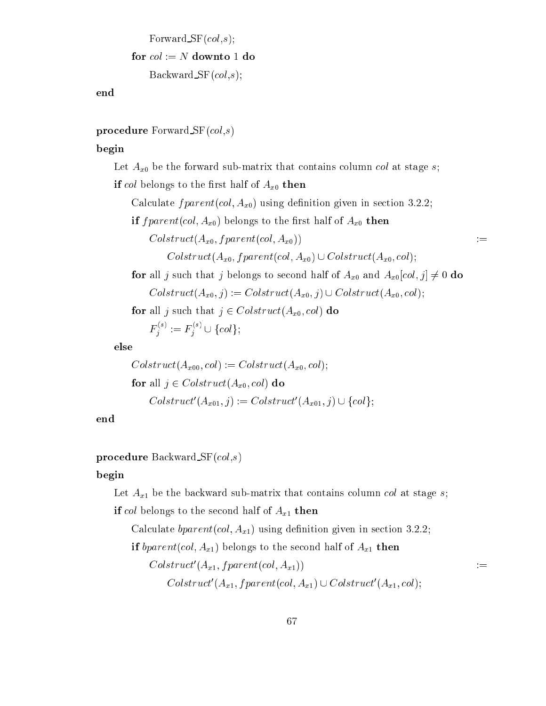```
Forward SF(col, s);
for col := N downto 1 do
    Backward\_SF(col, s);
```
end

### procedure Forward  $SF(col, s)$

### begin

 $\mathcal{L}$ if if  $\alpha$  if the state of  $\alpha$  then the axove the  $\alpha$  if  $\alpha$  then the  $\alpha$ 

Calculate  $fparent(col, A_{x0})$  using definition given in section 3.2.2;

 $\alpha$  if the contract of  $\alpha$  and  $\alpha$  the theoretic theoretic theoretic theoretic theoretic theoretical theoretical theoretical theoretical theoretical theoretical theoretical theoretical theoretical theoretical theoretic

 $\text{Colstruct}(A_{x0}, \text{fparent}(col, A_{x0}))$  :=

```
Colstruct(A_{x0}, fparent(cd, A_{x0}) \cup Colstruct(A_{x0}, col);
```
for all j such that if it seems to seem that it and and and and  $\mu$  if  $\mu$  $Colstruct(A_{x0}, j) := Colstruct(A_{x0}, j) \cup Colstruct(A_{x0}, col);$ 

for all j such that  $j \in Colstruct(A_{x0}, col)$  do

 $\jmath$   $\lnot$   $\lnot$   $\lnot$   $\lnot$ 

 $F_s^{\gamma\gamma}$  $j^{\sim} := F_j^{\sim}$ else

> $Colstruct(A_{x00}, col) := Colstruct(A_{x0}, col);$ for all  $j \in Colstruct(A_{x0}, col)$  do Colstruct  $(A_{x01}, j) := \text{C}$ olstruct  $(A_{x01}, j) \cup \{\text{col}\}\;;$

end

procedure Backward  $SF(col, s)$ 

## begin

 $\mu$ 1 be the basic that basic that  $\Omega$  at stage sub-matrix that  $\Omega$ if ol belongs to the se
ond half of Ax1 then

Calculate  $bparent(cd, A_{x1})$  using definition given in section 3.2.2; if and the second to the second of the second the second to the second term of the second  $\text{C}$ olstru $\text{C}$ t (A<sub>x1</sub>, f parent( $\text{co}$ , A<sub>x1</sub>))  $\qquad \qquad \text{C}$ 

 $\text{C}$ otstruct (A<sub>x1</sub>, f parent(cot, A<sub>x1</sub>)  $\cup$  Cotstruct (A<sub>x1</sub>, cot);

 $:=$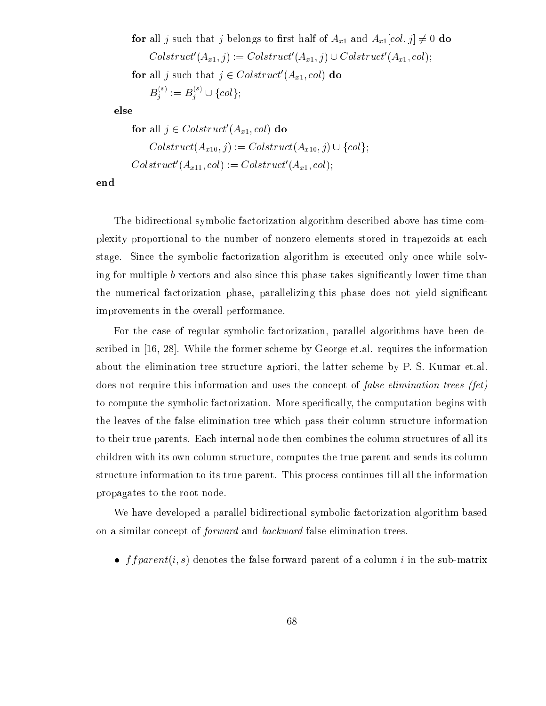. - - قال الليات التي تسمح ال<sub>ل</sub>احية المنتظر المعتقد المناطق المنتظر المنتظر المعتقد المعتقد ال**ل**احدة المناطقة Colstruct  $(A_{x1}, j) := \text{Construct } (A_{x1}, j) \cup \text{Construct } (A_{x1}, \text{col});$ for all j such that  $j \in \textit{Construct}(A_{x_1},\textit{col})$  do  $B_j^{\cdot,\cdot}:=B_j^{\cdot,\cdot}\cup\{col\};$ 

else

for an  $j \in \text{Construct}(A_{x_1},\text{col})$  do  $Colstruct(A_{x10}, j) := Colstruct(A_{x10}, j) \cup \{col\};$ Colstruct  $(A_{x1}, coi) := \text{C}$  or struct  $(A_{x1}, coi)$ ;

end

The bidirectional symbolic factorization algorithm described above has time complexity proportional to the number of nonzero elements stored in trapezoids at ea
h stage. Sin
e the symboli fa
torization algorithm is exe
uted only on
e while solving for multiple b-vectors and also since this phase takes significantly lower time than the numerical factorization phase, parallelizing this phase does not yield significant improvements in the overall performan
e.

For the case of regular symbolic factorization, parallel algorithms have been described in [16, 28]. While the former scheme by George et al. requires the information about the elimination tree structure apriori, the latter scheme by P. S. Kumar et.al. does not require this information and uses the concept of *false elimination trees*  $f$ *(fet)* to compute the symbolic factorization. More specifically, the computation begins with the leaves of the false elimination tree whi
h pass their olumn stru
ture information to their true parents. Each internal node then combines the column structures of all its children with its own column structure, computes the true parent and sends its column stru
ture information to its true parent. This pro
ess ontinues till all the information propagates to the root node.

We have developed a parallel bidirectional symbolic factorization algorithm based on a similar concept of *forward* and *backward* false elimination trees.

f f parent(i; s) denotes the false forward parent of a olumn i in the sub-matrix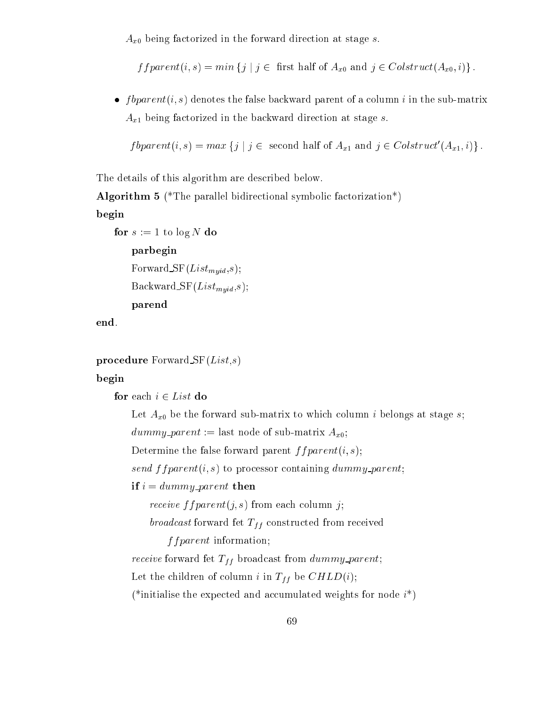Ax0 being fa
torized in the forward dire
tion at stage s.

 $f$  , if we have the first fight  $f$  if  $f$  is the minimum field of  $f$  and  $f$   $f$  is the  $f$  if  $f$  is the  $f$  is the  $f$  is the  $f$  is the  $f$  is the  $f$  is the  $f$  is the  $f$  is the  $f$  is the  $f$  is the  $f$  is the  $f$ 

 f bparent(i; s) denotes the false ba
kward parent of a olumn i in the sub-matrix torized in the basic term of the basic term of the basic term in the basic  $\Delta$  s. In

 $f\in J\$ {oparent}(i,s)=\max\{j\mid j\in\ second half of  $A_{x1}$  and  $j\in\text{Construct}(A_{x1},i)\}$ .

The details of this algorithm are described below.

Algorithm 5 (\*The parallel bidirectional symbolic factorization\*)

### begin

```
for s := 1 to \log N do
                     parbegin
                      \overline{\phantom{A}} \overline{\phantom{A}} , \overline{\phantom{A}} , \overline{\phantom{A}} , \overline{\phantom{A}} , \overline{\phantom{A}} , \overline{\phantom{A}} , \overline{\phantom{A}} , \overline{\phantom{A}} , \overline{\phantom{A}} , \overline{\phantom{A}} , \overline{\phantom{A}} , \overline{\phantom{A}} , \overline{\phantom{A}} , \overline{\phantom{A}} , \overline{\phantom{A}} ,
                      \overline{\phantom{iiiiiiiiiiiiiii}}parend
```
end.

```
procedure Forward SF(List,s)
```
### begin

for each  $i \in List$  do

Let Ax0 be the forward sub-matrix to whi
h olumn <sup>i</sup> belongs at stage s;  $dummy\_parent := last node of sub-matrix A_{x0};$ Determine the false forward parent  $fparent(i, s);$ send  $f$  f parent $(i, s)$  to processor containing dummy parent; if  $i = dummy\_parent$  then receive  $fparent(j, s)$  from each column j; broad
ast forward fet Tf f onstru
ted from re
eived  $f\$ {parent} information; reduction for the form of the form of the form of the form of the form of the form of the form of the form of the form of the form of the form of the form of the form of the form of the form of the form of the form of the  $\frac{1}{1}$   $\frac{1}{1}$   $\frac{1}{1}$   $\frac{1}{1}$   $\frac{1}{1}$ (\*initialise the expected and accumulated weights for node  $i^*$ )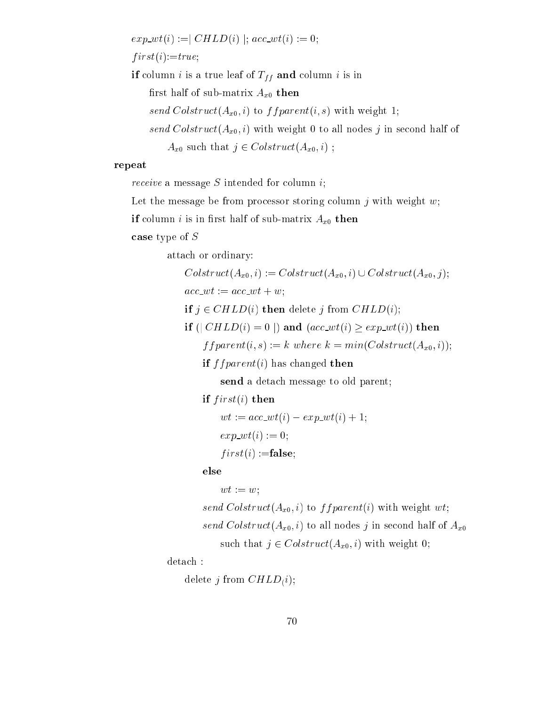$exp\_wt(i) := |CHLD(i)|; acc\_wt(i) := 0;$ 

 $first(i):=true;$ 

if is a true definition in its and the first of the first construction in the state of the first state of the

```
rst half of sub-matrix Ax0 then
```
send Colstruct( $A_{x0}$ , i) to ffparent(i, s) with weight 1;

send Colstruct( $A_{x0}$ , i) with weight 0 to all nodes j in second half of

axo substantial that is the substantial that is the substantial that is the substantial that is a substantial

### repeat

receive a message  $S$  intended for column i;

Let the message be from processor storing column  $j$  with weight  $w$ ;

is is in the sub-matrix of sub-matrix  $\alpha$  is in the sub-matrix  $\alpha$  in  $\alpha$ 

case type of  $S$ 

atta
h or ordinary:

```
\begin{aligned} \textit{Colstruct}(A_{x0},i) := \textit{Colstruct}(A_{x0},i) \cup \textit{Colstruct}(A_{x0},j); \end{aligned}acc\_wt := acc\_wt + w;if j \in \mathcal{CHLD}(i) then delete j from \mathcal{CHLD}(i);
if (|\mathit{CHLD}(i) = 0|) and (\mathit{acc\_wt}(i) \geq \mathit{exp\_wt}(i)) then
     fparent(i, s) := k where k = min(Colstruct(A_{x0}, i));if f f parent(i) has changed then
```
send a detach message to old parent;

## if  $first(i)$  then

```
wt := acc\_wt(i) - exp\_wt(i) + 1;exp\_wt(i) := 0;first(i) := false;
```
else

 $wt := w$ ;

send Colstruct( $A_{x0}$ , i) to ff parent(i) with weight wt;

send Colstruct( $A_{x0}$ , i) to all nodes j in second half of  $A_{x0}$ 

such that  $j \in Colstruct(A_{x0}, i)$  with weight 0;

deta
h :

delete j from  $CHLD(i);$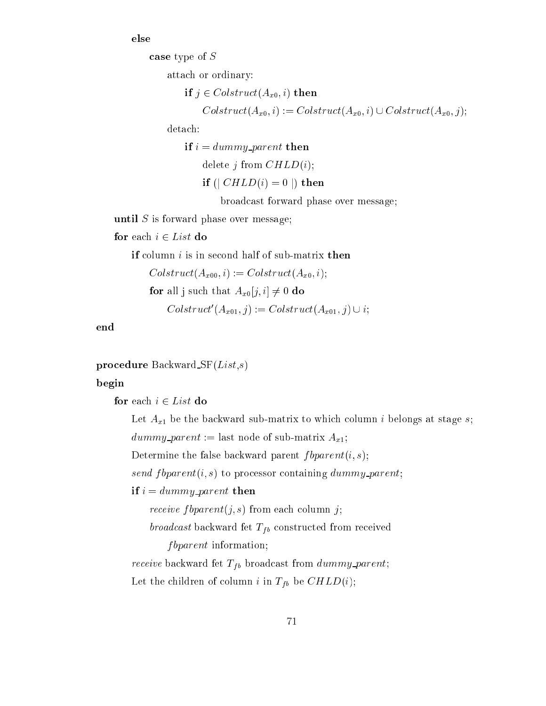else

case type of  $S$ 

atta
h or ordinary:

if  $j \in Colstruct(A_{x0}, i)$  then  $Colstruct(A_{x0}, i) := Colstruct(A_{x0}, i) \cup Colstruct(A_{x0}, j);$ 

if  $i = dummy\_parent$  then delete *j* from  $CHLD(i);$ if  $(|\mathit{CHLD}(i) = 0|)$  then

broad
ast forward phase over message;

until  $S$  is forward phase over message;

for each  $i \in List$  do

if column  $i$  is in second half of sub-matrix then

 $Colstruct(A_{x00}, i) := Colstruct(A_{x0}, i);$ 

**for** all j such that  $A_{x0}[j, i] \neq 0$  do

Colstruct  $(A_{x01}, j) :=$  Colstruct  $(A_{x01}, j) \cup i$ ;

end

pro
edure Ba
kward SF(List,s)

### begin

for each  $i \in List$  do

Let Ax1 be the ba
kward sub-matrix to whi
h olumn <sup>i</sup> belongs at stage s;  $dummy\_parent := last node of sub-matrix A_{x1};$ Determine the false backward parent  $f\text{bparent}(i, s);$ send fbparent $(i, s)$  to processor containing dummy parent; if  $i = dummy\_parent$  then receive  $f\text{bparent}(j, s)$  from each column j; broad
ast ba
kward fet Tf b onstru
ted from re
eived f*bparent* information;

re
eive ba
kward fet Tf b broad
ast from dummy parent;

 $\mathbf{v}$  is the characteristic behind in Times and  $\mathbf{v}$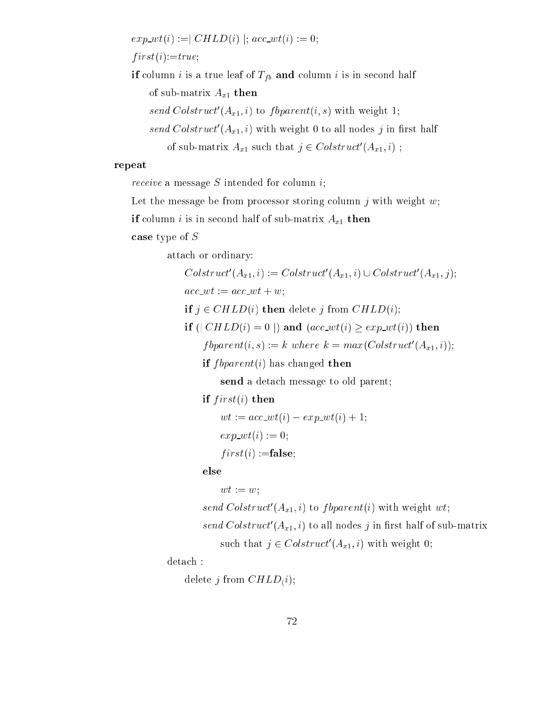$exp\_wt(i) := |CHLD(i)|; acc\_wt(i) := 0;$ 

 $first(i):=true;$ 

is a true leaf of the set of the set  $\alpha$  is a true leaf of the set of the set of the set of the set of the set of sub-matrix Ax1 then  $\mathit{sena}\ \mathit{C}\ \mathit{o}(\mathit{struct}\ (\mathit{A}_{x1},\iota) \ \mathit{to}\ \mathit{f}\ \mathit{oparen}\ \iota(\iota,s) \ \mathit{with}\ \mathit{weight}\ 1;$  $sena\cup ots$ ruc $t(A_{x1},t)$  with weight 0 to all nodes  $j$  in first half

of sub-matrix  $A_{x_1}$  such that  $j \in \textit{Construct}(A_{x_1}, \ell)$ ;

### repeat

receive a message S intended for column i;

Let the message be from processor storing column  $\dot{\jmath}$  with weight w;

is in the second in the sub-matrix  $\sim$  second in second axis the sub-matrix  $\sim$   $\sim$   $\mu_{\perp}$  then then

case type of  $S$ 

atta
h or ordinary:

```
Colstruct (A_{x1}, i) := \text{Cov}struct (A_{x1}, i) \cup \text{Cov}struct (A_{x1}, j);
acc\_wt := acc\_wt + w;if j \in \mathcal{CHLD}(i) then delete j from \mathcal{CHLD}(i);
if (|\mathit{CHLD}(i) = 0|) and (\mathit{acc\_wt}(i) \geq \mathit{exp\_wt}(i)) then
     f(\mathcal{A}_x) := \kappa where \kappa = \max(\mathcal{A}_x) (A_{x,1}, i);
     if fbparent(i) has changed then
```
send a detach message to old parent;

### if  $first(i)$  then

 $wt := acc\_wt(i) - exp\_wt(i) + 1;$  $exp\_wt(i) := 0;$  $first(i) := false;$ 

else

 $wt := w$ ;

sena Colstruct  $(A_{x1}, i)$  to *f oparent*(i) with weight wt;

 $sena\ \textrm{C}oistract\ (A_{x1},i)$  to all nodes  $j$  in first half of sub-matrix

such that  $j \in \textit{Construct}(A_{x1}, i)$  with weight 0;

deta
h :

delete j from  $CHLD(i);$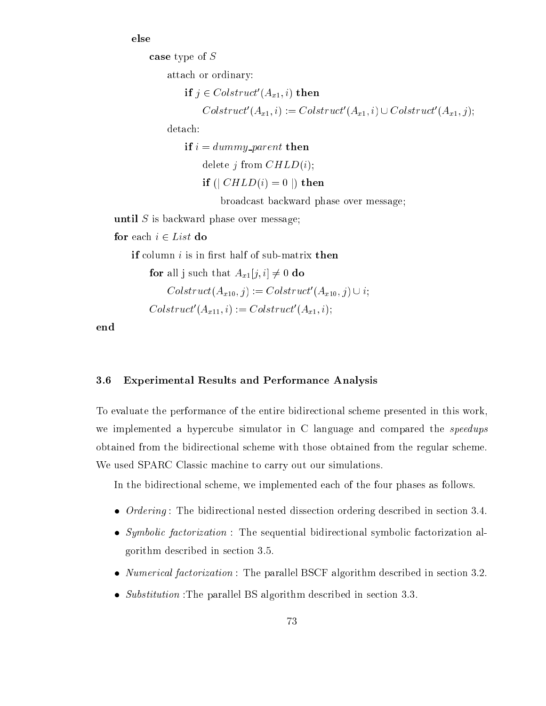else

case type of  $S$ 

atta
h or ordinary:

if  $j \in \textit{Construct}(A_{x1}, \textit{t})$  then Colstruct  $(A_{x_1}, i) := \text{C}$ olstruct  $(A_{x_1}, i) \cup \text{C}$ olstruct  $(A_{x_1}, j)$ ;

if  $i = dummy\_parent$  then delete *j* from  $CHLD(i);$ if  $(|\mathit{CHLD}(i) = 0|)$  then

broad
ast ba
kward phase over message;

until  $S$  is backward phase over message;

for each  $i \in List$  do

if column  $i$  is in first half of sub-matrix then

**for** all j such that  $A_{x1}[j, i] \neq 0$  do

 $\cup$  ot struct  $(A_{x10}, j) := \cup$  ot struct  $(A_{x10}, j) \cup i$ ;

Colstruct  $(A_{x11}, i) := \text{C}$ olstruct  $(A_{x1}, i)$ ;

end

### 3.6 Experimental Results and Performan
e Analysis

To evaluate the performance of the entire bidirectional scheme presented in this work, we implemented a hypercube simulator in C language and compared the *speedups* obtained from the bidire
tional s
heme with those obtained from the regular s
heme. We used SPARC Classic machine to carry out our simulations.

In the bidirectional scheme, we implemented each of the four phases as follows.

- Ordering : The bidire
tional nested disse
tion ordering des
ribed in se
tion 3.4.
- symbolity : the symbolic symbolic bidirect symbolic symbolic symbolic symbolic symbolic symbolic symbolic sym gorithm des
ribed in se
tion 3.5.
- Numeri
al fa
torization : The parallel BSCF algorithm des
ribed in se
tion 3.2.
- substitution : The parallel The parallel BS algorithm design algorithm design to the second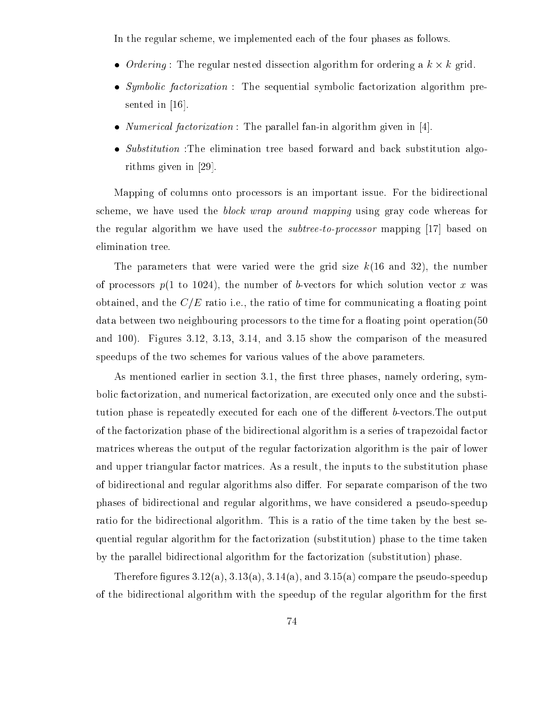In the regular scheme, we implemented each of the four phases as follows.

- ordering : The regular nested dissemination and the regular and the received at the district order
- Symboli fa
torization : The sequential symboli fa
torization algorithm presented in  $[16]$ .
- al fantastic fantastic fan in  $\mathbf{A}$
- Substitution :The elimination tree based forward and ba
k substitution algorithms given in  $[29]$ .

Mapping of columns onto processors is an important issue. For the bidirectional scheme, we have used the *block wrap around mapping* using gray code whereas for the regular algorithm we have used the *subtree-to-processor* mapping [17] based on elimination tree.

The parameters that were varied were the grid size  $k(16 \text{ and } 32)$ , the number of processors  $p(1$  to 1024), the number of b-vectors for which solution vector x was obtained, and the  $C/E$  ratio i.e., the ratio of time for communicating a floating point data between two neighbouring processors to the time for a floating point operation (50) and 100). Figures 3.12, 3.13, 3.14, and 3.15 show the omparison of the measured speedups of the two s
hemes for various values of the above parameters.

As mentioned earlier in section 3.1, the first three phases, namely ordering, symbolic factorization, and numerical factorization, are executed only once and the substitution phase is repeatedly executed for each one of the different b-vectors. The output of the fa
torization phase of the bidire
tional algorithm is a series of trapezoidal fa
tor matri
es whereas the output of the regular fa
torization algorithm is the pair of lower and upper triangular factor matrices. As a result, the inputs to the substitution phase of bidirectional and regular algorithms also differ. For separate comparison of the two phases of bidire
tional and regular algorithms, we have onsidered a pseudo-speedup ratio for the bidire
tional algorithm. This is a ratio of the time taken by the best sequential regular algorithm for the fa
torization (substitution) phase to the time taken by the parallel bidire
tional algorithm for the fa
torization (substitution) phase.

Therefore figures  $3.12(a)$ ,  $3.13(a)$ ,  $3.14(a)$ , and  $3.15(a)$  compare the pseudo-speedup of the bidirectional algorithm with the speedup of the regular algorithm for the first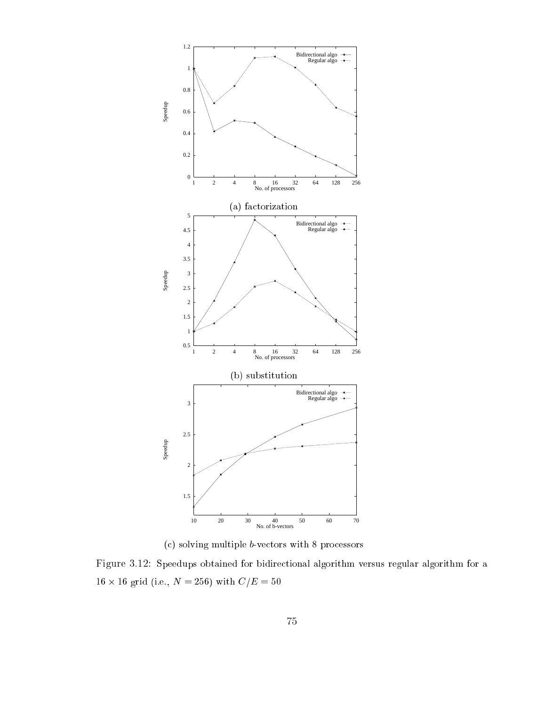

(
) solving multiple b-ve
tors with 8 pro
essors

Figure 3.12: Speedups obtained for bidire
tional algorithm versus regular algorithm for a 16 - 16 grid (i.e., <sup>N</sup> = 256) with C=E = 50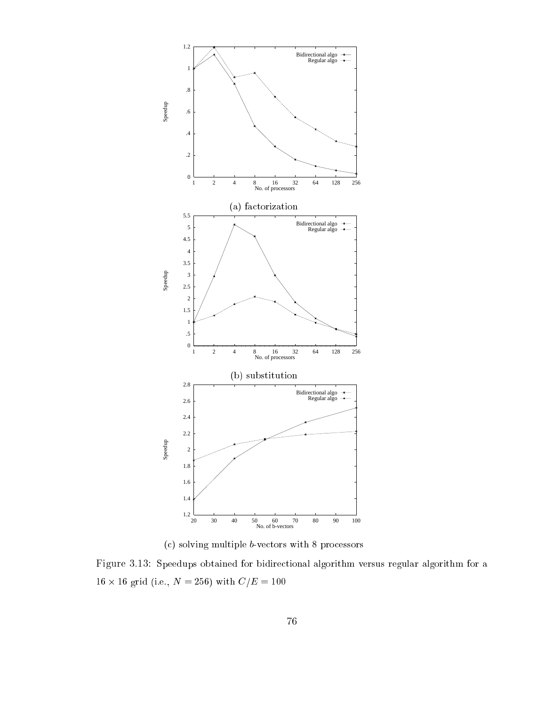

(
) solving multiple b-ve
tors with 8 pro
essors

Figure 3.13: Speedups obtained for bidire
tional algorithm versus regular algorithm for a 16 - 16 grid (i.e., <sup>N</sup> = 256) with C=E = 100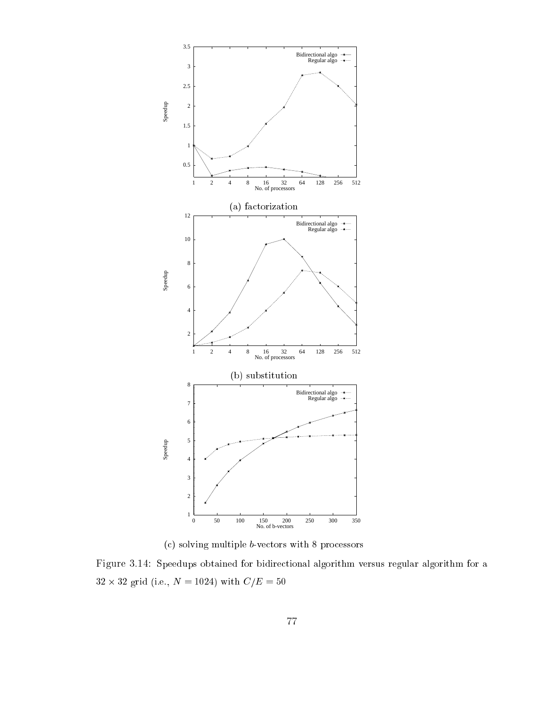

(
) solving multiple b-ve
tors with 8 pro
essors

Figure 3.14: Speedups obtained for bidire
tional algorithm versus regular algorithm for a 32 - 32 grid (i.e., 1925) with C-E = 30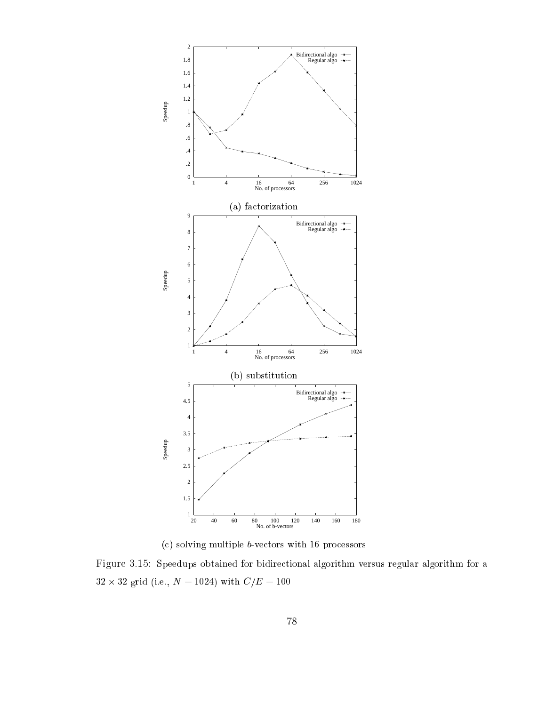

(
) solving multiple b-ve
tors with 16 pro
essors

Figure 3.15: Speedups obtained for bidire
tional algorithm versus regular algorithm for a 32 - 32 grid (i.e., n.e., n.e., n.e., 100 m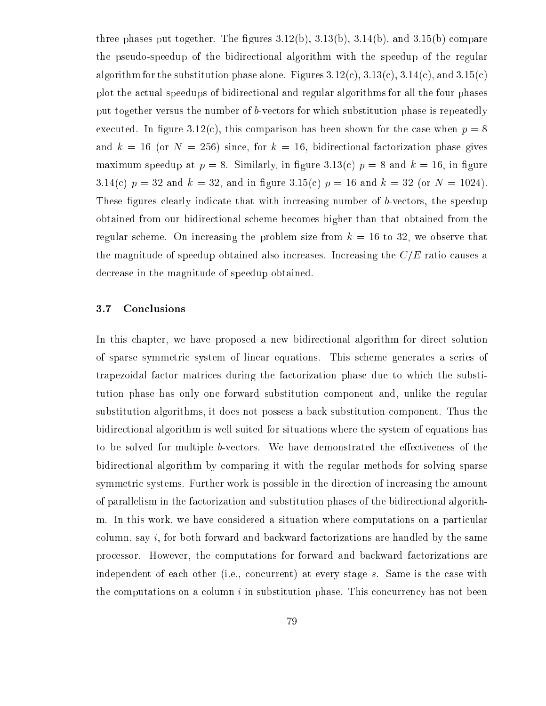three phases put together. The figures  $3.12(b)$ ,  $3.13(b)$ ,  $3.14(b)$ , and  $3.15(b)$  compare the pseudo-speedup of the bidire
tional algorithm with the speedup of the regular algorithm for the substitution phase alone. Figures  $3.12(c)$ ,  $3.13(c)$ ,  $3.14(c)$ , and  $3.15(c)$ plot the a
tual speedups of bidire
tional and regular algorithms for all the four phases put together versus the number of b-ve
tors for whi
h substitution phase is repeatedly executed. In figure 3.12(c), this comparison has been shown for the case when  $p = 8$ and  $k = 16$  (or  $N = 256$ ) since, for  $k = 16$ , bidirectional factorization phase gives maximum speedup at  $p = 8$ . Similarly, in figure 3.13(c)  $p = 8$  and  $k = 16$ , in figure 3.14(c)  $p = 32$  and  $k = 32$ , and in figure 3.15(c)  $p = 16$  and  $k = 32$  (or  $N = 1024$ ). These figures clearly indicate that with increasing number of b-vectors, the speedup obtained from our bidire
tional s
heme be
omes higher than that obtained from the regular scheme. On increasing the problem size from  $k = 16$  to 32, we observe that the magnitude of speedup obtained also increases. Increasing the  $C/E$  ratio causes a de
rease in the magnitude of speedup obtained.

### 3.7 Con
lusions

In this chapter, we have proposed a new bidirectional algorithm for direct solution of sparse symmetric system of linear equations. This scheme generates a series of trapezoidal fa
tor matri
es during the fa
torization phase due to whi
h the substitution phase has only one forward substitution omponent and, unlike the regular substitution algorithms, it does not possess a ba
k substitution omponent. Thus the bidire
tional algorithm is well suited for situations where the system of equations has to be solved for multiple b-vectors. We have demonstrated the effectiveness of the bidire
tional algorithm by omparing it with the regular methods for solving sparse symmetric systems. Further work is possible in the direction of increasing the amount of parallelism in the fa
torization and substitution phases of the bidire
tional algorithm. In this work, we have considered a situation where computations on a particular  $\text{column, say } i$ , for both forward and backward factorizations are handled by the same pro
essor. However, the omputations for forward and ba
kward fa
torizations are independent of each other (i.e., concurrent) at every stage s. Same is the case with the computations on a column  $i$  in substitution phase. This concurrency has not been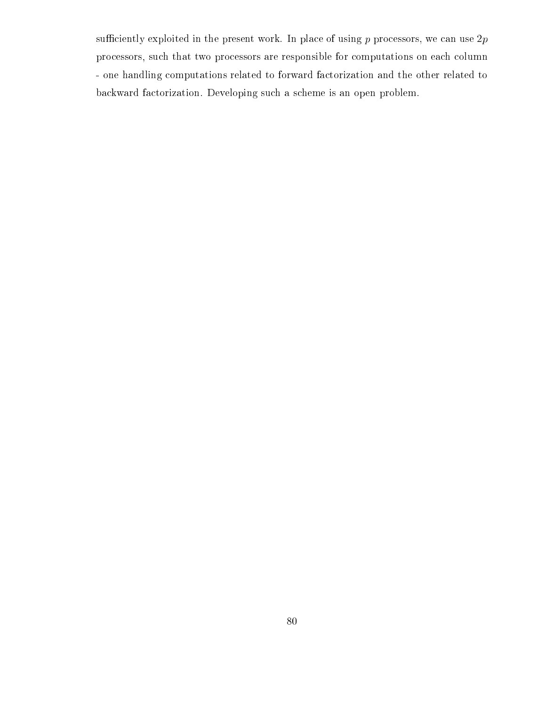sufficiently exploited in the present work. In place of using  $p$  processors, we can use  $2p$ processors, such that two processors are responsible for computations on each column - one handling computations related to forward factorization and the other related to ba
kward fa
torization. Developing su
h a s
heme is an open problem.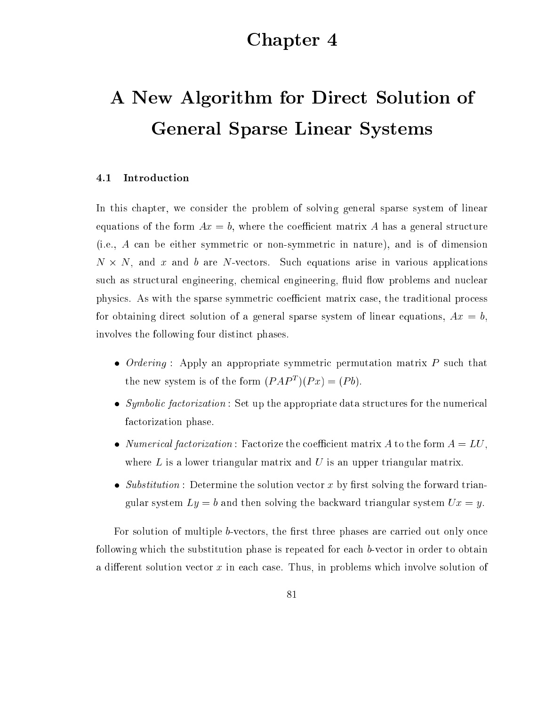## Chapter 4

# A New Algorithm for Dire
t Solution of General Sparse Linear Systems

### 4.1 **Introduction**

In this chapter, we consider the problem of solving general sparse system of linear equations of the form  $Ax = b$ , where the coefficient matrix A has a general structure (i.e., A an be either symmetri or non-symmetri in nature), and is of dimension N - N, and x and b are N-ve
tors. Su
h equations arise in various appli
ations such as structural engineering, chemical engineering, fluid flow problems and nuclear physics. As with the sparse symmetric coefficient matrix case, the traditional process for obtaining direct solution of a general sparse system of linear equations,  $Ax = b$ , involves the following four distin
t phases.

- Ordering : Apply an appropriate symmetri permutation matrix P su
h that the new system is of the form  $(PAT^+)$   $(Px) = (P\theta)$ .
- symbolity : set up the structure in the structure of the appropriate data structure in the numerical component fa
torization phase.
- al false the factorization is the factorization of the form a second contract of the form a second contract of where L is a lower triangular matrix and U is an upper triangular matrix.
- substitution is the solution of the solution of the solution  $\mathcal{A}$  , the form  $\mathcal{A}$  the form  $\mathcal{A}$ gular system  $Ly = b$  and then solving the backward triangular system  $Ux = y$ .

For solution of multiple b-vectors, the first three phases are carried out only once following which the substitution phase is repeated for each b-vector in order to obtain a different solution vector x in each case. Thus, in problems which involve solution of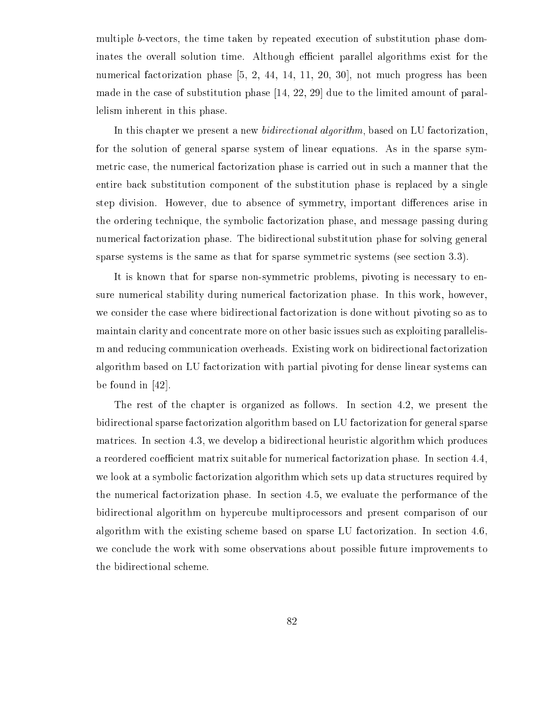multiple *b*-vectors, the time taken by repeated execution of substitution phase dominates the overall solution time. Although efficient parallel algorithms exist for the numerical factorization phase  $[5, 2, 44, 14, 11, 20, 30]$ , not much progress has been made in the case of substitution phase  $[14, 22, 29]$  due to the limited amount of parallelism inherent in this phase.

In this chapter we present a new *bidirectional algorithm*, based on LU factorization. for the solution of general sparse system of linear equations. As in the sparse symmetric case, the numerical factorization phase is carried out in such a manner that the entire ba
k substitution omponent of the substitution phase is repla
ed by a single step division. However, due to absence of symmetry, important differences arise in the ordering te
hnique, the symboli fa
torization phase, and message passing during numeri
al fa
torization phase. The bidire
tional substitution phase for solving general sparse systems is the same as that for sparse symmetric systems (see section 3.3).

It is known that for sparse non-symmetric problems, pivoting is necessary to ensure numeri
al stability during numeri
al fa
torization phase. In this work, however, we consider the case where bidirectional factorization is done without pivoting so as to maintain clarity and concentrate more on other basic issues such as exploiting parallelism and reducing communication overheads. Existing work on bidirectional factorization algorithm based on LU factorization with partial pivoting for dense linear systems can be found in  $[42]$ .

The rest of the chapter is organized as follows. In section 4.2, we present the bidire
tional sparse fa
torization algorithm based on LU fa
torization for general sparse matrices. In section 4.3, we develop a bidirectional heuristic algorithm which produces a reordered coefficient matrix suitable for numerical factorization phase. In section 4.4, we look at a symbolic factorization algorithm which sets up data structures required by the numerical factorization phase. In section 4.5, we evaluate the performance of the bidirectional algorithm on hypercube multiprocessors and present comparison of our algorithm with the existing scheme based on sparse LU factorization. In section 4.6, we conclude the work with some observations about possible future improvements to the bidire
tional s
heme.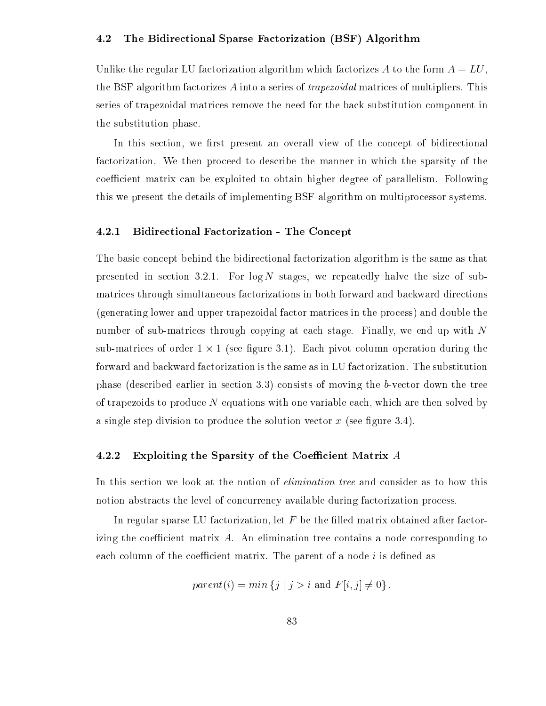### 4.2 The Bidire
tional Sparse Fa
torization (BSF) Algorithm

Unlike the regular LU factorization algorithm which factorizes A to the form  $A = LU$ , the BSF algorithm factorizes A into a series of *trapezoidal* matrices of multipliers. This series of trapezoidal matri
es remove the need for the ba
k substitution omponent in the substitution phase.

In this section, we first present an overall view of the concept of bidirectional factorization. We then proceed to describe the manner in which the sparsity of the coefficient matrix can be exploited to obtain higher degree of parallelism. Following this we present the details of implementing BSF algorithm on multipro
essor systems.

### 4.2.1 Bidirectional Factorization - The Concept

The basic concept behind the bidirectional factorization algorithm is the same as that presented in section 3.2.1. For  $\log N$  stages, we repeatedly halve the size of submatri
es through simultaneous fa
torizations in both forward and ba
kward dire
tions (generating lower and upper trapezoidal fa
tor matri
es in the pro
ess) and double the number of sub-matrices through copying at each stage. Finally, we end up with N sub-matrix is of order to the support of the pivot constraint operation during the forward and ba
kward fa
torization is the same as in LU fa
torization. The substitution phase (des
ribed earlier in se
tion 3.3) onsists of moving the b-ve
tor down the tree of trapezoids to produce  $N$  equations with one variable each, which are then solved by a single step division to produce the solution vector x (see figure 3.4).

### 4.2.2 Exploiting the Sparsity of the Coefficient Matrix A

In this section we look at the notion of *elimination tree* and consider as to how this notion abstracts the level of concurrency available during factorization process.

In regular sparse LU factorization, let  $F$  be the filled matrix obtained after factorizing the coefficient matrix  $A$ . An elimination tree contains a node corresponding to each column of the coefficient matrix. The parent of a node  $i$  is defined as

$$
parent(i) = min \{ j \mid j > i \text{ and } F[i, j] \neq 0 \} .
$$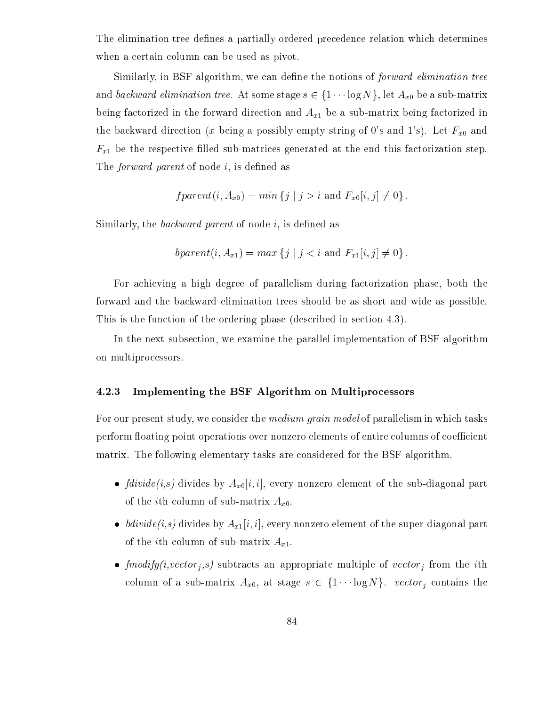The elimination tree defines a partially ordered precedence relation which determines when a certain column can be used as pivot.

Similarly, in BSF algorithm, we can define the notions of *forward elimination tree* and based ward bard elimination trees. At some stands in the log Ng, let Ax1, let Ax1, let Ax be a sub-matrix  $\begin{pmatrix} 1 & 0 \end{pmatrix}$  being factorized in the formation and Ax1 being factorized in the formation  $\begin{pmatrix} 1 & 0 \end{pmatrix}$ the backward direction (x being a possibly empty string of 0's and 1's). Let  $F_{x0}$  and Fx1 be the respe
tive lled sub-matri
es generated at the end this fa
torization step. The *forward parent* of node  $i$ , is defined as

$$
fparent(i, A_{x0}) = min \{j \mid j > i \text{ and } F_{x0}[i, j] \neq 0 \}.
$$

Similarly, the *backward parent* of node  $i$ , is defined as

$$
bparent(i, A_{x1}) = max\{j \mid j < i \text{ and } F_{x1}[i, j] \neq 0\}.
$$

For a
hieving a high degree of parallelism during fa
torization phase, both the forward and the ba
kward elimination trees should be as short and wide as possible. This is the function of the ordering phase (described in section 4.3).

In the next subsection, we examine the parallel implementation of BSF algorithm on multipro
essors.

### 4.2.3 Implementing the BSF Algorithm on Multipro
essors

For our present study, we consider the *medium grain model* of parallelism in which tasks perform floating point operations over nonzero elements of entire columns of coefficient matrix. The following elementary tasks are onsidered for the BSF algorithm.

- for a form of  $\alpha$  divides by Axon and  $\alpha$  is a consequence of the sub-diagonal part of the sub-diagonal part  $\alpha$ of the *i*th column of sub-matrix  $A_{x0}$ .
- bdivide (i,c) divides by Axia (i,l) it is used the super-diagonal part of the super-diagonal part of of the *i*th column of sub-matrix  $A_{x1}$ .
- fmodify(i) subtract (i) and the item the influence of vertical substance of subtract (i) and when the item olumn of a sub-matrix Ax0, at stage s 2 f1 stage in the state  $\mu$  contains the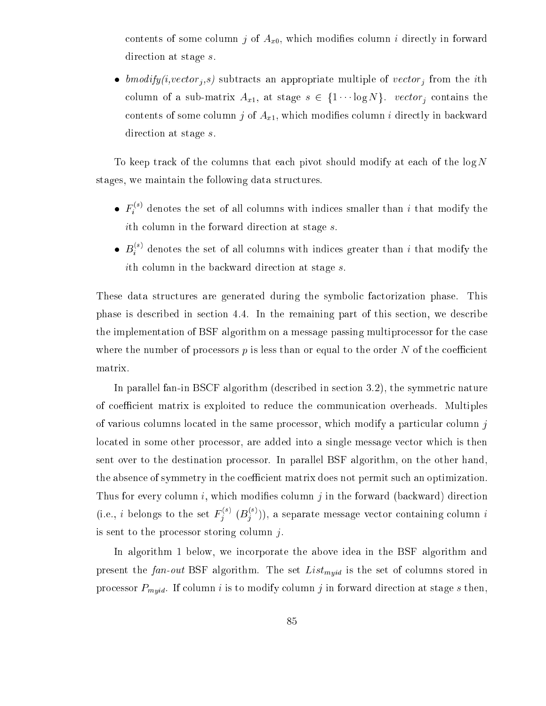contents of some column j of  $A_{x0}$ , which modifies column i directly in forward direction at stage s.

bodify the internal term of vectorial contracts and internal contracts of vectorial contracts of vectorial contracts of vectorial contracts of vectorial contracts of vectorial contracts of vectorial contracts of vectorial olumn of a sub-matrix Axia, at stage s 2 f1  $\alpha$  in the statistic statistic statistic statistic statistic stat contents of some column j of  $A_{x1}$ , which modifies column i directly in backward direction at stage s.

To keep track of the columns that each pivot should modify at each of the  $\log N$ stages, we maintain the following data stru
tures.

- $\bullet$   $F_i^{++}$  $\imath$  denotes the set of all conditions with indicated all smaller than i than indicated  $\imath$ ith column in the forward direction at stage s.
- $\bullet$   $B_i^{\gamma\gamma}$  denotes the set of all columns with indices greater than  $i$  that modify the iith column in the backward direction at stage s.

These data structures are generated during the symbolic factorization phase. This phase is des
ribed in se
tion 4.4. In the remaining part of this se
tion, we des
ribe the implementation of BSF algorithm on a message passing multipro
essor for the ase where the number of processors  $p$  is less than or equal to the order N of the coefficient matrix.

In parallel fan-in BSCF algorithm (described in section 3.2), the symmetric nature of coefficient matrix is exploited to reduce the communication overheads. Multiples of various columns located in the same processor, which modify a particular column j located in some other processor, are added into a single message vector which is then sent over to the destination pro
essor. In parallel BSF algorithm, on the other hand, the absence of symmetry in the coefficient matrix does not permit such an optimization. Thus for every column i, which modifies column j in the forward (backward) direction (i.e., i belongs to the set  $F_i^{\gamma}$ )  $j_{i}^{(s)}(B_{j}^{(s)}))$ , a separate message vector containing column  $i$ is sent to the processor storing column  $j$ .

In algorithm 1 below, we incorporate the above idea in the BSF algorithm and present the fan-out  $\Omega$  and stored in the set of  $\Omega$  in the set of  $\Omega$  is the set of  $\Omega$ processor  $P_{muid}$ . If column *i* is to modify column *j* in forward direction at stage *s* then,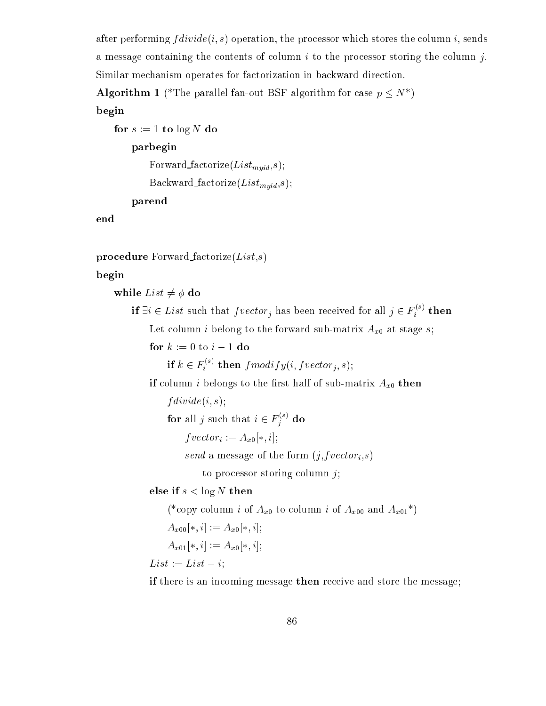after performing  $fdivide( i, s)$  operation, the processor which stores the column i, sends a message containing the contents of column  $i$  to the processor storing the column  $j$ . Similar mechanism operates for factorization in backward direction.

**Algorithm 1** (\*The parallel fan-out BSF algorithm for case  $p \leq N^*$ ) begin

```
for s := 1 to \log N do
    parbegin
        Forward_factorize(List_{muid}, s);
        Backward\_factorize(List_{muid}, s);parend
```
end

```
procedure Forward factorize List, s
```
### begin

while  $List \neq \phi$  do if  $\exists i \in \text{List}$  such that *f vector<sub>i</sub>* has been received for all  $j \in F_i^{\leq \epsilon}$  $i$  then the set  $\Omega$  belong to the form in the form in the form in the form in the form in the form in the form in the form in the form in the form in the form in the form in the form in the form in the form in the form in the form in th for  $k := 0$  to  $i - 1$  do if  $k \in F_i^{*}*$  then  $f \text{ mod } t$   $y(t, f \text{ vector}_j, s);$ if the contract of the contract of sub-matrix  $\omega$  of sub-matrix  $\omega$  of sub-matrix  $\omega$  $fdivide(i, s);$ for all  $\eta$  such that  $\imath \in F^{\gamma\gamma}_{\delta}$ j do f ve
tori := Ax0[; i℄; send a message of the form  $(j, fvector_i, s)$ to processor storing column  $j$ ; else if  $s < log N$  then (\*
opy olumn i of Ax0 to olumn <sup>i</sup> of Ax00 and Ax01\*)  $A_{x00}[*, i] := A_{x0}[*, i];$ 

```
A_{x01}[*, i] := A_{x0}[*, i];
```
 $List := List - i;$ 

if there is an incoming message then receive and store the message;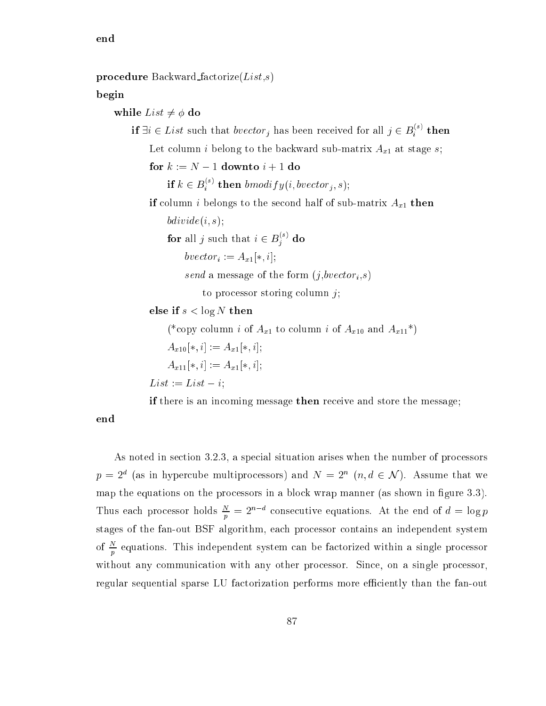pro
edure Ba
kward fa
torize(List,s)

begin

while  $List \neq \phi$  do if  $\exists i \in \textit{List}$  such that bvector<sub>j</sub> has been received for all  $j \in B_i^{*}*$  then  $\Omega$  belong to the basic to the basic sub-matrix  $\Omega$  at stage size sub-matrix  $\Omega$ for  $k := N - 1$  downto  $i + 1$  do if  $k \in B_i^{*}*$  then bmodify(i, bvector<sub>i</sub>, s);  $\Omega$  ond half of sub-matrix  $\mu$  then see the set sub-matrix  $\mu$  then see the set sub-matrix  $\mu$  then see the set sub-matrix  $\mu$  $bdivide(i,s);$ for all  $j$  such that  $i \in B_j^{<\sim}$  do bve
tori := Ax1[; i℄; send a message of the form  $(j, bvector_i, s)$ to processor storing column  $j$ ; else if  $s < log N$  then (\*
opy olumn i of Ax1 to olumn <sup>i</sup> of Ax10 and Ax11\*)

 $A_{x10}[*, i] := A_{x1}[*, i];$ 

$$
A_{x11}[*, i] := A_{x1}[*, i];
$$

 $List := List - i;$ 

if there is an incoming message then receive and store the message;

end

As noted in section 3.2.3, a special situation arises when the number of processors  $p = 2^{\circ}$  (as in hypercupe multiprocessors) and  $N = 2^{\circ}$  ( $n, a \in \mathcal{N}$ ). Assume that we map the equations on the processors in a block wrap manner (as shown in figure 3.3). Thus each processor holds  $\frac{p}{p} = 2^n$  consecutive equations. At the end of  $a = \log p$ stages of the fan-out BSF algorithm, ea
h pro
essor ontains an independent system of  $\div$  equations. This independent system can be factorized within a single processor  $\mathbf{r}$ without any communication with any other processor. Since, on a single processor, regular sequential sparse LU factorization performs more efficiently than the fan-out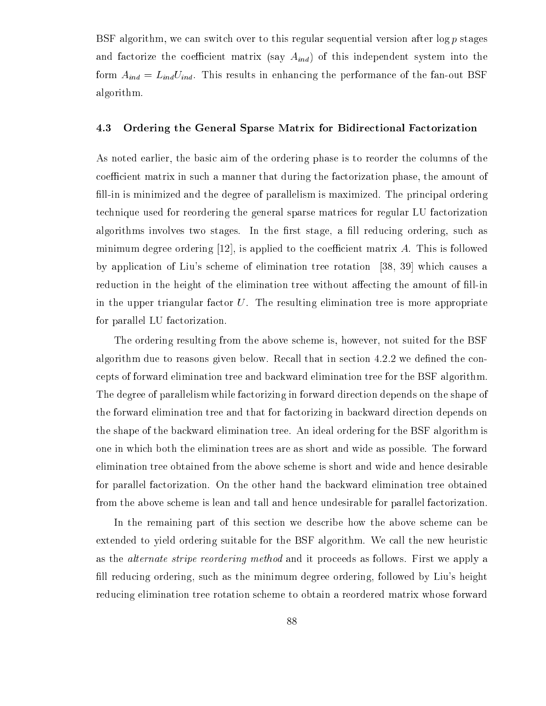BSF algorithm, we can switch over to this regular sequential version after  $\log p$  stages and factorize the coefficient matrix (say  $A_{ind}$ ) of this independent system into the form Aind <sup>=</sup> LindUind. This results in enhan
ing the performan
e of the fan-out BSF algorithm.

### 4.3 Ordering the General Sparse Matrix for Bidire
tional Fa
torization

As noted earlier, the basic aim of the ordering phase is to reorder the columns of the coefficient matrix in such a manner that during the factorization phase, the amount of fill-in is minimized and the degree of parallelism is maximized. The principal ordering te
hnique used for reordering the general sparse matri
es for regular LU fa
torization algorithms involves two stages. In the first stage, a fill reducing ordering, such as minimum degree ordering  $[12]$ , is applied to the coefficient matrix A. This is followed by application of Liu's scheme of elimination tree rotation [38, 39] which causes a reduction in the height of the elimination tree without affecting the amount of fill-in in the upper triangular factor  $U$ . The resulting elimination tree is more appropriate for parallel LU factorization.

The ordering resulting from the above s
heme is, however, not suited for the BSF algorithm due to reasons given below. Recall that in section  $4.2.2$  we defined the conepts of forward elimination tree and ba
kward elimination tree for the BSF algorithm. The degree of parallelism while factorizing in forward direction depends on the shape of the forward elimination tree and that for fa
torizing in ba
kward dire
tion depends on the shape of the ba
kward elimination tree. An ideal ordering for the BSF algorithm is one in whi
h both the elimination trees are as short and wide as possible. The forward elimination tree obtained from the above s
heme is short and wide and hen
e desirable for parallel fa
torization. On the other hand the ba
kward elimination tree obtained from the above s
heme is lean and tall and hen
e undesirable for parallel fa
torization.

In the remaining part of this section we describe how the above scheme can be extended to yield ordering suitable for the BSF algorithm. We all the new heuristi as the *alternate stripe reordering method* and it proceeds as follows. First we apply a fill reducing ordering, such as the minimum degree ordering, followed by Liu's height redu
ing elimination tree rotation s
heme to obtain a reordered matrix whose forward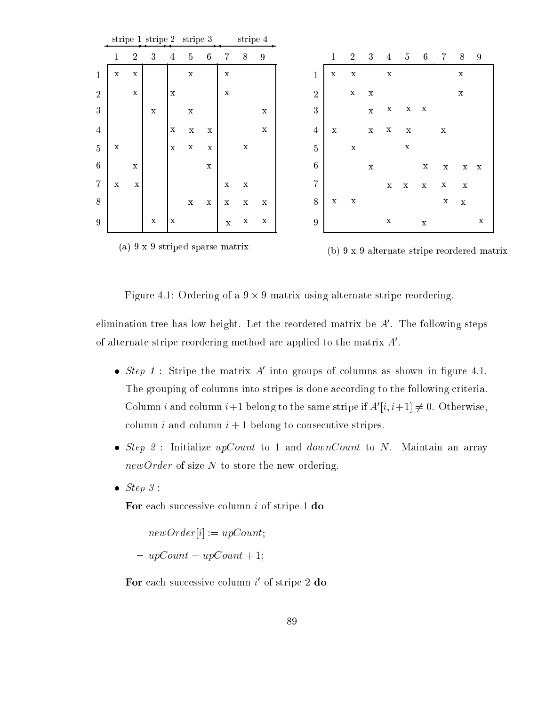|                  | stripe 1 stripe 2 stripe 3 |             |             |                |                |             | stripe 4        |             |             |                  |              |             |              |                |                 |             |                |              |              |
|------------------|----------------------------|-------------|-------------|----------------|----------------|-------------|-----------------|-------------|-------------|------------------|--------------|-------------|--------------|----------------|-----------------|-------------|----------------|--------------|--------------|
|                  | $\mathbf{1}$               | 2           | 3           | $\overline{4}$ | 5 <sup>1</sup> | $6^{\circ}$ | $7\overline{7}$ | 8           | 9           |                  | $\mathbf{1}$ | 2           | 3            | $\overline{4}$ | $5\overline{)}$ | - 6         | $7\phantom{.}$ | 8            | 9            |
| $\mathbf{1}$     | x                          | $\mathbf x$ |             |                | $\mathbf X$    |             | $\mathbf X$     |             |             | 1                | $\mathbf x$  | $\mathbf X$ |              | $\mathbf x$    |                 |             |                | $\mathbf X$  |              |
| $\overline{2}$   |                            | $\mathbf X$ |             | $\mathbf{x}$   |                |             | $\mathbf X$     |             |             | $\overline{2}$   |              | $\mathbf X$ | $\mathbf X$  |                |                 |             |                | $\mathbf X$  |              |
| $\sqrt{3}$       |                            |             | $\mathbf x$ |                | $\mathbf X$    |             |                 |             | $\mathbf X$ | 3                |              |             | $\mathbf{x}$ | X              | $\mathbf x$     | $\mathbf x$ |                |              |              |
| $\overline{4}$   |                            |             |             | $\mathbf X$    | $\mathbf x$    | $\mathbf X$ |                 |             | $\mathbf X$ | $\overline{4}$   | $\mathbf x$  |             | $\mathbf x$  | X              | $\mathbf x$     |             | $\mathbf X$    |              |              |
| $\overline{5}$   | $\mathbf X$                |             |             | $\mathbf x$    | $\mathbf X$    | $\mathbf X$ |                 | $\mathbf X$ |             | $\overline{5}$   |              | $\mathbf X$ |              |                | $\mathbf X$     |             |                |              |              |
| $\boldsymbol{6}$ |                            | $\mathbf X$ |             |                |                | $\mathbf X$ |                 |             |             | $\boldsymbol{6}$ |              |             | $\mathbf X$  |                |                 | $\mathbf X$ | $\mathbf x$    | $\mathbf{X}$ | $\mathbf{X}$ |
| $\overline{7}$   | $\mathbf X$                | $\mathbf X$ |             |                |                |             | $\mathbf x$     | $\mathbf X$ |             | 7                |              |             |              | $\mathbf x$    | $\mathbf x$     | $\mathbf x$ | X              | $\mathbf X$  |              |
| 8                |                            |             |             |                | $\mathbf x$    | $\mathbf X$ | $\mathbf X$     | $\mathbf X$ | $\mathbf X$ | 8                | $\mathbf x$  | $\mathbf X$ |              |                |                 |             | $\mathbf X$    | $\mathbf x$  |              |
| 9                |                            |             | X           | $\mathbf x$    |                |             | $\mathbf x$     | X           | $\mathbf x$ | 9                |              |             |              | X              |                 | $\mathbf X$ |                |              | $\mathbf X$  |



Figure 4.1: Ordering of a 9 - 9 matrix using alternate stripe reordering.

elimination tree has low height. Let the reordered matrix be  $A$  . The following steps  $\overline{\phantom{a}}$ of afternate stripe reordering method are applied to the matrix  $A$  .

- $\bullet$  *Step 1*: Stripe the matrix A  $\,$  mto groups of columns as shown in figure 4.1. The grouping of columns into stripes is done according to the following criteria. Column *i* and column  $i+1$  belong to the same stripe if  $A[i, i+1] \neq 0$ . Otherwise, column i and column  $i + 1$  belong to consecutive stripes.
- Step 2 : Initialize upcount to 1 and downCount to 1 and downCount to 1 and 2 and 2 and 2 and 4 and 2 and 2 and  $newOrder$  of size N to store the new ordering.
- Step 3 :

For each successive column  $i$  of stripe 1 do

- $= newOrder[i] := upCount;$
- $= upCount = upCount + 1;$

For each successive column  $\imath$  or stripe  $\imath$  do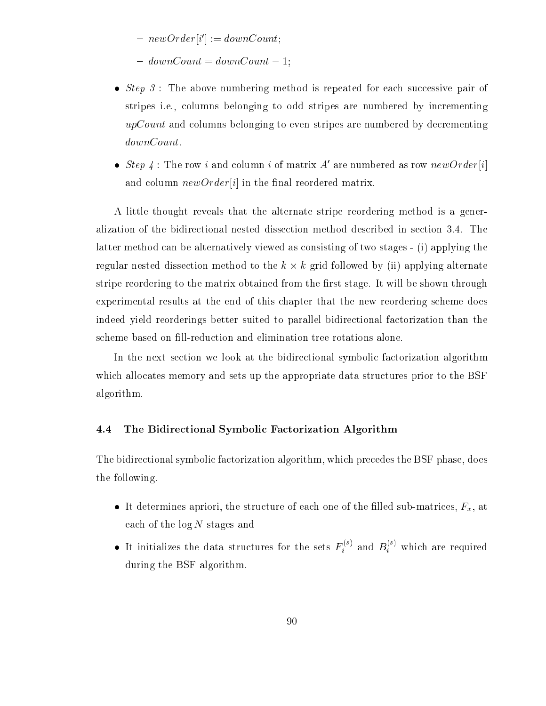- $=$  newOrder $|i| := a$ ownCount;
- $= downCount = downCount 1;$
- Step 3 : The above numbering method is repeated for ea
h su

essive pair of stripes i.e., olumns belonging to odd stripes are numbered by in
rementing  $upCount$  and columns belonging to even stripes are numbered by decrementing downCount.
- *Step 4*: The row i and column i of matrix A are numbered as row  $newOrder[i]$ and column  $newOrder[i]$  in the final reordered matrix.

A little thought reveals that the alternate stripe reordering method is a generalization of the bidire
tional nested disse
tion method des
ribed in se
tion 3.4. The latter method an be alternatively viewed as onsisting of two stages - (i) applying the regular method to the k control to the k and the control to the k and the k applying alternative stripe reordering to the matrix obtained from the first stage. It will be shown through experimental results at the end of this chapter that the new reordering scheme does indeed yield reorderings better suited to parallel bidirectional factorization than the scheme based on fill-reduction and elimination tree rotations alone.

In the next section we look at the bidirectional symbolic factorization algorithm which allocates memory and sets up the appropriate data structures prior to the BSF algorithm.

### 4.4 The Bidire
tional Symboli Fa
torization Algorithm

The bidirectional symbolic factorization algorithm, which precedes the BSF phase, does the following.

- It determines appriori, the structure of the sub-matrice sub-structure of the sub-matrice of the light at ea
h of the log N stages and
- It initializes the data structures for the sets  $F_i^{(s)}$  $i$ , and  $B_i^{(3)}$  which are required during the BSF algorithm.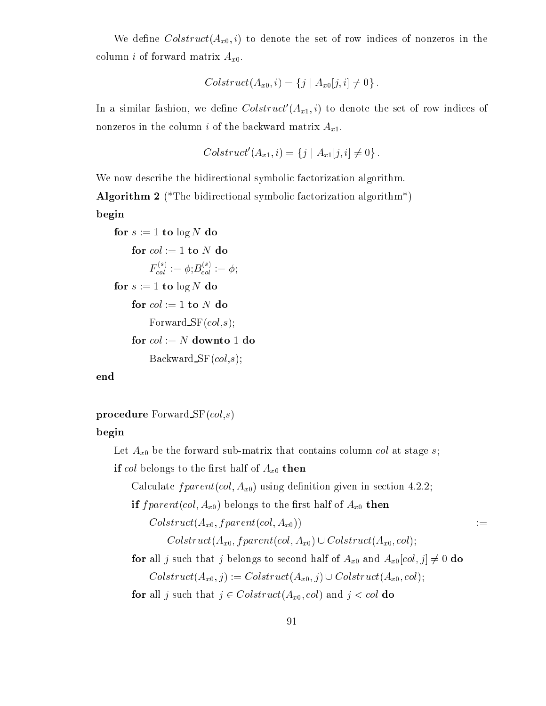We define  $\text{Colstruct}(A_{x0}, i)$  to denote the set of row indices of nonzeros in the column i of forward matrix  $A_{x0}$ .

$$
Colstruct(A_{x0}, i) = \{j \mid A_{x0}[j, i] \neq 0\}.
$$

In a similar fashion, we define  $\mathcal{C} \mathit{ol} \mathit{struct}\left(A_{x1}, \mathit{t}\right)$  to denote the set of row indices of nonzeros in the column *i* of the backward matrix  $A_{x1}$ .

$$
Colstruct'(A_{x1}, i) = \{j \mid A_{x1}[j, i] \neq 0\}.
$$

We now describe the bidirectional symbolic factorization algorithm.

**Algorithm 2** (\*The bidirectional symbolic factorization algorithm<sup>\*</sup>) begin

```
for s := 1 to \log N do
     for col := 1 to N do
          F_{col}\chi_{col}^{\sim i} := \phi; B_{col}^{\sim i} := \phi;for s := 1 to \log N do
     for col := 1 to N do
          Forward SF(col, s);for col := N downto 1 do
          Backward\_SF(col, s);
```
end

procedure Forward  $SF(col, s)$ 

### begin

ol at  $\mathcal{O}(n)$  be the form of the form that the form of the form of the state six of the form  $\mathcal{O}$  at sta

if if  $\alpha$  if  $\alpha$  is the second of  $\alpha$  is the  $\alpha$ 

Calculate  $fparent,col, A_{x0})$  using definition given in section 4.2.2;

 $\alpha$  if the contract of  $\alpha$  and  $\alpha$  the theoretic theoretic theoretic theoretic theoretic theoretical theoretical theoretical theoretical theoretical theoretical theoretical theoretical theoretical theoretical theoretic

 $\text{Colstruct}(A_{x0}, \text{fparent}(col, A_{x0}))$  :=

 $Colstruct(A_{x0}, fparent,col, A_{x0}) \cup Colstruct(A_{x0}, col);$ 

for all j belongs to see that it is seen to see that  $\tau$  and  $\tau$  and  $\tau$  and  $\tau$  $\begin{aligned} \textit{Colstruct}(A_{x0}, j) := \textit{Colstruct}(A_{x0}, j) \cup \textit{Colstruct}(A_{x0}, col); \end{aligned}$ 

for all j such that  $j \in Colstruct(A_{x0}, col)$  and  $j < col$  do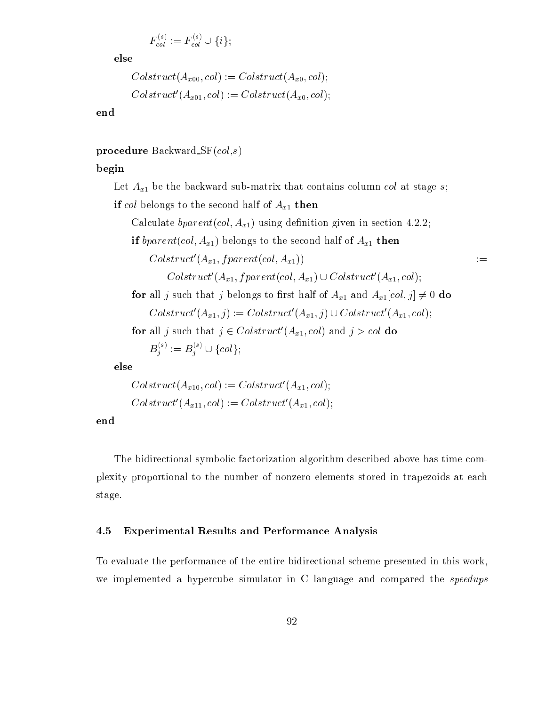$F_{col}$  $_{col}^{\sim}$  :=  $F_{col}^{\sim}$  $\mathcal{C}$ *o*l  $\leq$  (  $\cdot$  )  $\cdot$ 

else

```
Colstruct(A_{x00}, col) := Colstruct(A_{x0}, col);Colstruct (A_{x01},\text{col}):=\text{C} of struct (A_{x0},\text{col});
```
end

procedure Backward  $SF(col, s)$ 

### begin

ol at the basic that the basic that the basic that the basic that the state sub-matrix that  $\alpha$ if the set of  $\omega_1$  then the set of  $\omega_2$ 

Calculate  $bparent(cd, A_{x1})$  using definition given in section 4.2.2; if belongs to the set of Axi the set of Axi the set of Axi the set of Axi the set of Axi the set of Axi then t  $\text{Cov}$ stru $\text{C}$ t $(A_{x_1}, f \text{parent}(\text{co}_1, A_{x_1}))$  := Colstruct  $(A_{x1}, f_{\text{part}})$  for  $A_{x1}$   $\cup$  Colstruct  $(A_{x1}, co1)$ ; for all justices that  $j$  is the  $\cap$  can be that is and  $\{x\}$  and  $\{y\}$  of  $\{x\}$ Colstruct  $(A_{x1}, j) := \text{Construct } (A_{x1}, j) \cup \text{Construct } (A_{x1}, \text{col});$ for an j such that  $j \in \text{C}$  or struct  $(A_{x_1}, \text{col})$  and  $j > \text{col}$  do  $B_j^{\cdot,\cdot}:=B_j^{\cdot,\cdot}\cup\{col\};$ 

else

$$
Colstruct(A_{x10}, col) := Colstruct'(A_{x1}, col);
$$
  

$$
Colstruct'(A_{x11}, col) := Colstruct'(A_{x1}, col);
$$

end

The bidirectional symbolic factorization algorithm described above has time complexity proportional to the number of nonzero elements stored in trapezoids at ea
h stage.

### 4.5 Experimental Results and Performance Analysis

To evaluate the performan
e of the entire bidire
tional s
heme presented in this work, we implemented a hypercube simulator in  $\mathbb C$  language and compared the *speedups*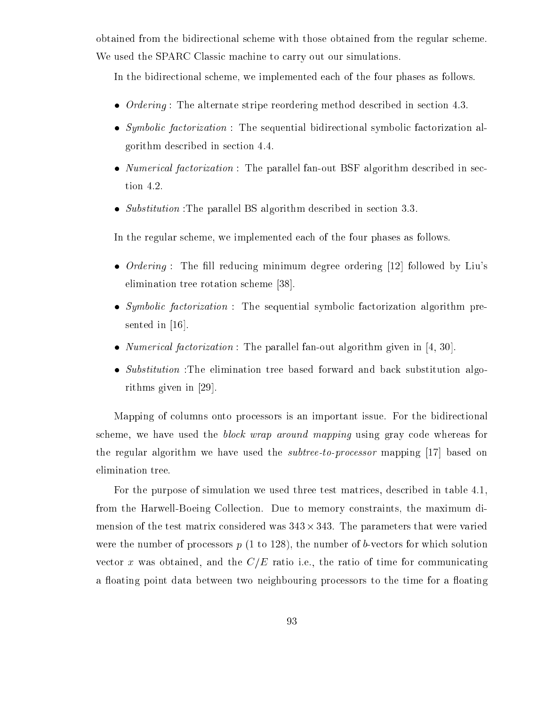obtained from the bidire
tional s
heme with those obtained from the regular s
heme. We used the SPARC Classic machine to carry out our simulations.

In the bidire
tional s
heme, we implemented ea
h of the four phases as follows.

- Ordering : The alternate stripe reordering method des
ribed in se
tion 4.3.
- Symboli fa
torization : The sequential bidire
tional symboli fa
torization algorithm des
ribed in se
tion 4.4.
- Numeri
al fa
torization : The parallel fan-out BSF algorithm des
ribed in se
 tion 4.2.
- substitution : The parallel The parallel BS algorithm design algorithm design to the second

In the regular scheme, we implemented each of the four phases as follows.

- *Ordering*: The fill reducing minimum degree ordering [12] followed by Liu's elimination tree rotation scheme [38].
- Symboli fa
torization : The sequential symboli fa
torization algorithm presented in  $[16]$ .
- al fanta fan out al fan out als torization in the parallel fan out algorithm given in the state of the parallel
- Substitution :The elimination tree based forward and ba
k substitution algorithms given in  $[29]$ .

Mapping of columns onto processors is an important issue. For the bidirectional scheme, we have used the *block wrap around mapping* using gray code whereas for the regular algorithm we have used the *subtree-to-processor* mapping [17] based on elimination tree.

For the purpose of simulation we used three test matrices, described in table 4.1, from the Harwell-Boeing Colle
tion. Due to memory onstraints, the maximum dimension of the test matrix onsidered was 343 - 343. The parameters that were varied were the number of processors  $p(1)$  to 128), the number of b-vectors for which solution vector x was obtained, and the  $C/E$  ratio i.e., the ratio of time for communicating a floating point data between two neighbouring processors to the time for a floating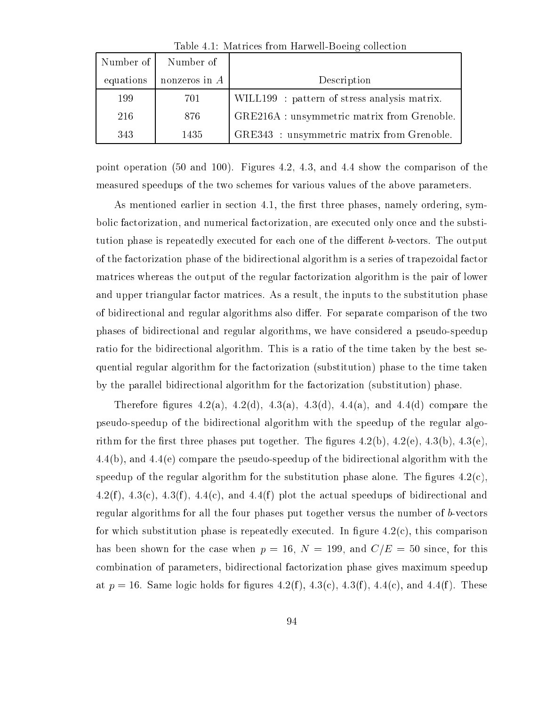| Tuble 1.1. Mutrices from Hurtwell Dochig concetton |                 |                                              |  |  |  |  |  |  |  |
|----------------------------------------------------|-----------------|----------------------------------------------|--|--|--|--|--|--|--|
| Number of                                          | Number of       |                                              |  |  |  |  |  |  |  |
| equations                                          | nonzeros in $A$ | Description                                  |  |  |  |  |  |  |  |
| 199                                                | 701             | WILL199 : pattern of stress analysis matrix. |  |  |  |  |  |  |  |
| 216                                                | 876             | GRE216A : unsymmetric matrix from Grenoble.  |  |  |  |  |  |  |  |
| 343                                                | 1435            | GRE343 : unsymmetric matrix from Grenoble.   |  |  |  |  |  |  |  |

Table 4.1: Matrices from Harwell-Boeing collection

point operation (50 and 100). Figures 4.2, 4.3, and 4.4 show the omparison of the measured speedups of the two s
hemes for various values of the above parameters.

As mentioned earlier in section 4.1, the first three phases, namely ordering, symbolic factorization, and numerical factorization, are executed only once and the substitution phase is repeatedly executed for each one of the different b-vectors. The output of the fa
torization phase of the bidire
tional algorithm is a series of trapezoidal fa
tor matri
es whereas the output of the regular fa
torization algorithm is the pair of lower and upper triangular factor matrices. As a result, the inputs to the substitution phase of bidirectional and regular algorithms also differ. For separate comparison of the two phases of bidire
tional and regular algorithms, we have onsidered a pseudo-speedup ratio for the bidire
tional algorithm. This is a ratio of the time taken by the best sequential regular algorithm for the fa
torization (substitution) phase to the time taken by the parallel bidire
tional algorithm for the fa
torization (substitution) phase.

Therefore figures 4.2(a), 4.2(d), 4.3(a), 4.3(d), 4.4(a), and 4.4(d) compare the pseudo-speedup of the bidire
tional algorithm with the speedup of the regular algorithm for the first three phases put together. The figures  $4.2(b)$ ,  $4.2(e)$ ,  $4.3(b)$ ,  $4.3(e)$ ,  $4.4(b)$ , and  $4.4(e)$  compare the pseudo-speedup of the bidirectional algorithm with the speedup of the regular algorithm for the substitution phase alone. The figures  $4.2(c)$ , 4.2(f), 4.3(c), 4.3(f), 4.4(c), and 4.4(f) plot the actual speedups of bidirectional and regular algorithms for all the four phases put together versus the number of b-vectors for which substitution phase is repeatedly executed. In figure  $4.2(c)$ , this comparison has been shown for the case when  $p = 16$ ,  $N = 199$ , and  $C/E = 50$  since, for this ombination of parameters, bidire
tional fa
torization phase gives maximum speedup at  $p = 16$ . Same logic holds for figures 4.2(f), 4.3(c), 4.3(f), 4.4(c), and 4.4(f). These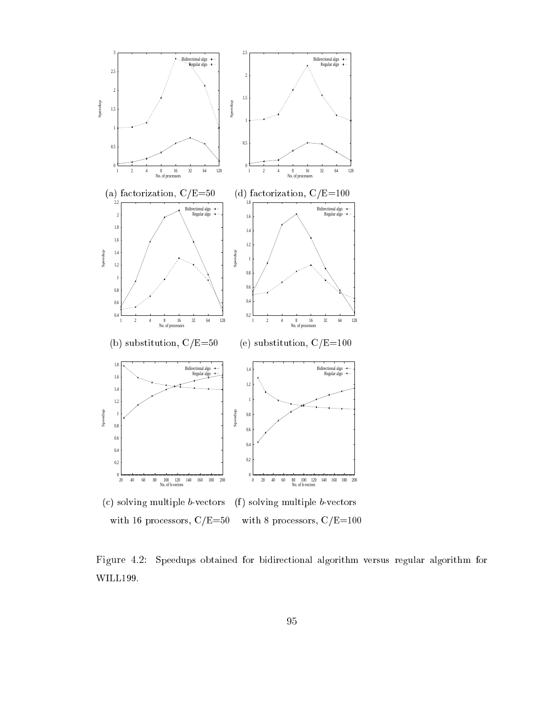

with 16 pro
essors, C/E=50 with 8 pro
essors, C/E=100

Figure 4.2: Speedups obtained for bidire
tional algorithm versus regular algorithm for WILL199.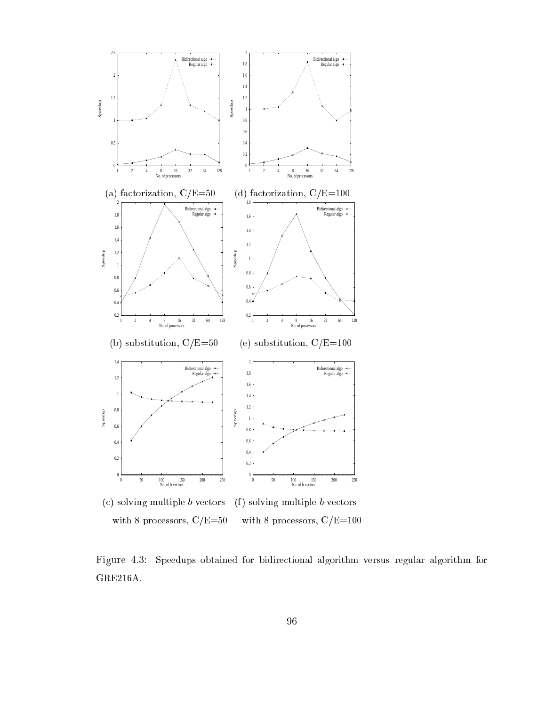

Figure 4.3: Speedups obtained for bidire
tional algorithm versus regular algorithm for GRE216A.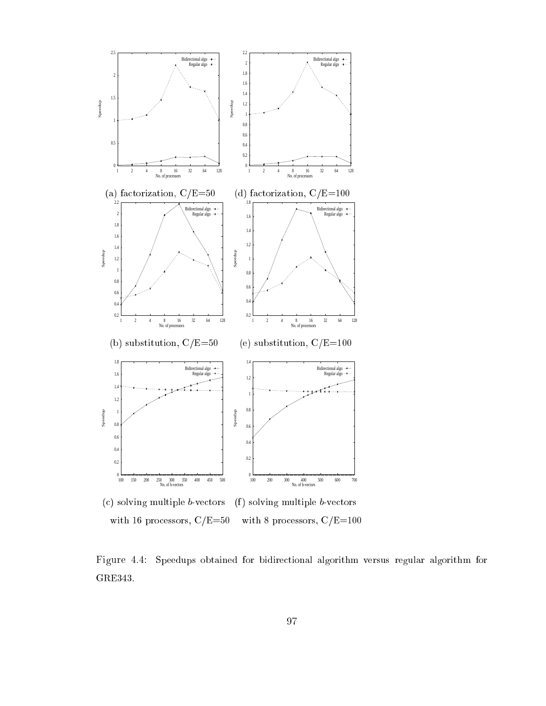

(
) solving multiple b-ve
tors with 16 pro
essors, C/E=50 (f) solving multiple *b*-vectors with 8 processors,  $C/E = 100$ 

Figure 4.4: Speedups obtained for bidire
tional algorithm versus regular algorithm for GRE343.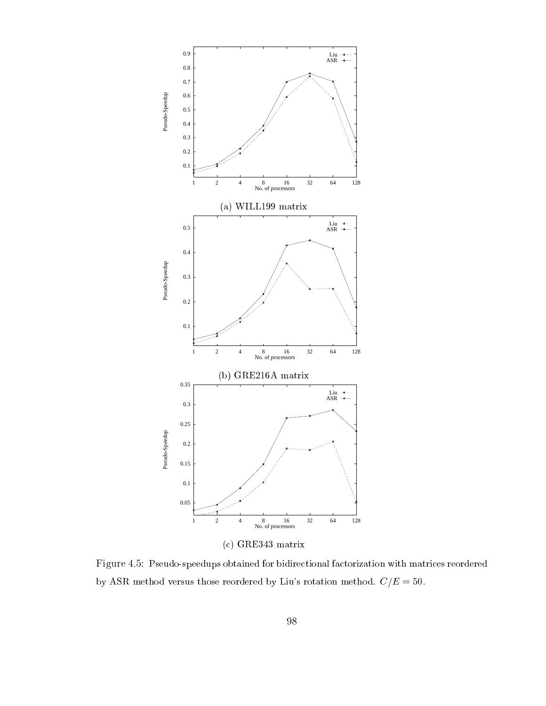

Figure 4.5: Pseudo-speedups obtained for bidirectional factorization with matrices reordered by ASR method versus those reordered by Liu's rotation method.  $C/E = 50$ .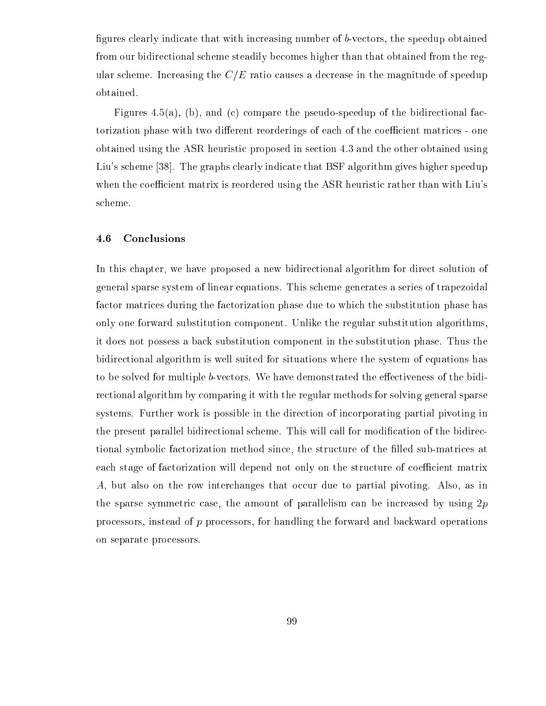figures clearly indicate that with increasing number of b-vectors, the speedup obtained from our bidire
tional s
heme steadily be
omes higher than that obtained from the regular scheme. Increasing the  $C/E$  ratio causes a decrease in the magnitude of speedup obtained.

Figures 4.5(a), (b), and (c) compare the pseudo-speedup of the bidirectional factorization phase with two different reorderings of each of the coefficient matrices - one obtained using the ASR heuristi proposed in se
tion 4.3 and the other obtained using Liu's scheme [38]. The graphs clearly indicate that BSF algorithm gives higher speedup when the coefficient matrix is reordered using the ASR heuristic rather than with Liu's s
heme.

#### 4.6 Con
lusions

In this chapter, we have proposed a new bidirectional algorithm for direct solution of general sparse system of linear equations. This s
heme generates a series of trapezoidal factor matrices during the factorization phase due to which the substitution phase has only one forward substitution omponent. Unlike the regular substitution algorithms, it does not possess a ba
k substitution omponent in the substitution phase. Thus the bidire
tional algorithm is well suited for situations where the system of equations has to be solved for multiple *b*-vectors. We have demonstrated the effectiveness of the bidire
tional algorithm by omparing it with the regular methods for solving general sparse systems. Further work is possible in the direction of incorporating partial pivoting in the present parallel bidirectional scheme. This will call for modification of the bidirectional symbolic factorization method since, the structure of the filled sub-matrices at each stage of factorization will depend not only on the structure of coefficient matrix A, but also on the row interchanges that occur due to partial pivoting. Also, as in the sparse symmetric case, the amount of parallelism can be increased by using  $2p$ pro
essors, instead of p pro
essors, for handling the forward and ba
kward operations on separate pro
essors.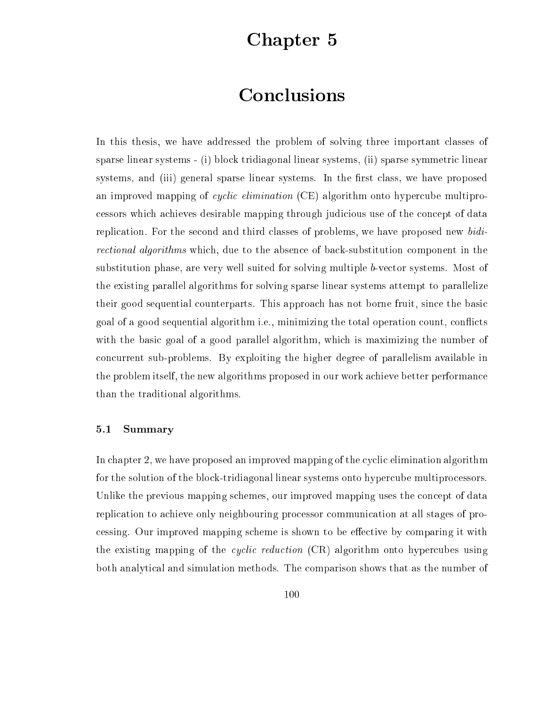## Chapter 5

## **Conclusions**

In this thesis, we have addressed the problem of solving three important classes of sparse linear systems - (i) block tridiagonal linear systems, (ii) sparse symmetric linear systems, and (iii) general sparse linear systems. In the first class, we have proposed an improved mapping of cyclic elimination  $(CE)$  algorithm onto hypercube multiproessors whi
h a
hieves desirable mapping through judi
ious use of the on
ept of data replication. For the second and third classes of problems, we have proposed new *bidi*rectional algorithms which, due to the absence of back-substitution component in the substitution phase, are very well suited for solving multiple b-ve
tor systems. Most of the existing parallel algorithms for solving sparse linear systems attempt to parallelize their good sequential counterparts. This approach has not borne fruit, since the basic goal of a good sequential algorithm *i.e.*, minimizing the total operation count, conflicts with the basic goal of a good parallel algorithm, which is maximizing the number of on
urrent sub-problems. By exploiting the higher degree of parallelism available in the problem itself, the new algorithms proposed in our work achieve better performance than the traditional algorithms.

#### 5.1 Summary

In chapter 2, we have proposed an improved mapping of the cyclic elimination algorithm for the solution of the block-tridiagonal linear systems onto hypercube multiprocessors. Unlike the previous mapping schemes, our improved mapping uses the concept of data replication to achieve only neighbouring processor communication at all stages of processing. Our improved mapping scheme is shown to be effective by comparing it with the existing mapping of the *cyclic reduction*  $(CR)$  algorithm onto hypercubes using both analyti
al and simulation methods. The omparison shows that as the number of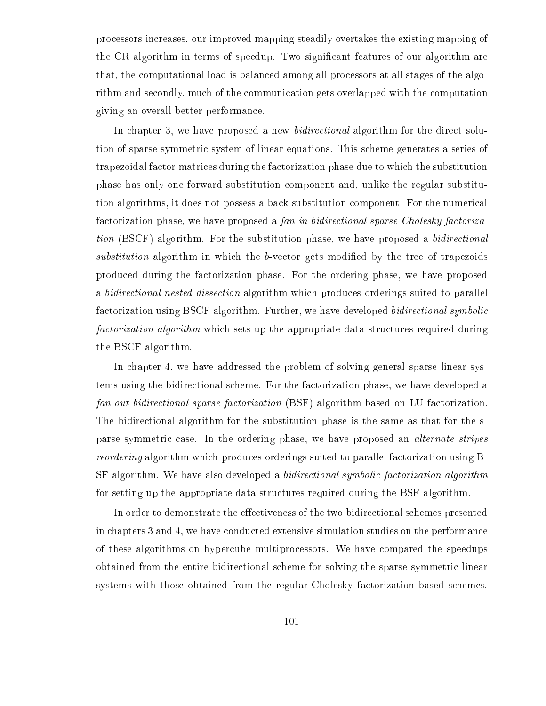pro
essors in
reases, our improved mapping steadily overtakes the existing mapping of the CR algorithm in terms of speedup. Two significant features of our algorithm are that, the omputational load is balan
ed among all pro
essors at all stages of the algorithm and secondly, much of the communication gets overlapped with the computation giving an overall better performan
e.

In chapter 3, we have proposed a new *bidirectional* algorithm for the direct solution of sparse symmetric system of linear equations. This scheme generates a series of trapezoidal fa
tor matri
es during the fa
torization phase due to whi
h the substitution phase has only one forward substitution omponent and, unlike the regular substitution algorithms, it does not possess a back-substitution component. For the numerical factorization phase, we have proposed a fan-in bidirectional sparse Cholesky factorization (BSCF) algorithm. For the substitution phase, we have proposed a *bidirectional* substitution algorithm in which the b-vector gets modified by the tree of trapezoids produ
ed during the fa
torization phase. For the ordering phase, we have proposed a *bidirectional nested dissection* algorithm which produces orderings suited to parallel factorization using BSCF algorithm. Further, we have developed *bidirectional symbolic* factorization algorithm which sets up the appropriate data structures required during the BSCF algorithm.

In chapter 4, we have addressed the problem of solving general sparse linear systems using the bidire
tional s
heme. For the fa
torization phase, we have developed a fan-out bidirectional sparse factorization (BSF) algorithm based on LU factorization. The bidire
tional algorithm for the substitution phase is the same as that for the sparse symmetric case. In the ordering phase, we have proposed an *alternate stripes* reordering algorithm which produces orderings suited to parallel factorization using B-SF algorithm. We have also developed a *bidirectional symbolic factorization algorithm* for setting up the appropriate data stru
tures required during the BSF algorithm.

In order to demonstrate the effectiveness of the two bidirectional schemes presented in chapters 3 and 4, we have conducted extensive simulation studies on the performance of these algorithms on hypercube multiprocessors. We have compared the speedups obtained from the entire bidirectional scheme for solving the sparse symmetric linear systems with those obtained from the regular Cholesky factorization based schemes.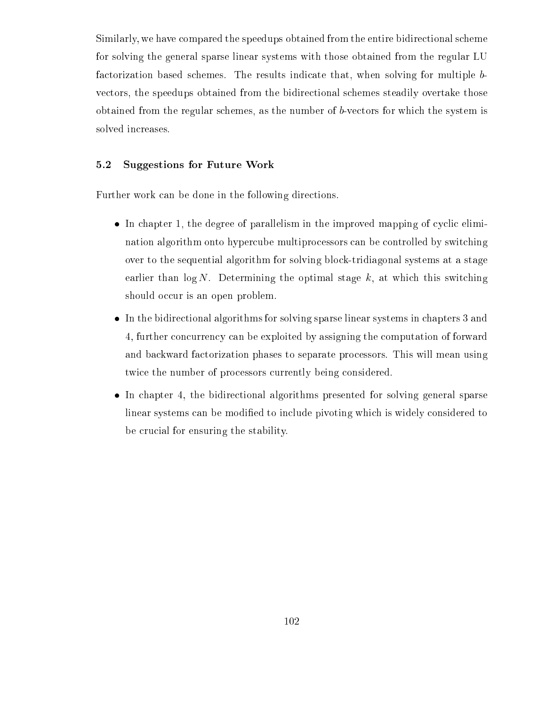Similarly, we have compared the speedups obtained from the entire bidirectional scheme for solving the general sparse linear systems with those obtained from the regular LU factorization based schemes. The results indicate that, when solving for multiple bvectors, the speedups obtained from the bidirectional schemes steadily overtake those obtained from the regular s
hemes, as the number of b-ve
tors for whi
h the system is solved increases.

#### 5.2 Suggestions for Future Work

Further work can be done in the following directions.

- in the parallelism in the parallelism in the improved mapping of the indicated mapping of the contract nation algorithm onto hypercube multiprocessors can be controlled by switching over to the sequential algorithm for solving blo
k-tridiagonal systems at a stage earlier than  $\log N$ . Determining the optimal stage k, at which this switching should occur is an open problem.
- In the bidire
tional algorithms for solving sparse linear systems in hapters 3 and 4, further on
urren
y an be exploited by assigning the omputation of forward and ba
kward fa
torization phases to separate pro
essors. This will mean using twice the number of processors currently being considered.
- In hapter 4, the bidire
tional algorithms presented for solving general sparse linear systems can be modified to include pivoting which is widely considered to be crucial for ensuring the stability.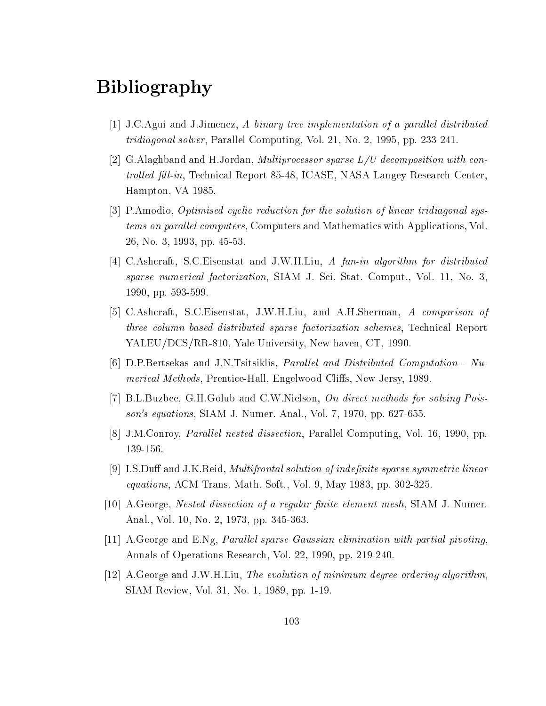# Bibliography

- [1] J.C.Agui and J.Jimenez, A binary tree implementation of a parallel distributed tridiagonal solver, Parallel Computing, Vol. 21, No. 2, 1995, pp. 233-241.
- [2] G.Alaghband and H.Jordan, *Multiprocessor sparse L/U decomposition with con*trolled fill-in, Technical Report 85-48, ICASE, NASA Langey Research Center, Hampton, VA 1985.
- [3] P.Amodio, *Optimised cyclic reduction for the solution of linear tridiagonal sys*tems on parallel computers, Computers and Mathematics with Applications, Vol. 26, No. 3, 1993, pp. 45-53.
- [4] C.Ashcraft, S.C.Eisenstat and J.W.H.Liu, A fan-in algorithm for distributed sparse numerical factorization, SIAM J. Sci. Stat. Comput., Vol. 11, No. 3, 1990, pp. 593-599.
- [5] C.Ashcraft, S.C.Eisenstat, J.W.H.Liu, and A.H.Sherman, A comparison of three olumn based distributed sparse fa
torization s
hemes, Te
hni
al Report YALEU/DCS/RR-810, Yale University, New haven, CT, 1990.
- [6] D.P.Bertsekas and J.N.Tsitsiklis, *Parallel and Distributed Computation Nu*merical Methods, Prentice-Hall, Engelwood Cliffs, New Jersy, 1989.
- [7] B.L.Buzbee, G.H.Golub and C.W.Nielson, On direct methods for solving Poisson's equations, SIAM J. Numer. Anal., Vol. 7, 1970, pp. 627-655.
- [8] J.M.Conroy, *Parallel nested dissection*, Parallel Computing, Vol. 16, 1990, pp. 139-156.
- [9] I.S.Duff and J.K.Reid, *Multifrontal solution of indefinite sparse symmetric linear* equations, ACM Trans. Math. Soft., Vol. 9, May 1983, pp. 302-325.
- [10] A. George, *Nested dissection of a regular finite element mesh*, SIAM J. Numer. Anal., Vol. 10, No. 2, 1973, pp. 345-363.
- [11] A.George and E.Ng, *Parallel sparse Gaussian elimination with partial pivoting*. Annals of Operations Resear
h, Vol. 22, 1990, pp. 219-240.
- $[12]$  A.George and J.W.H.Liu, The evolution of minimum degree ordering algorithm. SIAM Review, Vol. 31, No. 1, 1989, pp. 1-19.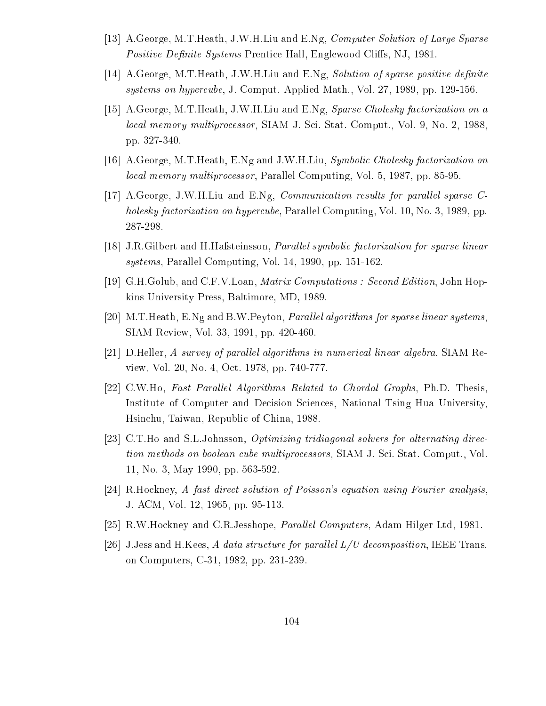- [13] A.George, M.T.Heath, J.W.H.Liu and E.Ng, Computer Solution of Large Sparse Positive Definite Systems Prentice Hall, Englewood Cliffs, NJ, 1981.
- [14] A.George, M.T.Heath, J.W.H.Liu and E.Ng, Solution of sparse positive definite systems on hypercube, J. Comput. Applied Math., Vol. 27, 1989, pp. 129-156.
- [15] A. George, M.T. Heath, J.W. H. Liu and E.Ng, *Sparse Cholesky factorization on a* local memory multiprocessor, SIAM J. Sci. Stat. Comput., Vol. 9, No. 2, 1988. pp. 327-340.
- [16] A. George, M.T. Heath, E.Ng and J.W.H. Liu, Symbolic Cholesky factorization on local memory multiprocessor, Parallel Computing, Vol. 5, 1987, pp. 85-95.
- [17] A.George, J.W.H.Liu and  $E.Ng$ , *Communication results for parallel sparse C*holesky factorization on hypercube, Parallel Computing, Vol. 10, No. 3, 1989, pp. 287-298.
- [18] J.R.Gilbert and H.Hafsteinsson, *Parallel symbolic factorization for sparse linear* systems, Parallel Computing, Vol. 14, 1990, pp. 151-162.
- [19] G.H.Golub, and C.F.V.Loan, *Matrix Computations : Second Edition*, John Hopkins University Press, Baltimore, MD, 1989.
- [20] M.T.Heath, E.Ng and B.W.Peyton, *Parallel algorithms for sparse linear systems*, SIAM Review, Vol. 33, 1991, pp. 420-460.
- [21] D.Heller, A survey of parallel algorithms in numerical linear algebra, SIAM Review, Vol. 20, No. 4, Oct. 1978, pp. 740-777.
- [22] C.W.Ho, Fast Parallel Algorithms Related to Chordal Graphs, Ph.D. Thesis, Institute of Computer and Decision Sciences, National Tsing Hua University, Hsin
hu, Taiwan, Republi of China, 1988.
- [23] C.T.Ho and S.L.Johnsson, *Optimizing tridiagonal solvers for alternating direc*tion methods on boolean cube multiprocessors, SIAM J. Sci. Stat. Comput., Vol. 11, No. 3, May 1990, pp. 563-592.
- [24] R.Hockney, A fast direct solution of Poisson's equation using Fourier analysis. J. ACM, Vol. 12, 1965, pp. 95-113.
- [25] R.W.Hockney and C.R.Jesshope, *Parallel Computers*, Adam Hilger Ltd, 1981.
- [26] J.Jess and H.Kees, A data structure for parallel  $L/U$  decomposition, IEEE Trans. on Computers, C-31, 1982, pp. 231-239.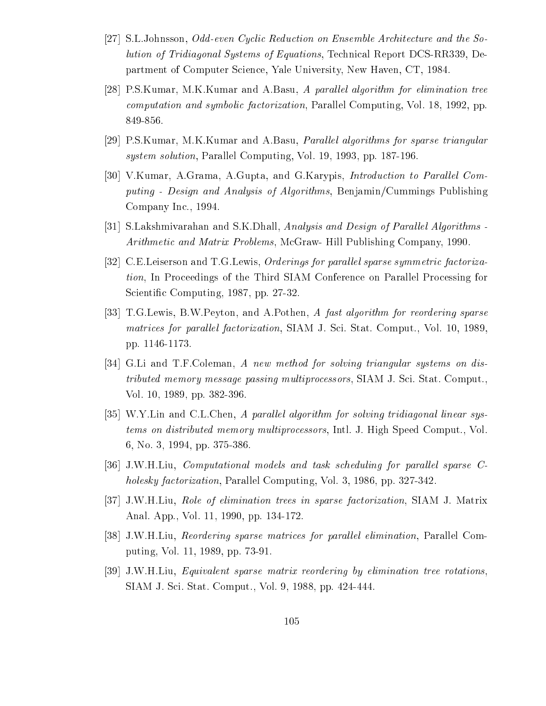- [27] S.L.Johnsson, *Odd-even Cyclic Reduction on Ensemble Architecture and the So*lution of Tridiagonal Systems of Equations, Technical Report DCS-RR339, Department of Computer S
ien
e, Yale University, New Haven, CT, 1984.
- [28] P.S.Kumar, M.K.Kumar and A.Basu, A parallel algorithm for elimination tree computation and symbolic factorization, Parallel Computing, Vol. 18, 1992, pp. 849-856.
- [29] P.S.Kumar, M.K.Kumar and A.Basu, *Parallel algorithms for sparse triangular* system solution, Parallel Computing, Vol. 19, 1993, pp. 187-196.
- [30] V.Kumar, A.Grama, A.Gupta, and G.Karypis, *Introduction to Parallel Com*puting - Design and Analysis of Algorithms, Benjamin/Cummings Publishing Company In
., 1994.
- [31] S.Lakshmivarahan and S.K.Dhall, Analysis and Design of Parallel Algorithms -Arithmetic and Matrix Problems, McGraw-Hill Publishing Company, 1990.
- [32] C.E.Leiserson and T.G.Lewis, *Orderings for parallel sparse symmetric factoriza*tion, In Proceedings of the Third SIAM Conference on Parallel Processing for Scientific Computing, 1987, pp. 27-32.
- [33] T.G.Lewis, B.W.Peyton, and A.Pothen, A fast algorithm for reordering sparse matrices for parallel factorization, SIAM J. Sci. Stat. Comput., Vol. 10, 1989. pp. 1146-1173.
- [34] G.Li and T.F.Coleman, A new method for solving triangular systems on distributed memory message passing multiprocessors, SIAM J. Sci. Stat. Comput., Vol. 10, 1989, pp. 382-396.
- [35] W.Y.Lin and C.L.Chen, A parallel algorithm for solving tridiagonal linear systems on distributed memory multipro
essors, Intl. J. High Speed Comput., Vol. 6, No. 3, 1994, pp. 375-386.
- [36] J.W.H.Liu, *Computational models and task scheduling for parallel sparse C*holesky factorization, Parallel Computing, Vol. 3, 1986, pp. 327-342.
- [37] J.W.H.Liu, Role of elimination trees in sparse factorization, SIAM J. Matrix Anal. App., Vol. 11, 1990, pp. 134-172.
- [38] J.W.H.Liu, *Reordering sparse matrices for parallel elimination*, Parallel Computing, Vol. 11, 1989, pp. 73-91.
- [39] J.W.H.Liu, *Equivalent sparse matrix reordering by elimination tree rotations*, SIAM J. S
i. Stat. Comput., Vol. 9, 1988, pp. 424-444.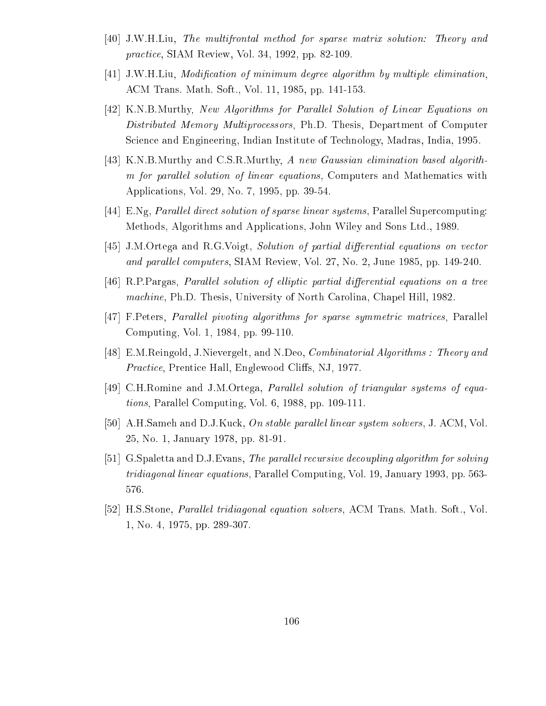- [40] J.W.H.Liu, The multifrontal method for sparse matrix solution: Theory and pra
ti
e, SIAM Review, Vol. 34, 1992, pp. 82-109.
- $[41]$  J.W.H.Liu, Modification of minimum degree algorithm by multiple elimination, ACM Trans. Math. Soft., Vol. 11, 1985, pp. 141-153.
- [42] K.N.B.Murthy, New Algorithms for Parallel Solution of Linear Equations on Distributed Memory Multiprocessors, Ph.D. Thesis, Department of Computer S
ien
e and Engineering, Indian Institute of Te
hnology, Madras, India, 1995.
- [43] K.N.B.Murthy and  $C.S.R.Murthy$ , A new Gaussian elimination based algorithm for parallel solution of linear equations, Computers and Mathematics with Appli
ations, Vol. 29, No. 7, 1995, pp. 39-54.
- [44] E.Ng, *Parallel direct solution of sparse linear systems*, Parallel Supercomputing: Methods, Algorithms and Appli
ations, John Wiley and Sons Ltd., 1989.
- $[45]$  J.M.Ortega and R.G.Voigt, Solution of partial differential equations on vector and parallel computers, SIAM Review, Vol. 27, No. 2, June 1985, pp. 149-240.
- $[46]$  R.P.Pargas, *Parallel solution of elliptic partial differential equations on a tree* machine, Ph.D. Thesis, University of North Carolina, Chapel Hill, 1982.
- [47] F. Peters, *Parallel pivoting algorithms for sparse symmetric matrices*, Parallel Computing, Vol. 1, 1984, pp. 99-110.
- [48] E.M.Reingold, J.Nievergelt, and N.Deo, *Combinatorial Algorithms : Theory and* Practice, Prentice Hall, Englewood Cliffs, NJ, 1977.
- [49] C.H.Romine and J.M.Ortega, *Parallel solution of triangular systems of equa*tions, Parallel Computing, Vol. 6, 1988, pp. 109-111.
- [50] A.H.Sameh and D.J.Kuck, On stable parallel linear system solvers, J. ACM, Vol. 25, No. 1, January 1978, pp. 81-91.
- [51] G.Spaletta and D.J.Evans, The parallel recursive decoupling algorithm for solving tridiagonal linear equations, Parallel Computing, Vol. 19, January 1993, pp. 563- 576.
- [52] H.S.Stone, *Parallel tridiagonal equation solvers*, ACM Trans. Math. Soft., Vol. 1, No. 4, 1975, pp. 289-307.